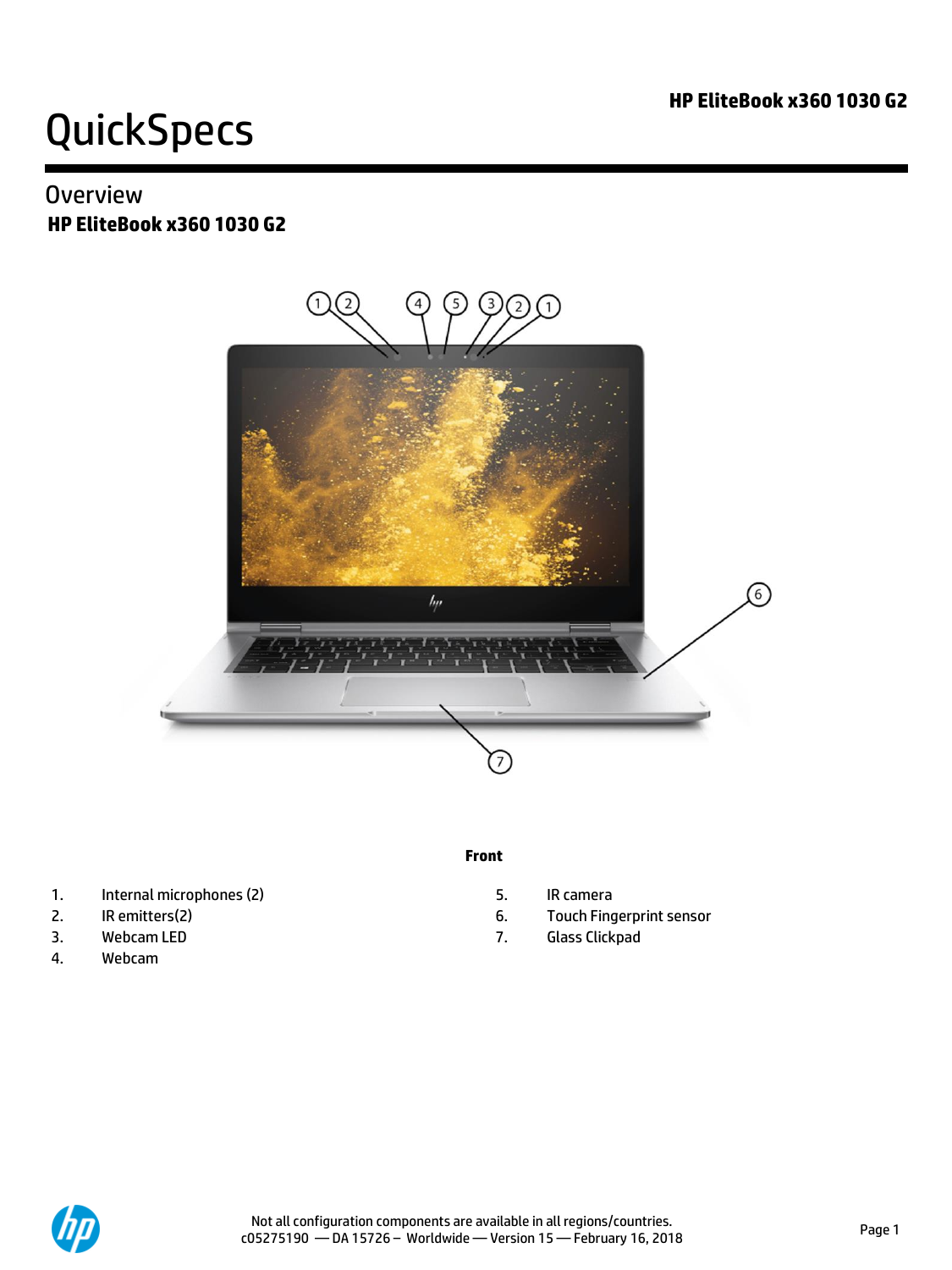## **Overview HP EliteBook x360 1030 G2**



#### **Front**

- 1. Internal microphones (2) 5. IR camera
- 
- 
- 4. Webcam
- 
- 2. IR emitters(2) 6. Touch Fingerprint sensor
- 3. Webcam LED 6. The Contract of the Contract of the Contract of the Glass Clickpad

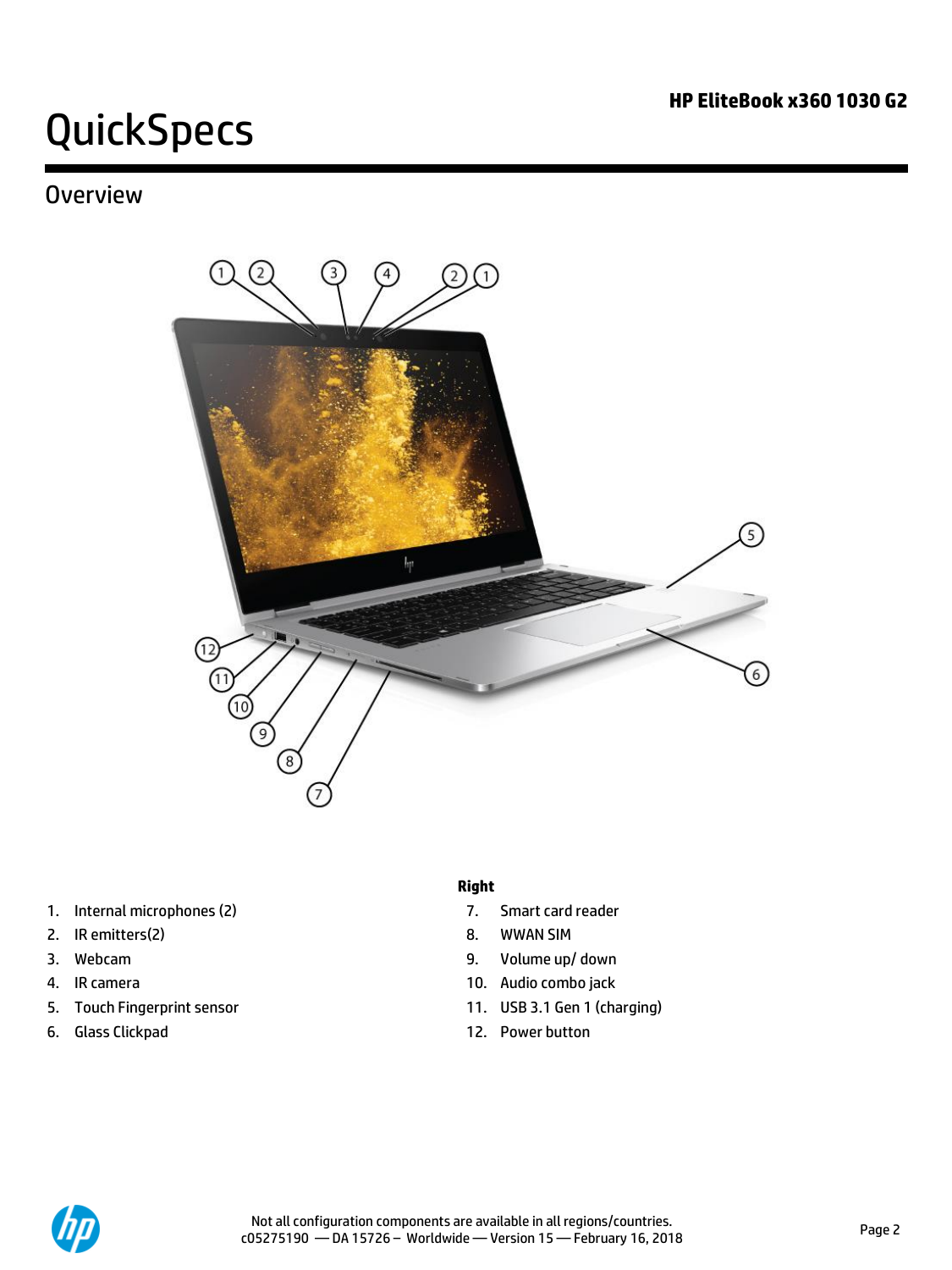## **Overview**



- 1. Internal microphones (2) 2012 12: The Smart card reader
- 2. IR emitters(2) and the state of the state of the state of the state of the state of the state of the state of the state of the state of the state of the state of the state of the state of the state of the state of the s
- 
- 
- 
- 6. Glass Clickpad 12. Power button

#### **Right**

- 
- 
- 3. Webcam 9. Volume up/ down
- 4. IR camera 10. Audio combo jack
- 5. Touch Fingerprint sensor 11. USB 3.1 Gen 1 (charging)
	-

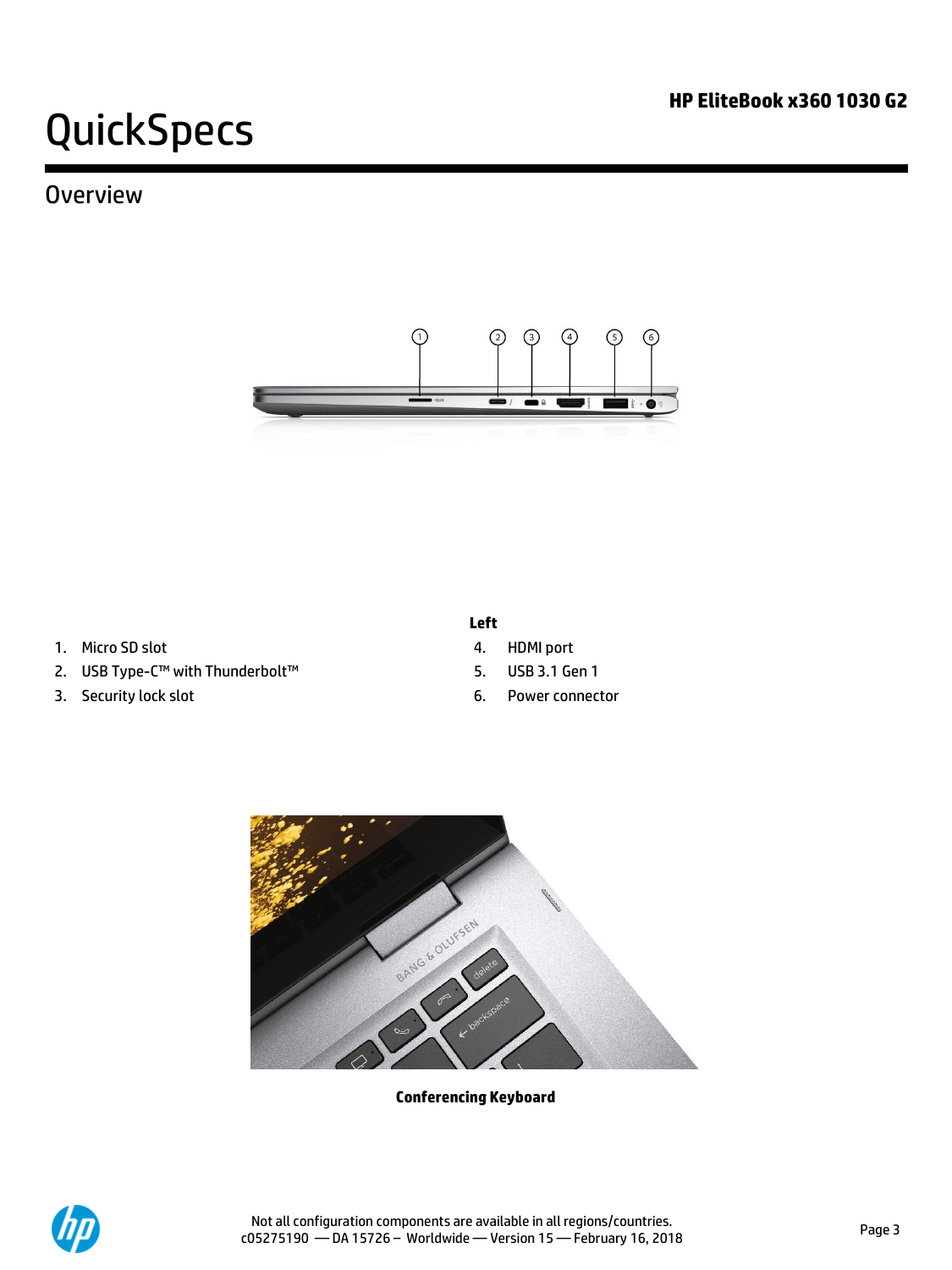## **Overview**



- 1. Micro SD slot 4. HDMI port
- 2. USB Type-C™ with Thunderbolt™ 5. USB 3.1 Gen 1
- 3. Security lock slot 6. Power connector
- **Left** 
	-
	-
	-



**Conferencing Keyboard**

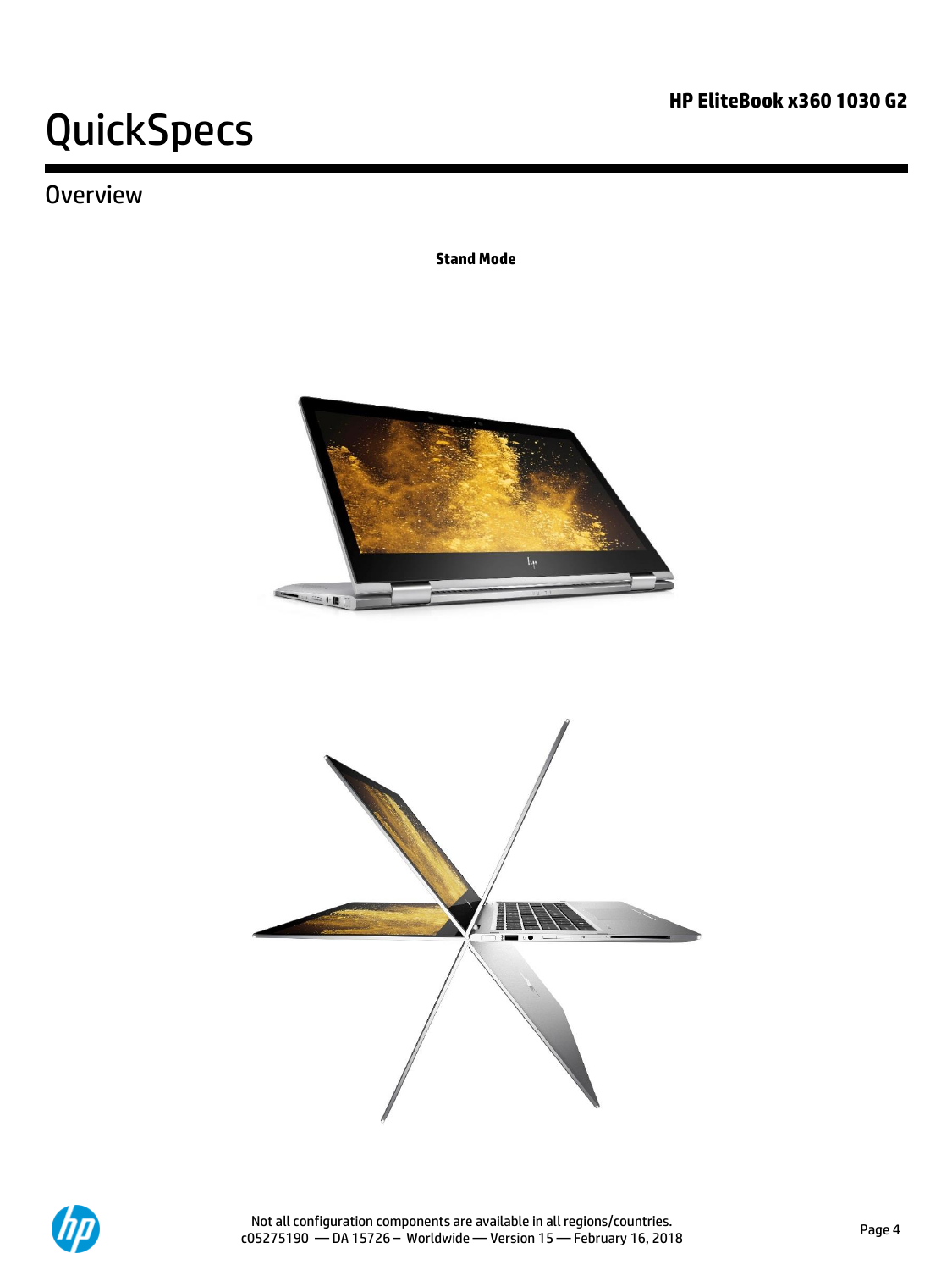# **Overview**

**Stand Mode**





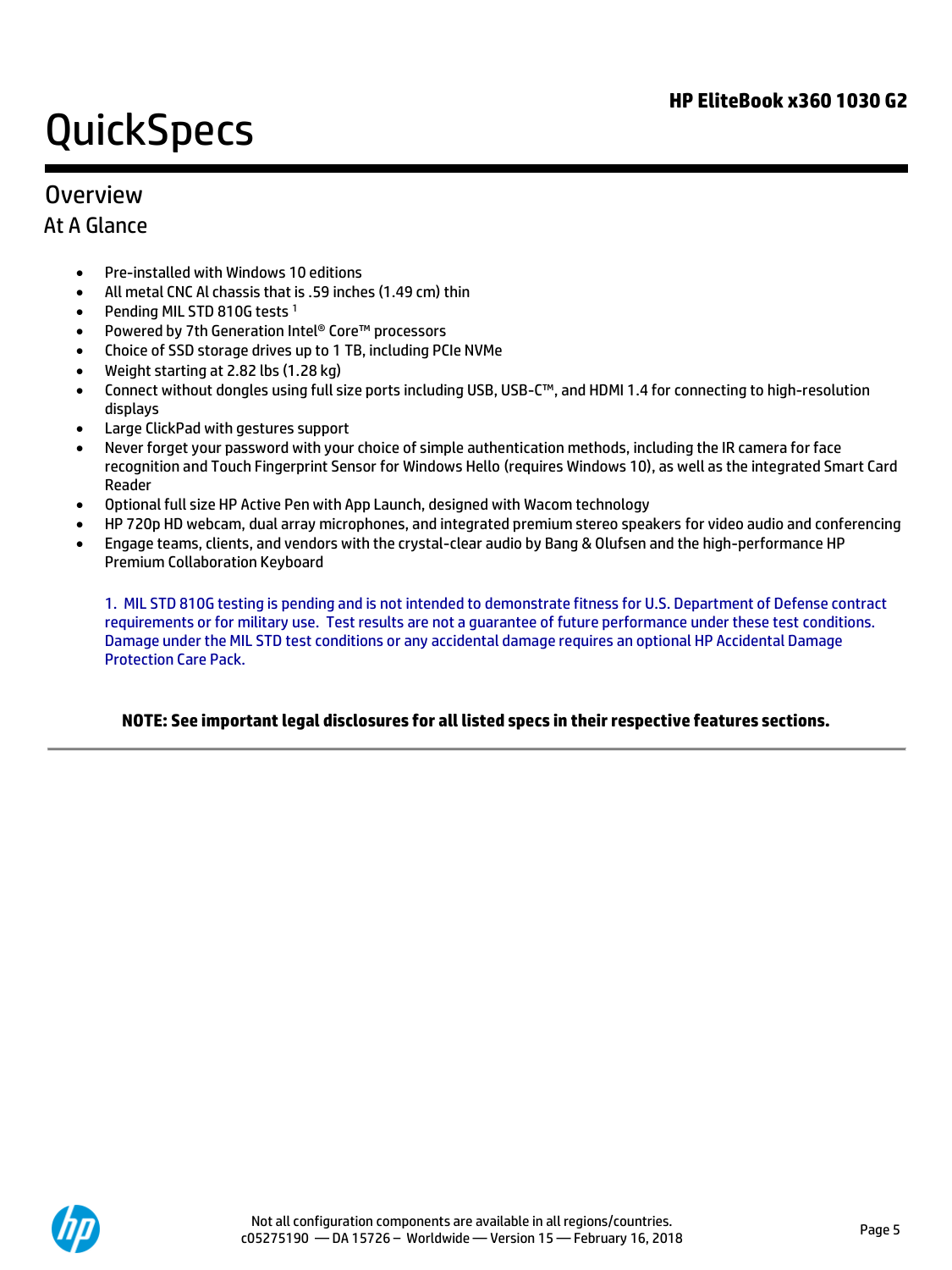## **Overview**

### At A Glance

- Pre-installed with Windows 10 editions
- All metal CNC Al chassis that is .59 inches (1.49 cm) thin
- Pending MIL STD 810G tests<sup>1</sup>
- Powered by 7th Generation Intel® Core™ processors
- Choice of SSD storage drives up to 1 TB, including PCIe NVMe
- Weight starting at 2.82 lbs (1.28 kg)
- Connect without dongles using full size ports including USB, USB-C™, and HDMI 1.4 for connecting to high-resolution displays
- Large ClickPad with gestures support
- Never forget your password with your choice of simple authentication methods, including the IR camera for face recognition and Touch Fingerprint Sensor for Windows Hello (requires Windows 10), as well as the integrated Smart Card Reader
- Optional full size HP Active Pen with App Launch, designed with Wacom technology
- HP 720p HD webcam, dual array microphones, and integrated premium stereo speakers for video audio and conferencing
- Engage teams, clients, and vendors with the crystal-clear audio by Bang & Olufsen and the high-performance HP Premium Collaboration Keyboard

1. MIL STD 810G testing is pending and is not intended to demonstrate fitness for U.S. Department of Defense contract requirements or for military use. Test results are not a guarantee of future performance under these test conditions. Damage under the MIL STD test conditions or any accidental damage requires an optional HP Accidental Damage Protection Care Pack.

### **NOTE: See important legal disclosures for all listed specs in their respective features sections.**

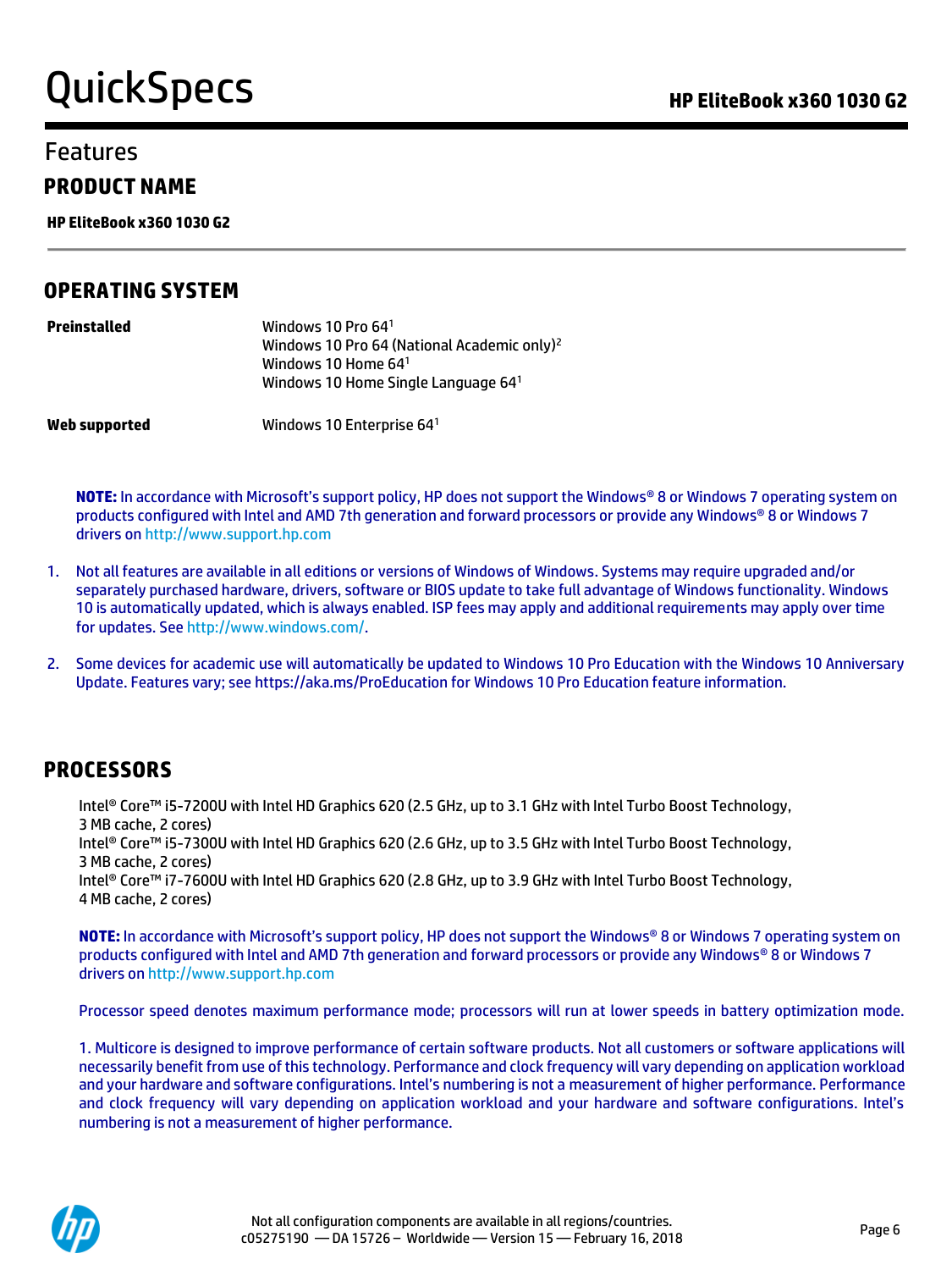# Features

### **PRODUCT NAME**

**HP EliteBook x360 1030 G2**

### **OPERATING SYSTEM**

| Preinstalled  | Windows 10 Pro $641$<br>Windows 10 Pro 64 (National Academic only) <sup>2</sup><br>Windows 10 Home 64 <sup>1</sup><br>Windows 10 Home Single Language 641 |
|---------------|-----------------------------------------------------------------------------------------------------------------------------------------------------------|
| Web supported | Windows 10 Enterprise $64^1$                                                                                                                              |

**NOTE:** In accordance with Microsoft's support policy, HP does not support the Windows® 8 or Windows 7 operating system on products configured with Intel and AMD 7th generation and forward processors or provide any Windows® 8 or Windows 7 drivers o[n http://www.support.hp.com](http://www.support.hp.com/)

- 1. Not all features are available in all editions or versions of Windows of Windows. Systems may require upgraded and/or separately purchased hardware, drivers, software or BIOS update to take full advantage of Windows functionality. Windows 10 is automatically updated, which is always enabled. ISP fees may apply and additional requirements may apply over time for updates. See [http://www.windows.com/.](http://www.windows.com/)
- 2. Some devices for academic use will automatically be updated to Windows 10 Pro Education with the Windows 10 Anniversary Update. Features vary; see https://aka.ms/ProEducation for Windows 10 Pro Education feature information.

### **PROCESSORS**

Intel® Core™ i5-7200U with Intel HD Graphics 620 (2.5 GHz, up to 3.1 GHz with Intel Turbo Boost Technology, 3 MB cache, 2 cores) Intel® Core™ i5-7300U with Intel HD Graphics 620 (2.6 GHz, up to 3.5 GHz with Intel Turbo Boost Technology, 3 MB cache, 2 cores) Intel® Core™ i7-7600U with Intel HD Graphics 620 (2.8 GHz, up to 3.9 GHz with Intel Turbo Boost Technology, 4 MB cache, 2 cores)

**NOTE:** In accordance with Microsoft's support policy, HP does not support the Windows® 8 or Windows 7 operating system on products configured with Intel and AMD 7th generation and forward processors or provide any Windows® 8 or Windows 7 drivers o[n http://www.support.hp.com](http://www.support.hp.com/)

Processor speed denotes maximum performance mode; processors will run at lower speeds in battery optimization mode.

1. Multicore is designed to improve performance of certain software products. Not all customers or software applications will necessarily benefit from use of this technology. Performance and clock frequency will vary depending on application workload and your hardware and software configurations. Intel's numbering is not a measurement of higher performance. Performance and clock frequency will vary depending on application workload and your hardware and software configurations. Intel's numbering is not a measurement of higher performance.

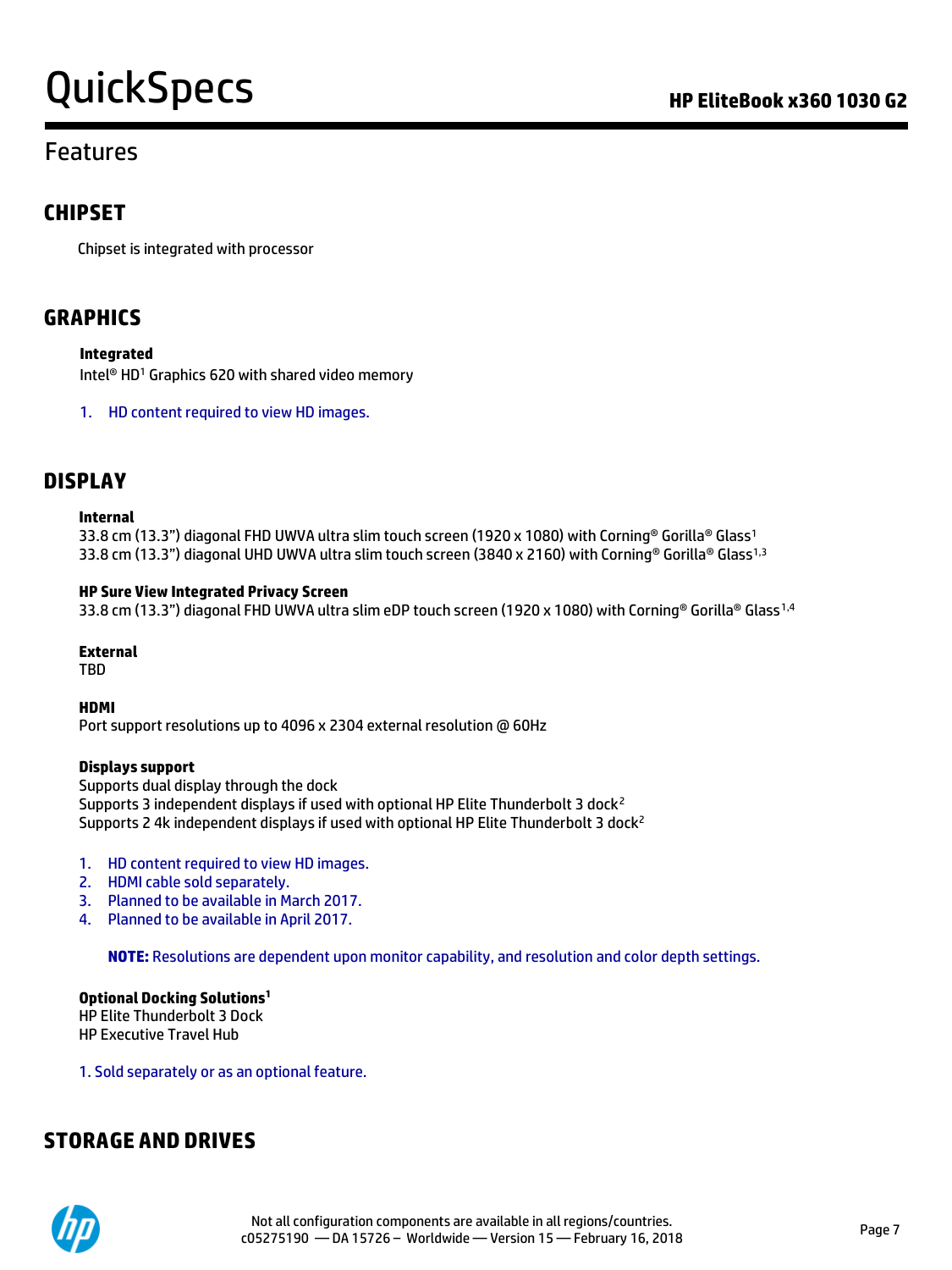# QuickSpecs **Call Accord Contract Contract Contract Contract Contract Contract Contract Contract Contract Contract Contract Contract Contract Contract Contract Contract Contract Contract Contract Contract Contract Contract**

## Features

### **CHIPSET**

Chipset is integrated with processor

### **GRAPHICS**

**Integrated**

Intel® HD<sup>1</sup> Graphics 620 with shared video memory

1. HD content required to view HD images.

### **DISPLAY**

#### **Internal**

33.8 cm (13.3") diagonal FHD UWVA ultra slim touch screen (1920 x 1080) with Corning® Gorilla® Glass<sup>1</sup> 33.8 cm (13.3") diagonal UHD UWVA ultra slim touch screen (3840 x 2160) with Corning® Gorilla® Glass<sup>1,3</sup>

#### **HP Sure View Integrated Privacy Screen**

33.8 cm (13.3") diagonal FHD UWVA ultra slim eDP touch screen (1920 x 1080) with Corning® Gorilla® Glass<sup>1,4</sup>

**External**

**TRD** 

**HDMI**

Port support resolutions up to 4096 x 2304 external resolution @ 60Hz

#### **Displays support**

Supports dual display through the dock Supports 3 independent displays if used with optional HP Elite Thunderbolt 3 dock<sup>2</sup> Supports 2 4k independent displays if used with optional HP Elite Thunderbolt 3 dock<sup>2</sup>

- 1. HD content required to view HD images.
- 2. HDMI cable sold separately.
- 3. Planned to be available in March 2017.
- 4. Planned to be available in April 2017.

**NOTE:** Resolutions are dependent upon monitor capability, and resolution and color depth settings.

**Optional Docking Solutions<sup>1</sup>** HP Elite Thunderbolt 3 Dock HP Executive Travel Hub

1. Sold separately or as an optional feature.

### **STORAGE AND DRIVES**

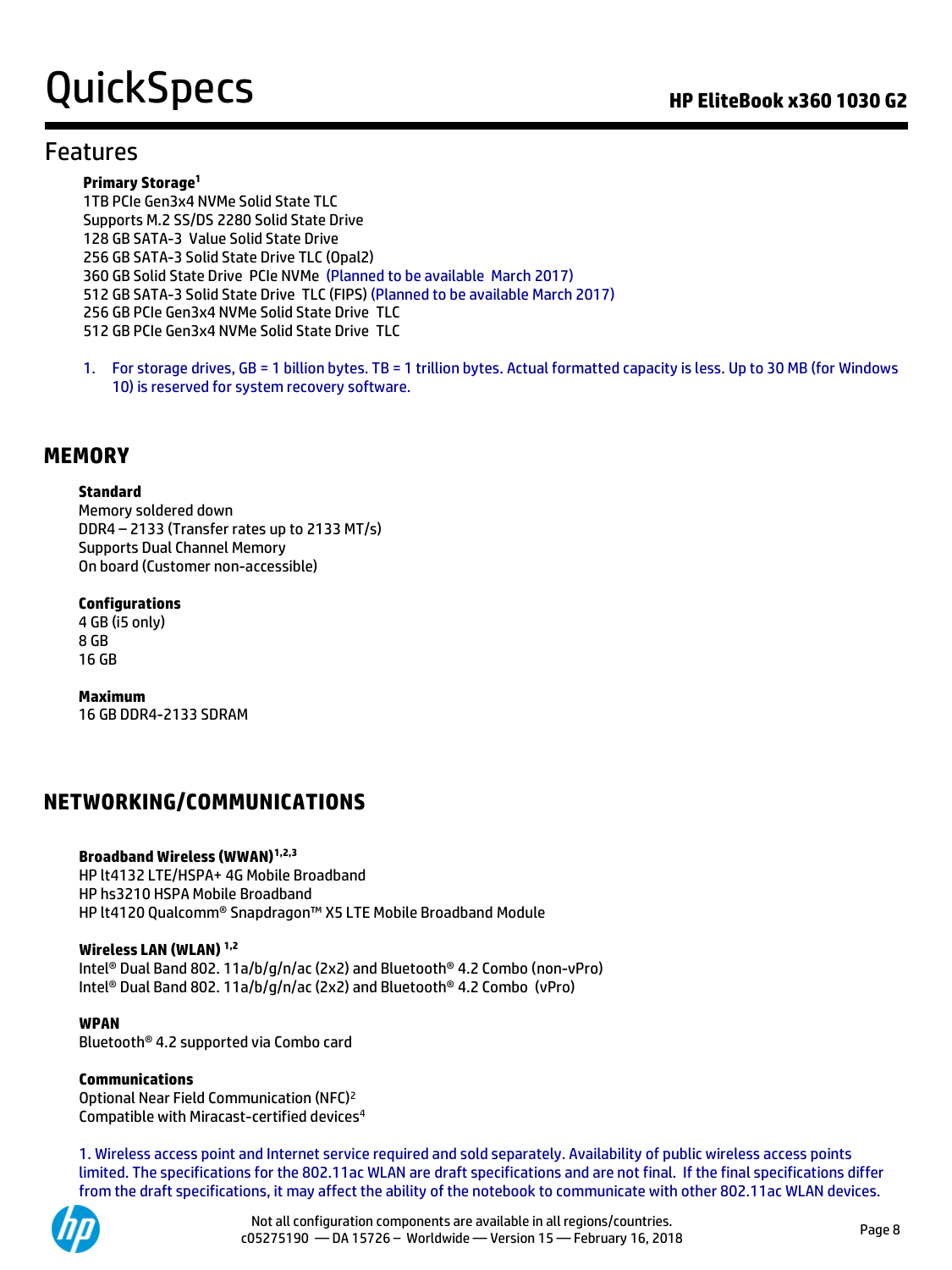# QuickSpecs **Call Accord Contract Contract Contract Contract Contract Contract Contract Contract Contract Contract Contract Contract Contract Contract Contract Contract Contract Contract Contract Contract Contract Contract**

### Features

#### **Primary Storage<sup>1</sup>**

1TB PCIe Gen3x4 NVMe Solid State TLC Supports M.2 SS/DS 2280 Solid State Drive 128 GB SATA-3 Value Solid State Drive 256 GB SATA-3 Solid State Drive TLC (Opal2) 360 GB Solid State Drive PCIe NVMe (Planned to be available March 2017) 512 GB SATA-3 Solid State Drive TLC (FIPS) (Planned to be available March 2017) 256 GB PCIe Gen3x4 NVMe Solid State Drive TLC 512 GB PCIe Gen3x4 NVMe Solid State Drive TLC

1. For storage drives, GB = 1 billion bytes. TB = 1 trillion bytes. Actual formatted capacity is less. Up to 30 MB (for Windows 10) is reserved for system recovery software.

### **MEMORY**

#### **Standard**

Memory soldered down DDR4 – 2133 (Transfer rates up to 2133 MT/s) Supports Dual Channel Memory On board (Customer non-accessible)

#### **Configurations**

4 GB (i5 only) 8 GB 16 GB

**Maximum** 16 GB DDR4-2133 SDRAM

### **NETWORKING/COMMUNICATIONS**

#### **Broadband Wireless (WWAN)1,2,3**

HP lt4132 LTE/HSPA+ 4G Mobile Broadband HP hs3210 HSPA Mobile Broadband HP lt4120 Qualcomm® Snapdragon™ X5 LTE Mobile Broadband Module

#### **Wireless LAN (WLAN) 1,2**

Intel® Dual Band 802. 11a/b/g/n/ac (2x2) and Bluetooth® 4.2 Combo (non-vPro) Intel® Dual Band 802. 11a/b/g/n/ac (2x2) and Bluetooth® 4.2 Combo (vPro)

#### **WPAN**

Bluetooth® 4.2 supported via Combo card

### **Communications**

Optional Near Field Communication (NFC)<sup>2</sup> Compatible with Miracast-certified devices<sup>4</sup>

1. Wireless access point and Internet service required and sold separately. Availability of public wireless access points limited. The specifications for the 802.11ac WLAN are draft specifications and are not final. If the final specifications differ from the draft specifications, it may affect the ability of the notebook to communicate with other 802.11ac WLAN devices.

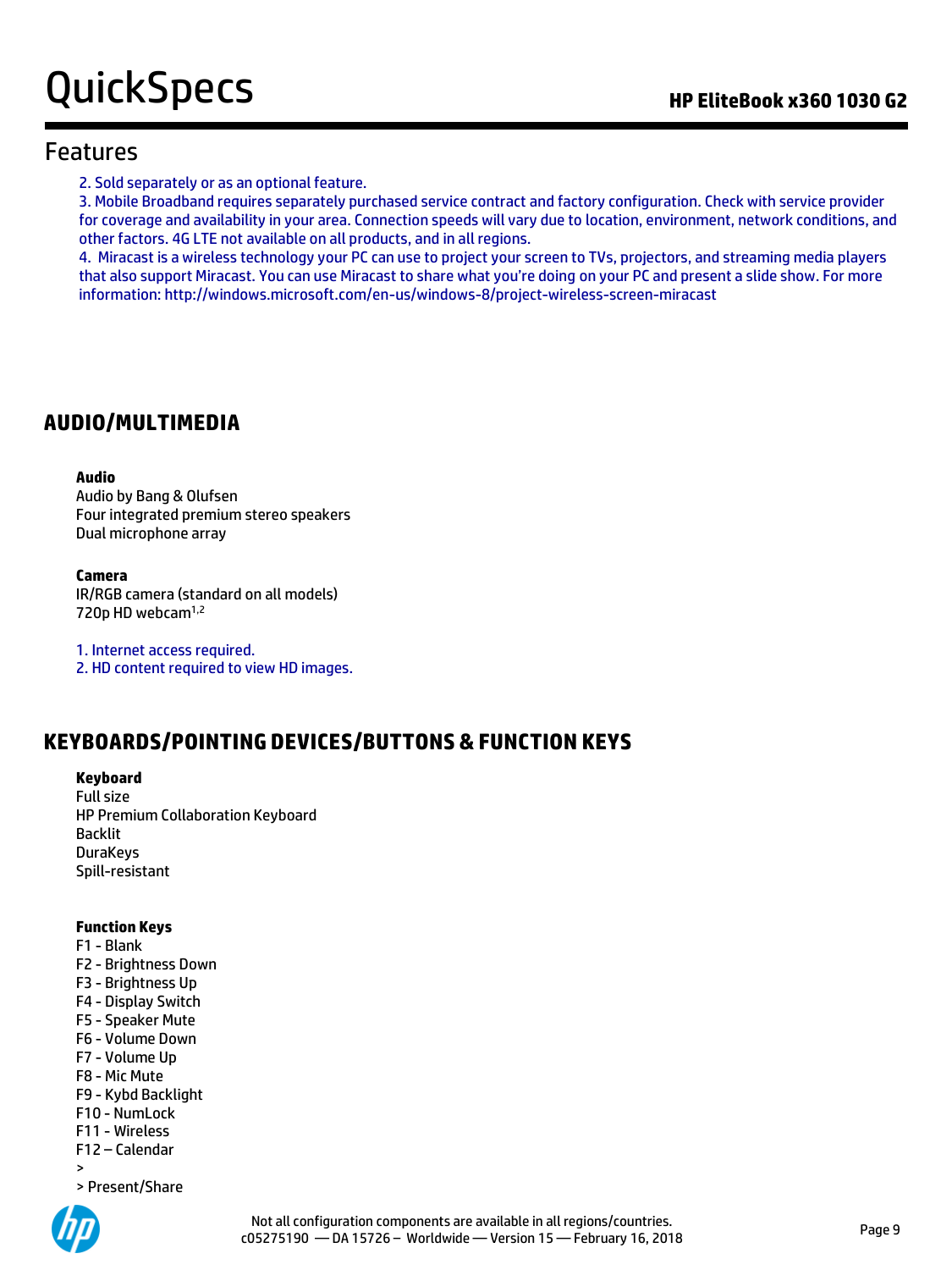### Features

2. Sold separately or as an optional feature.

3. Mobile Broadband requires separately purchased service contract and factory configuration. Check with service provider for coverage and availability in your area. Connection speeds will vary due to location, environment, network conditions, and other factors. 4G LTE not available on all products, and in all regions.

4. Miracast is a wireless technology your PC can use to project your screen to TVs, projectors, and streaming media players that also support Miracast. You can use Miracast to share what you're doing on your PC and present a slide show. For more information: http://windows.microsoft.com/en-us/windows-8/project-wireless-screen-miracast

### **AUDIO/MULTIMEDIA**

#### **Audio**

Audio by Bang & Olufsen Four integrated premium stereo speakers Dual microphone array

#### **Camera**

IR/RGB camera (standard on all models) 720p HD webcam<sup>1,2</sup>

1. Internet access required. 2. HD content required to view HD images.

## **KEYBOARDS/POINTING DEVICES/BUTTONS & FUNCTION KEYS**

### **Keyboard**

Full size HP Premium Collaboration Keyboard Backlit DuraKeys Spill-resistant

### **Function Keys**

F1 - Blank

- F2 Brightness Down
- F3 Brightness Up
- F4 Display Switch
- F5 Speaker Mute
- F6 Volume Down
- F7 Volume Up
- F8 Mic Mute
- F9 Kybd Backlight
- F10 NumLock F11 - Wireless
- F12 Calendar
- >
- > Present/Share

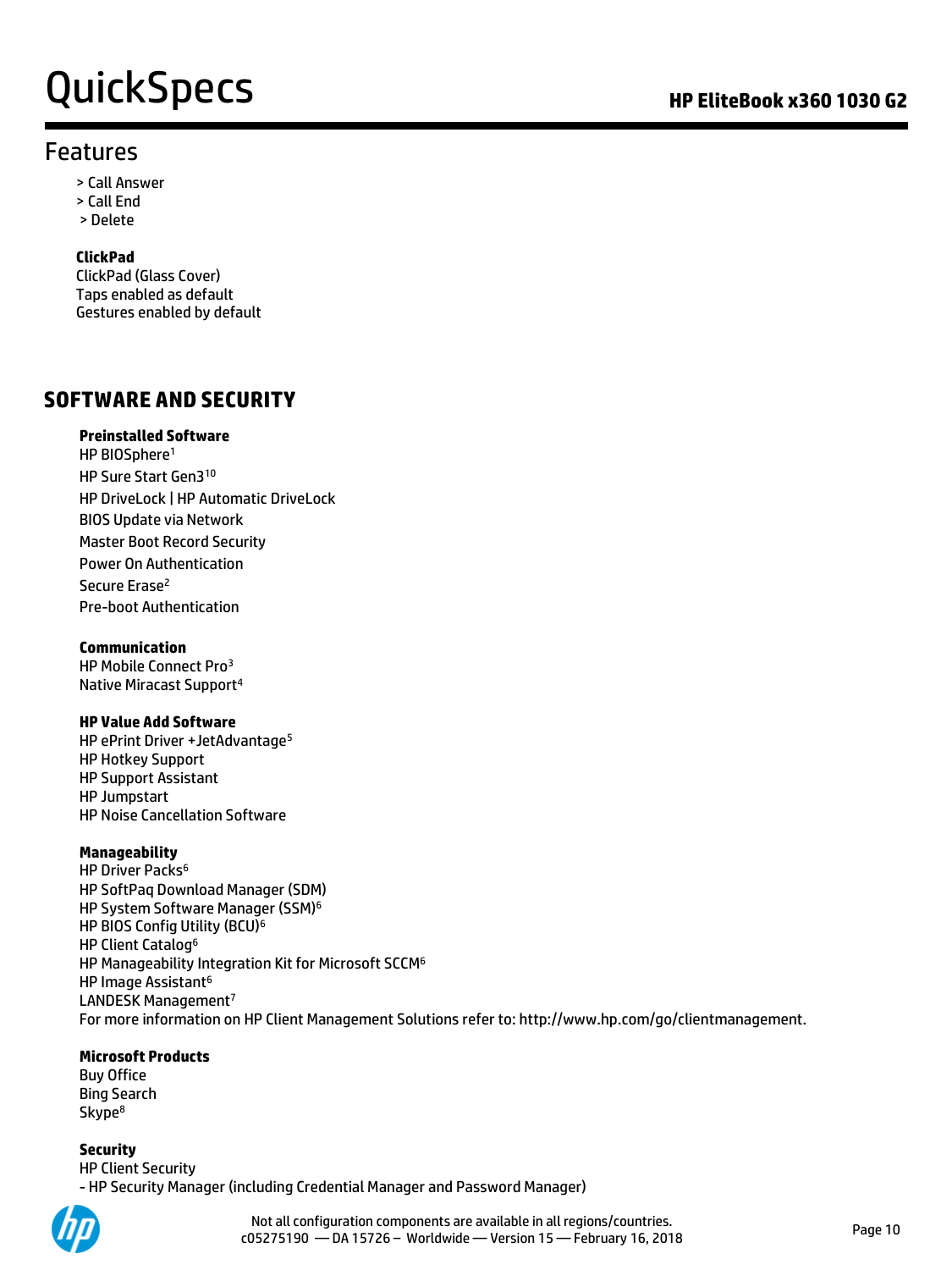# QuickSpecs **Call Accord Contract Contract Contract Contract Contract Contract Contract Contract Contract Contract Contract Contract Contract Contract Contract Contract Contract Contract Contract Contract Contract Contract**

## Features

- > Call Answer
- > Call End
- > Delete

### **ClickPad**

ClickPad (Glass Cover) Taps enabled as default Gestures enabled by default

### **SOFTWARE AND SECURITY**

### **Preinstalled Software**

HP BIOSphere<sup>1</sup> HP Sure Start Gen3<sup>10</sup> HP DriveLock | HP Automatic DriveLock BIOS Update via Network Master Boot Record Security Power On Authentication Secure Erase<sup>2</sup> Pre-boot Authentication

### **Communication**

HP Mobile Connect Pro<sup>3</sup> Native Miracast Support<sup>4</sup>

### **HP Value Add Software**

HP ePrint Driver + JetAdvantage<sup>5</sup> HP Hotkey Support HP Support Assistant HP Jumpstart HP Noise Cancellation Software

### **Manageability**

HP Driver Packs<sup>6</sup> HP SoftPaq Download Manager (SDM) HP System Software Manager (SSM)<sup>6</sup> HP BIOS Config Utility (BCU)<sup>6</sup> HP Client Catalog<sup>6</sup> HP Manageability Integration Kit for Microsoft SCCM<sup>6</sup> HP Image Assistant<sup>6</sup> LANDESK Management<sup>7</sup> For more information on HP Client Management Solutions refer to: http://www.hp.com/go/clientmanagement.

### **Microsoft Products**

Buy Office Bing Search Skype<sup>8</sup>

**Security**  HP Client Security - HP Security Manager (including Credential Manager and Password Manager)



Not all configuration components are available in all regions/countries. construction different components are available in all regions, countries.<br>C05275190 — DA 15726 – Worldwide — Version 15 — February 16, 2018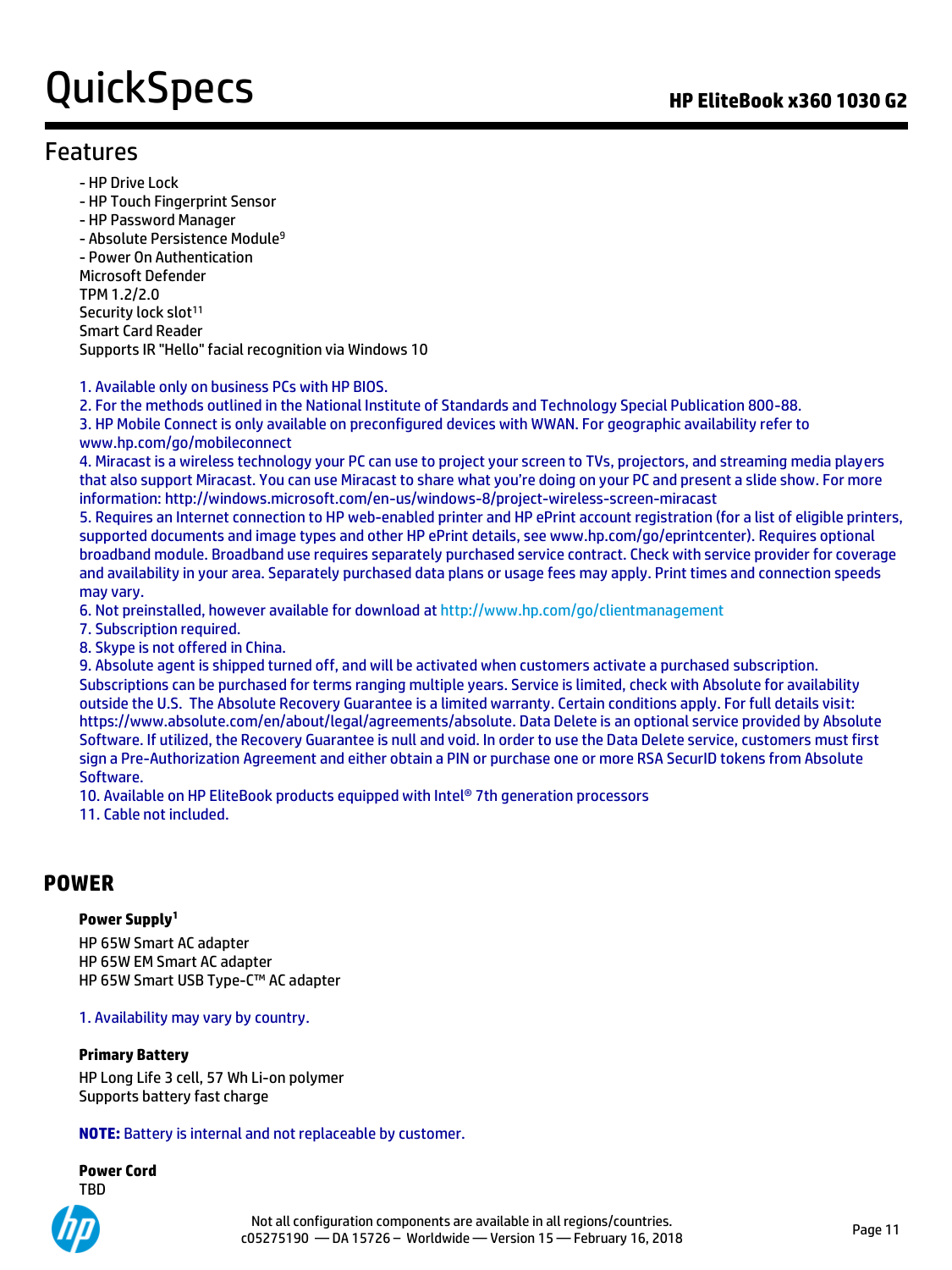# QuickSpecs **Manual Accord Contract Contract Contract Contract Contract Contract Contract Contract Contract Contract Contract Contract Contract Contract Contract Contract Contract Contract Contract Contract Contract Contrac**

## Features

- HP Drive Lock
- HP Touch Fingerprint Sensor
- HP Password Manager

- Absolute Persistence Module<sup>9</sup> - Power On Authentication Microsoft Defender TPM 1.2/2.0 Security lock slot<sup>11</sup> Smart Card Reader Supports IR "Hello" facial recognition via Windows 10

### 1. Available only on business PCs with HP BIOS.

2. For the methods outlined in the National Institute of Standards and Technology Special Publication 800-88. 3. HP Mobile Connect is only available on preconfigured devices with WWAN. For geographic availability refer to www.hp.com/go/mobileconnect

4. Miracast is a wireless technology your PC can use to project your screen to TVs, projectors, and streaming media players that also support Miracast. You can use Miracast to share what you're doing on your PC and present a slide show. For more information: http://windows.microsoft.com/en-us/windows-8/project-wireless-screen-miracast

5. Requires an Internet connection to HP web-enabled printer and HP ePrint account registration (for a list of eligible printers, supported documents and image types and other HP ePrint details, see www.hp.com/go/eprintcenter). Requires optional broadband module. Broadband use requires separately purchased service contract. Check with service provider for coverage and availability in your area. Separately purchased data plans or usage fees may apply. Print times and connection speeds may vary.

6. Not preinstalled, however available for download at<http://www.hp.com/go/clientmanagement>

7. Subscription required.

8. Skype is not offered in China.

9. Absolute agent is shipped turned off, and will be activated when customers activate a purchased subscription. Subscriptions can be purchased for terms ranging multiple years. Service is limited, check with Absolute for availability outside the U.S. The Absolute Recovery Guarantee is a limited warranty. Certain conditions apply. For full details visit: https://www.absolute.com/en/about/legal/agreements/absolute. Data Delete is an optional service provided by Absolute Software. If utilized, the Recovery Guarantee is null and void. In order to use the Data Delete service, customers must first sign a Pre-Authorization Agreement and either obtain a PIN or purchase one or more RSA SecurID tokens from Absolute Software.

10. Available on HP EliteBook products equipped with Intel® 7th generation processors

11. Cable not included.

### **POWER**

#### **Power Supply<sup>1</sup>**

HP 65W Smart AC adapter HP 65W EM Smart AC adapter HP 65W Smart USB Type-C™ AC adapter

### 1. Availability may vary by country.

#### **Primary Battery**

HP Long Life 3 cell, 57 Wh Li-on polymer Supports battery fast charge

**NOTE:** Battery is internal and not replaceable by customer.

**Power Cord** TBD

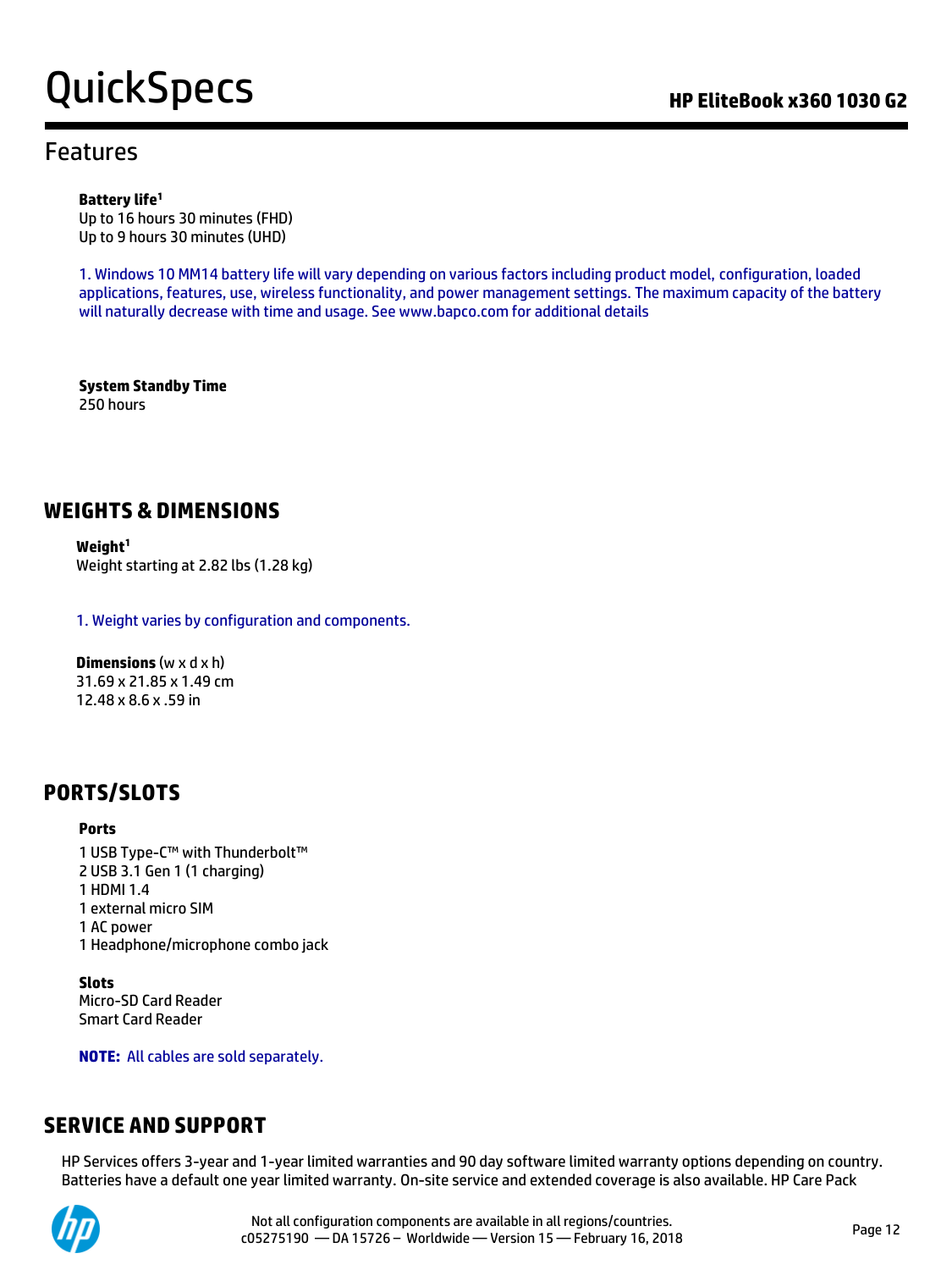# QuickSpecs **Call Accord Contract Contract Contract Contract Contract Contract Contract Contract Contract Contract Contract Contract Contract Contract Contract Contract Contract Contract Contract Contract Contract Contract**

## Features

#### **Battery life<sup>1</sup>**

Up to 16 hours 30 minutes (FHD) Up to 9 hours 30 minutes (UHD)

1. Windows 10 MM14 battery life will vary depending on various factors including product model, configuration, loaded applications, features, use, wireless functionality, and power management settings. The maximum capacity of the battery will naturally decrease with time and usage. See www.bapco.com for additional details

**System Standby Time** 250 hours

### **WEIGHTS & DIMENSIONS**

**Weight<sup>1</sup>** Weight starting at 2.82 lbs (1.28 kg)

1. Weight varies by configuration and components.

**Dimensions** (w x d x h) 31.69 x 21.85 x 1.49 cm 12.48 x 8.6 x .59 in

### **PORTS/SLOTS**

#### **Ports**

1 USB Type-C™ with Thunderbolt™ 2 USB 3.1 Gen 1 (1 charging) 1 HDMI 1.4 1 external micro SIM 1 AC power 1 Headphone/microphone combo jack

**Slots** Micro-SD Card Reader Smart Card Reader

**NOTE:** All cables are sold separately.

### **SERVICE AND SUPPORT**

HP Services offers 3-year and 1-year limited warranties and 90 day software limited warranty options depending on country. Batteries have a default one year limited warranty. On-site service and extended coverage is also available. HP Care Pack

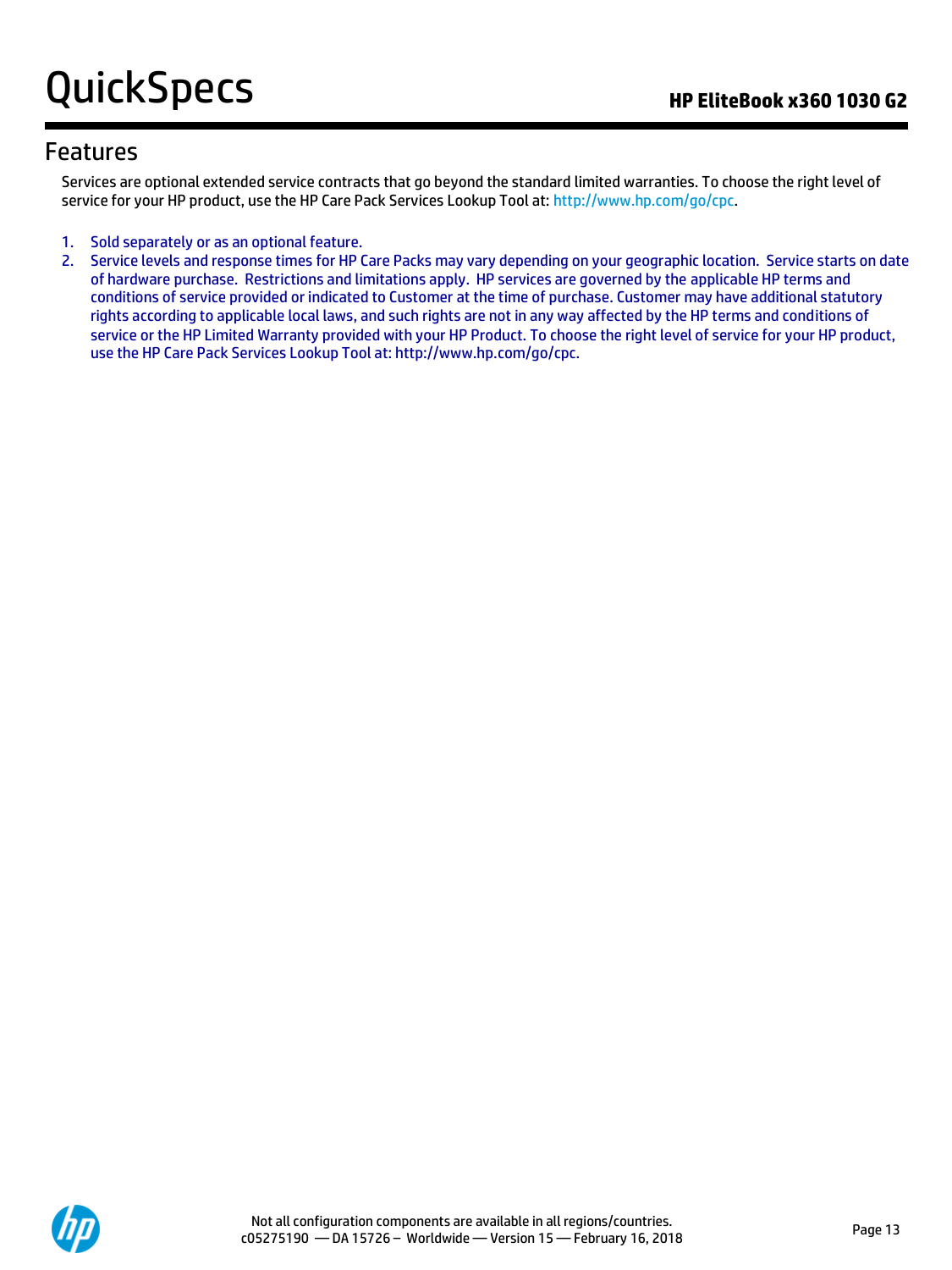## Features

Services are optional extended service contracts that go beyond the standard limited warranties. To choose the right level of service for your HP product, use the HP Care Pack Services Lookup Tool at[: http://www.hp.com/go/cpc.](http://www.hp.com/go/cpc)

- 1. Sold separately or as an optional feature.
- 2. Service levels and response times for HP Care Packs may vary depending on your geographic location. Service starts on date of hardware purchase. Restrictions and limitations apply. HP services are governed by the applicable HP terms and conditions of service provided or indicated to Customer at the time of purchase. Customer may have additional statutory rights according to applicable local laws, and such rights are not in any way affected by the HP terms and conditions of service or the HP Limited Warranty provided with your HP Product. To choose the right level of service for your HP product, use the HP Care Pack Services Lookup Tool at: http://www.hp.com/go/cpc.

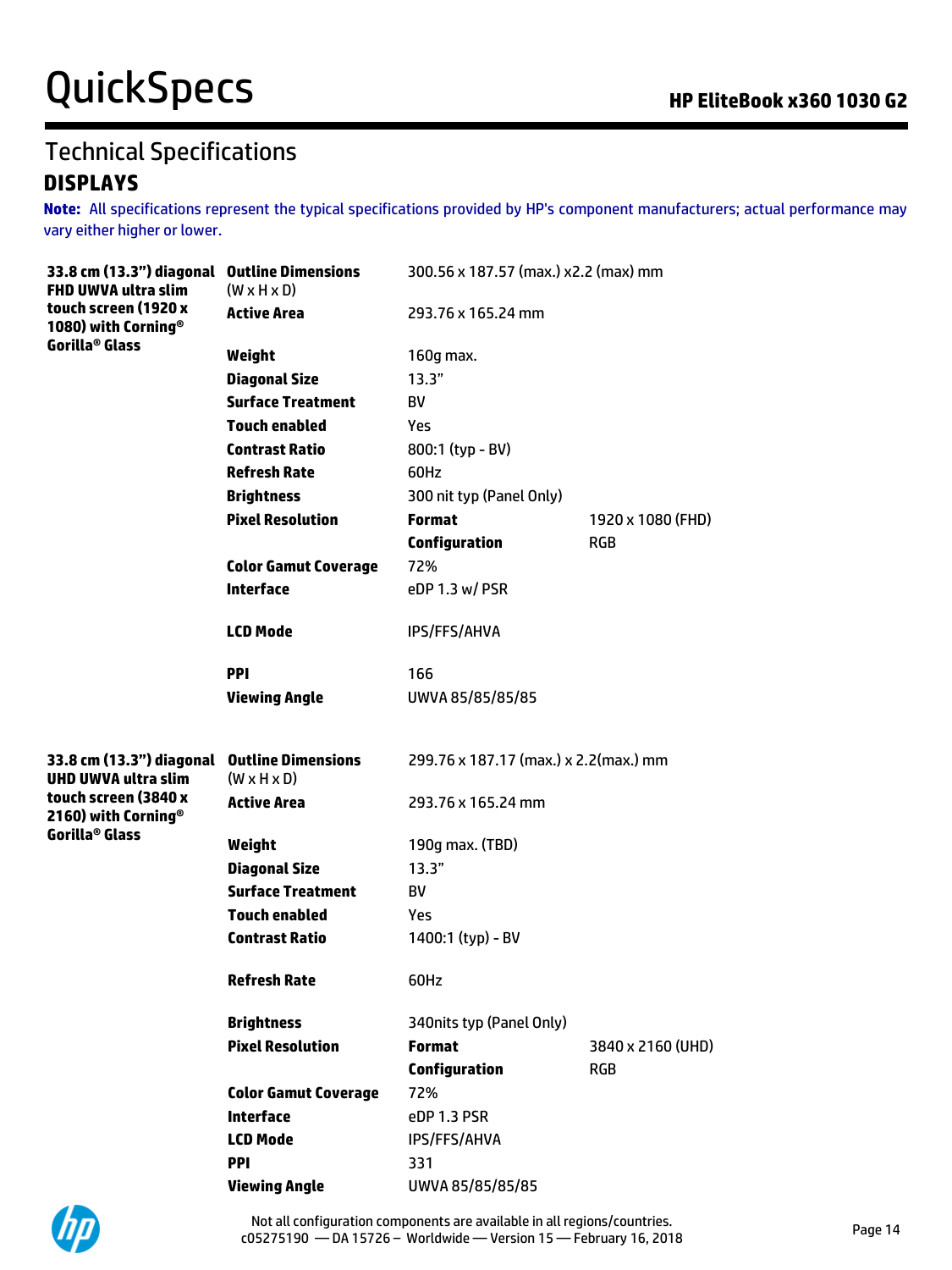# QuickSpecs **Manufact Specs COMPOS COMPOSE AND THE ELITEBOOK X360 1030 G2**

## Technical Specifications **DISPLAYS**

**Note:** All specifications represent the typical specifications provided by HP's component manufacturers; actual performance may vary either higher or lower.

| 33.8 cm (13.3") diagonal Outline Dimensions<br><b>FHD UWVA ultra slim</b> | $(W \times H \times D)$                              | 300.56 x 187.57 (max.) x2.2 (max) mm  |                   |  |
|---------------------------------------------------------------------------|------------------------------------------------------|---------------------------------------|-------------------|--|
| touch screen (1920 x<br>1080) with Corning <sup>®</sup>                   | <b>Active Area</b>                                   | 293.76 x 165.24 mm                    |                   |  |
| Gorilla <sup>®</sup> Glass                                                | Weight                                               | 160g max.                             |                   |  |
|                                                                           | <b>Diagonal Size</b>                                 | 13.3"                                 |                   |  |
|                                                                           | <b>Surface Treatment</b>                             | BV                                    |                   |  |
|                                                                           | <b>Touch enabled</b>                                 | Yes                                   |                   |  |
|                                                                           | <b>Contrast Ratio</b>                                | 800:1 (typ - BV)                      |                   |  |
|                                                                           | <b>Refresh Rate</b>                                  | 60Hz                                  |                   |  |
|                                                                           | <b>Brightness</b>                                    | 300 nit typ (Panel Only)              |                   |  |
|                                                                           | <b>Pixel Resolution</b>                              | <b>Format</b>                         | 1920 x 1080 (FHD) |  |
|                                                                           |                                                      | <b>Configuration</b>                  | <b>RGB</b>        |  |
|                                                                           | <b>Color Gamut Coverage</b>                          | 72%                                   |                   |  |
|                                                                           | <b>Interface</b>                                     | eDP 1.3 w/ PSR                        |                   |  |
|                                                                           | <b>LCD Mode</b>                                      | <b>IPS/FFS/AHVA</b>                   |                   |  |
|                                                                           | <b>PPI</b>                                           | 166                                   |                   |  |
|                                                                           | <b>Viewing Angle</b>                                 | UWVA 85/85/85/85                      |                   |  |
|                                                                           |                                                      |                                       |                   |  |
| 33.8 cm (13.3") diagonal<br><b>UHD UWVA ultra slim</b>                    | <b>Outline Dimensions</b><br>$(W \times H \times D)$ | 299.76 x 187.17 (max.) x 2.2(max.) mm |                   |  |
| touch screen (3840 x<br>2160) with Corning <sup>®</sup>                   | <b>Active Area</b>                                   | 293.76 x 165.24 mm                    |                   |  |
| Gorilla <sup>®</sup> Glass                                                | Weight                                               | 190g max. (TBD)                       |                   |  |
|                                                                           | <b>Diagonal Size</b>                                 | 13.3"                                 |                   |  |
|                                                                           | <b>Surface Treatment</b>                             | BV                                    |                   |  |
|                                                                           | <b>Touch enabled</b>                                 | Yes                                   |                   |  |
|                                                                           | <b>Contrast Ratio</b>                                | 1400:1 (typ) - BV                     |                   |  |
|                                                                           | Refresh Rate                                         | 60Hz                                  |                   |  |
|                                                                           | <b>Brightness</b>                                    | 340nits typ (Panel Only)              |                   |  |
|                                                                           | <b>Pixel Resolution</b>                              | <b>Format</b>                         | 3840 x 2160 (UHD) |  |
|                                                                           |                                                      | <b>Configuration</b>                  | <b>RGB</b>        |  |
|                                                                           | <b>Color Gamut Coverage</b>                          | 72%                                   |                   |  |
|                                                                           | <b>Interface</b>                                     | eDP 1.3 PSR                           |                   |  |
|                                                                           | <b>LCD Mode</b>                                      | <b>IPS/FFS/AHVA</b>                   |                   |  |
|                                                                           | <b>PPI</b>                                           | 331                                   |                   |  |
|                                                                           | <b>Viewing Angle</b>                                 | UWVA 85/85/85/85                      |                   |  |

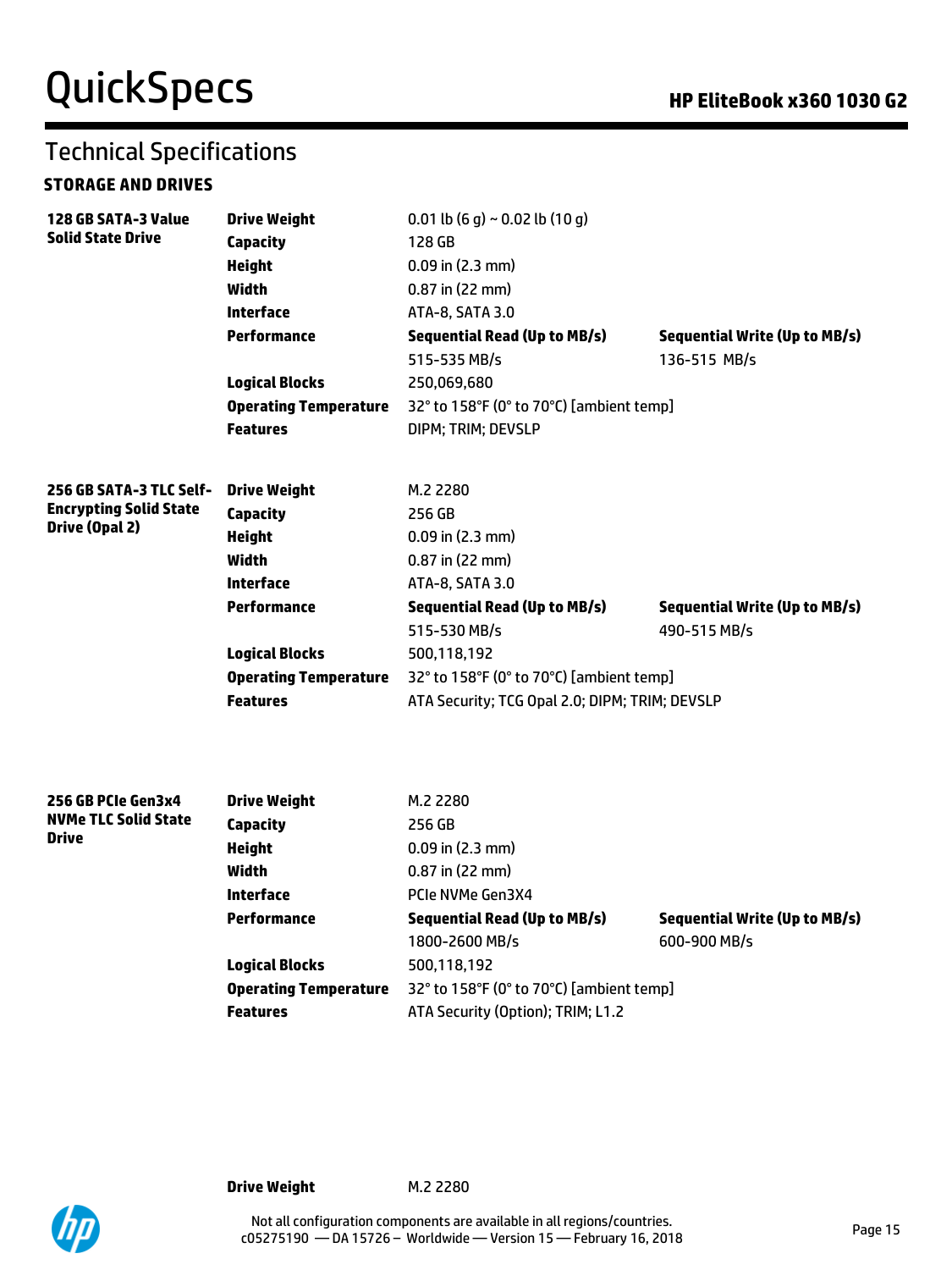# Technical Specifications

### **STORAGE AND DRIVES**

| 128 GB SATA-3 Value                                      | <b>Drive Weight</b>          | 0.01 lb $(6 g) \sim 0.02$ lb $(10 g)$          |                                      |  |  |
|----------------------------------------------------------|------------------------------|------------------------------------------------|--------------------------------------|--|--|
| <b>Solid State Drive</b>                                 | Capacity                     | 128 GB                                         |                                      |  |  |
|                                                          | <b>Height</b>                | $0.09$ in $(2.3$ mm)                           |                                      |  |  |
|                                                          | Width                        | $0.87$ in (22 mm)                              |                                      |  |  |
|                                                          | Interface                    | ATA-8, SATA 3.0                                |                                      |  |  |
|                                                          | Performance                  | <b>Sequential Read (Up to MB/s)</b>            | <b>Sequential Write (Up to MB/s)</b> |  |  |
|                                                          |                              | 515-535 MB/s                                   | 136-515 MB/s                         |  |  |
|                                                          | <b>Logical Blocks</b>        | 250,069,680                                    |                                      |  |  |
|                                                          | <b>Operating Temperature</b> | 32° to 158°F (0° to 70°C) [ambient temp]       |                                      |  |  |
|                                                          | <b>Features</b>              | DIPM; TRIM; DEVSLP                             |                                      |  |  |
|                                                          |                              |                                                |                                      |  |  |
| 256 GB SATA-3 TLC Self-<br><b>Encrypting Solid State</b> | <b>Drive Weight</b>          | M.2 2280                                       |                                      |  |  |
| <b>Drive (Opal 2)</b>                                    | <b>Capacity</b>              | 256 GB                                         |                                      |  |  |
|                                                          | <b>Height</b>                | $0.09$ in $(2.3$ mm)                           |                                      |  |  |
|                                                          | <b>Width</b>                 | 0.87 in (22 mm)                                |                                      |  |  |
|                                                          | Interface                    | ATA-8, SATA 3.0                                |                                      |  |  |
|                                                          | Performance                  | <b>Sequential Read (Up to MB/s)</b>            | <b>Sequential Write (Up to MB/s)</b> |  |  |
|                                                          |                              | 515-530 MB/s                                   | 490-515 MB/s                         |  |  |
|                                                          | <b>Logical Blocks</b>        | 500,118,192                                    |                                      |  |  |
|                                                          | <b>Operating Temperature</b> | 32° to 158°F (0° to 70°C) [ambient temp]       |                                      |  |  |
|                                                          | <b>Features</b>              | ATA Security; TCG Opal 2.0; DIPM; TRIM; DEVSLP |                                      |  |  |
|                                                          |                              |                                                |                                      |  |  |
| 256 GB PCIe Gen3x4                                       | <b>Drive Weight</b>          | M.2 2280                                       |                                      |  |  |
| <b>NVMe TLC Solid State</b><br><b>Drive</b>              | <b>Capacity</b>              | 256 GB                                         |                                      |  |  |
|                                                          | <b>Height</b>                | $0.09$ in $(2.3$ mm)                           |                                      |  |  |
|                                                          | Width                        | $0.87$ in (22 mm)                              |                                      |  |  |
|                                                          | Interface                    | PCIe NVMe Gen3X4                               |                                      |  |  |
|                                                          | <b>Performance</b>           | <b>Sequential Read (Up to MB/s)</b>            | <b>Sequential Write (Up to MB/s)</b> |  |  |
|                                                          |                              | 1800-2600 MB/s                                 | 600-900 MB/s                         |  |  |
|                                                          | <b>Logical Blocks</b>        | 500,118,192                                    |                                      |  |  |
|                                                          | <b>Operating Temperature</b> | 32° to 158°F (0° to 70°C) [ambient temp]       |                                      |  |  |
|                                                          | <b>Features</b>              | ATA Security (Option); TRIM; L1.2              |                                      |  |  |

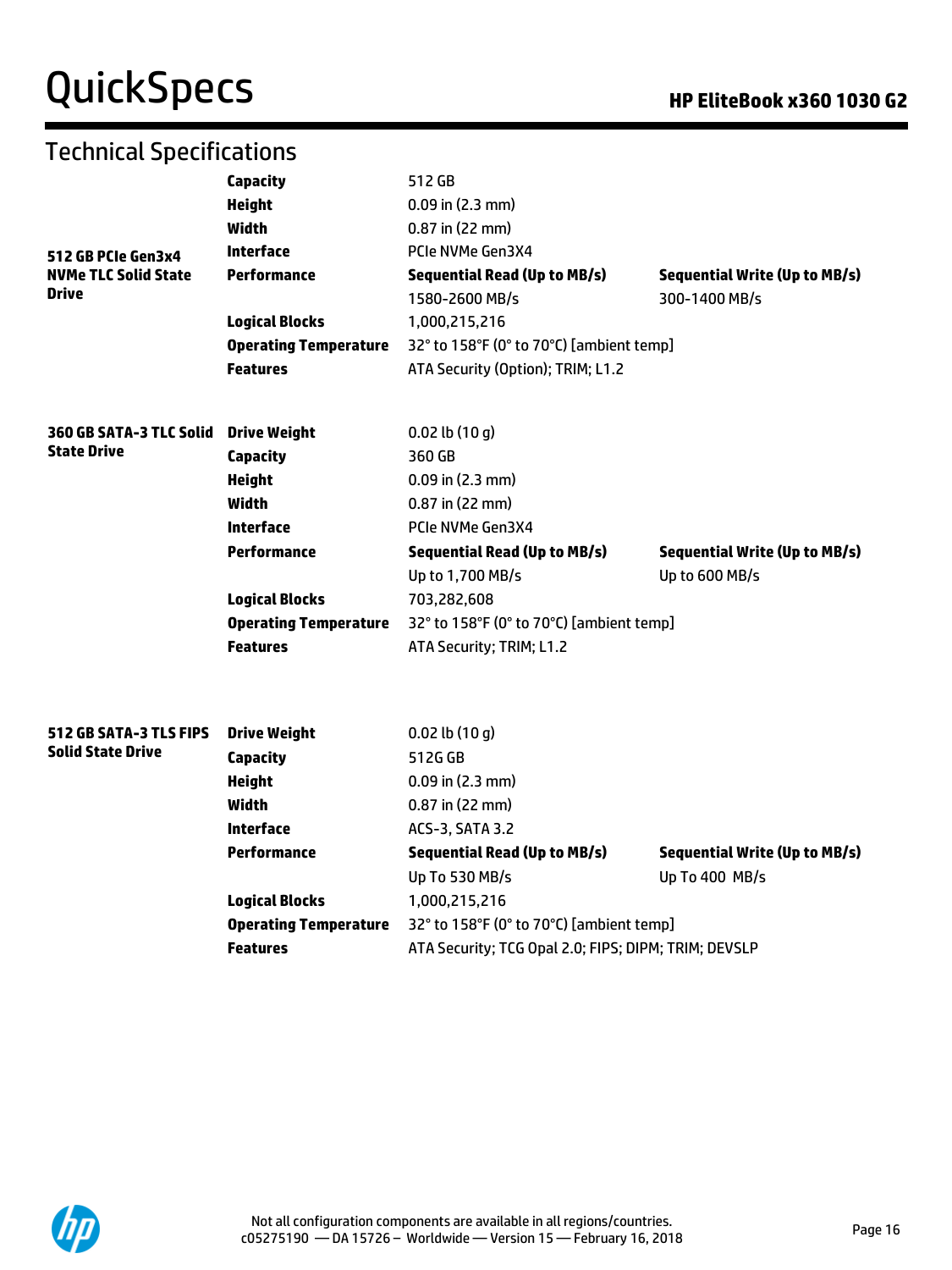# QuickSpecs **Manual Contract Contract Contract Contract Contract Contract Contract Contract Contract Contract Contract Contract Contract Contract Contract Contract Contract Contract Contract Contract Contract Contract Contr**

# Technical Specifications

|                                                    | Capacity                     | 512 GB                                               |                                      |  |  |  |
|----------------------------------------------------|------------------------------|------------------------------------------------------|--------------------------------------|--|--|--|
|                                                    | <b>Height</b>                | $0.09$ in $(2.3$ mm)                                 |                                      |  |  |  |
|                                                    | Width                        | $0.87$ in (22 mm)                                    |                                      |  |  |  |
| 512 GB PCIe Gen3x4                                 | Interface                    | PCIe NVMe Gen3X4                                     |                                      |  |  |  |
| <b>NVMe TLC Solid State</b>                        | Performance                  | <b>Sequential Read (Up to MB/s)</b>                  | <b>Sequential Write (Up to MB/s)</b> |  |  |  |
| <b>Drive</b>                                       |                              | 1580-2600 MB/s                                       | 300-1400 MB/s                        |  |  |  |
|                                                    | <b>Logical Blocks</b>        | 1,000,215,216                                        |                                      |  |  |  |
|                                                    | <b>Operating Temperature</b> | 32° to 158°F (0° to 70°C) [ambient temp]             |                                      |  |  |  |
|                                                    | <b>Features</b>              | ATA Security (Option); TRIM; L1.2                    |                                      |  |  |  |
| 360 GB SATA-3 TLC Solid                            | <b>Drive Weight</b>          | $0.02$ lb $(10q)$                                    |                                      |  |  |  |
| <b>State Drive</b>                                 | <b>Capacity</b>              | 360 GB                                               |                                      |  |  |  |
|                                                    | <b>Height</b>                | $0.09$ in $(2.3$ mm)                                 |                                      |  |  |  |
|                                                    | <b>Width</b>                 | $0.87$ in (22 mm)                                    |                                      |  |  |  |
|                                                    | Interface                    | PCIe NVMe Gen3X4                                     |                                      |  |  |  |
|                                                    | Performance                  | <b>Sequential Read (Up to MB/s)</b>                  | <b>Sequential Write (Up to MB/s)</b> |  |  |  |
|                                                    |                              | Up to 1,700 MB/s                                     | Up to 600 MB/s                       |  |  |  |
|                                                    | <b>Logical Blocks</b>        | 703,282,608                                          |                                      |  |  |  |
|                                                    | <b>Operating Temperature</b> | 32° to 158°F (0° to 70°C) [ambient temp]             |                                      |  |  |  |
|                                                    | <b>Features</b>              | ATA Security; TRIM; L1.2                             |                                      |  |  |  |
|                                                    |                              |                                                      |                                      |  |  |  |
| 512 GB SATA-3 TLS FIPS<br><b>Solid State Drive</b> | <b>Drive Weight</b>          | $0.02$ lb $(10q)$<br>512G GB                         |                                      |  |  |  |
|                                                    | <b>Capacity</b>              | $0.09$ in $(2.3$ mm)                                 |                                      |  |  |  |
|                                                    | <b>Height</b><br>Width       | 0.87 in (22 mm)                                      |                                      |  |  |  |
|                                                    | Interface                    | ACS-3, SATA 3.2                                      |                                      |  |  |  |
|                                                    | <b>Performance</b>           |                                                      |                                      |  |  |  |
|                                                    |                              | <b>Sequential Read (Up to MB/s)</b>                  | <b>Sequential Write (Up to MB/s)</b> |  |  |  |
|                                                    |                              | Up To 530 MB/s                                       | Up To 400 MB/s                       |  |  |  |
|                                                    | <b>Logical Blocks</b>        | 1,000,215,216                                        |                                      |  |  |  |
|                                                    | <b>Operating Temperature</b> | 32° to 158°F (0° to 70°C) [ambient temp]             |                                      |  |  |  |
|                                                    | <b>Features</b>              | ATA Security; TCG Opal 2.0; FIPS; DIPM; TRIM; DEVSLP |                                      |  |  |  |

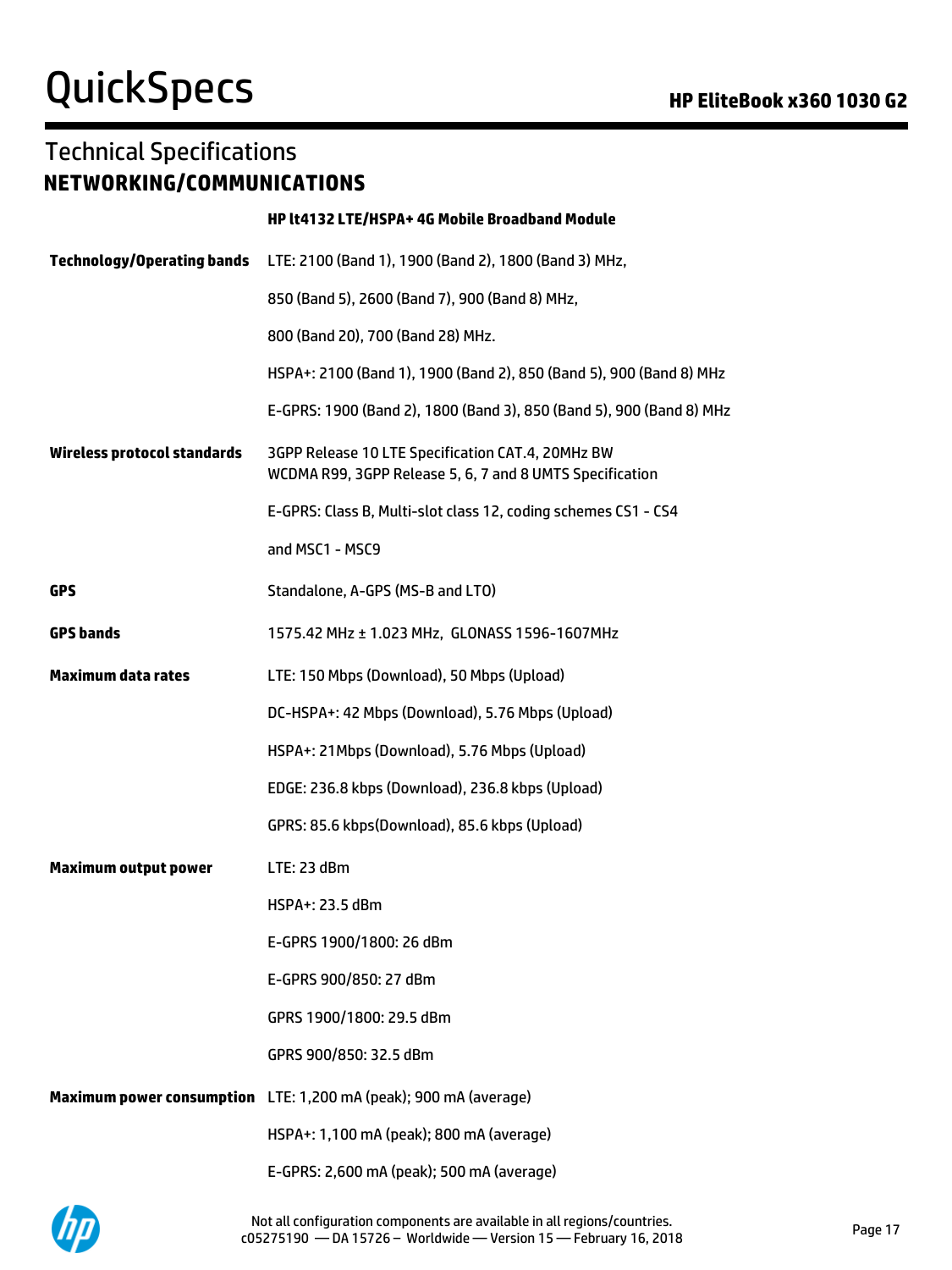# QuickSpecs **Manufacture Contract Contract Contract Contract Contract Contract Contract Contract Contract Contract Contract Contract Contract Contract Contract Contract Contract Contract Contract Contract Contract Contract**

## Technical Specifications **NETWORKING/COMMUNICATIONS**

|                                   | HP lt4132 LTE/HSPA+ 4G Mobile Broadband Module                                                                |  |
|-----------------------------------|---------------------------------------------------------------------------------------------------------------|--|
| <b>Technology/Operating bands</b> | LTE: 2100 (Band 1), 1900 (Band 2), 1800 (Band 3) MHz,                                                         |  |
|                                   | 850 (Band 5), 2600 (Band 7), 900 (Band 8) MHz,                                                                |  |
|                                   | 800 (Band 20), 700 (Band 28) MHz.                                                                             |  |
|                                   | HSPA+: 2100 (Band 1), 1900 (Band 2), 850 (Band 5), 900 (Band 8) MHz                                           |  |
|                                   | E-GPRS: 1900 (Band 2), 1800 (Band 3), 850 (Band 5), 900 (Band 8) MHz                                          |  |
| Wireless protocol standards       | 3GPP Release 10 LTE Specification CAT.4, 20MHz BW<br>WCDMA R99, 3GPP Release 5, 6, 7 and 8 UMTS Specification |  |
|                                   | E-GPRS: Class B, Multi-slot class 12, coding schemes CS1 - CS4                                                |  |
|                                   | and MSC1 - MSC9                                                                                               |  |
| <b>GPS</b>                        | Standalone, A-GPS (MS-B and LTO)                                                                              |  |
| <b>GPS bands</b>                  | 1575.42 MHz ± 1.023 MHz, GLONASS 1596-1607MHz                                                                 |  |
| <b>Maximum data rates</b>         | LTE: 150 Mbps (Download), 50 Mbps (Upload)                                                                    |  |
|                                   | DC-HSPA+: 42 Mbps (Download), 5.76 Mbps (Upload)                                                              |  |
|                                   | HSPA+: 21Mbps (Download), 5.76 Mbps (Upload)                                                                  |  |
|                                   | EDGE: 236.8 kbps (Download), 236.8 kbps (Upload)                                                              |  |
|                                   | GPRS: 85.6 kbps(Download), 85.6 kbps (Upload)                                                                 |  |
| <b>Maximum output power</b>       | LTE: 23 dBm                                                                                                   |  |
|                                   | HSPA+: 23.5 dBm                                                                                               |  |
|                                   | E-GPRS 1900/1800: 26 dBm                                                                                      |  |
|                                   | E-GPRS 900/850: 27 dBm                                                                                        |  |
|                                   | GPRS 1900/1800: 29.5 dBm                                                                                      |  |
|                                   | GPRS 900/850: 32.5 dBm                                                                                        |  |
|                                   | Maximum power consumption LTE: 1,200 mA (peak); 900 mA (average)                                              |  |
|                                   | HSPA+: 1,100 mA (peak); 800 mA (average)                                                                      |  |
|                                   | E-GPRS: 2,600 mA (peak); 500 mA (average)                                                                     |  |

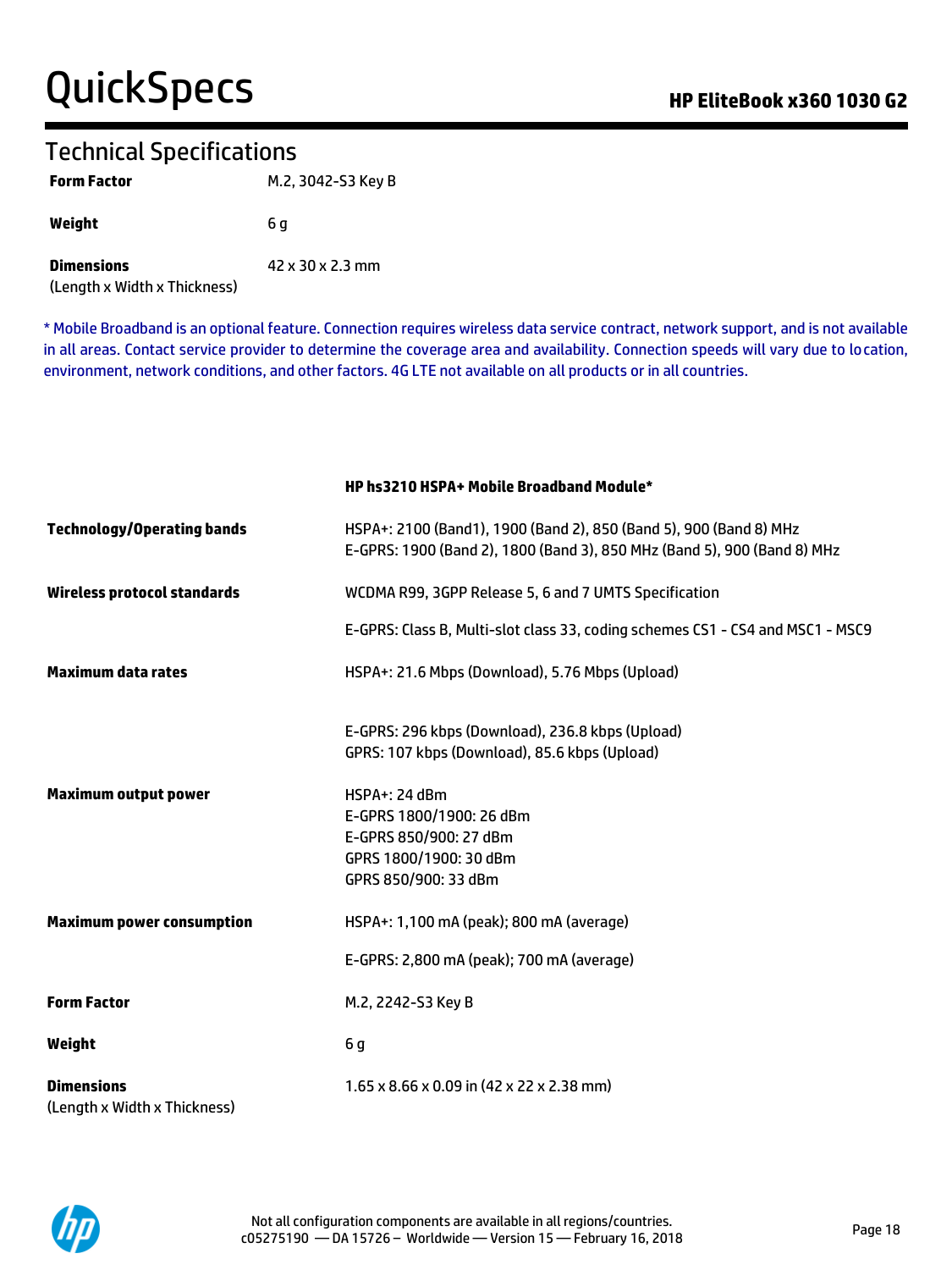# QuickSpecs **Call Accord Contract Contract Contract Contract Contract Contract Contract Contract Contract Contract Contract Contract Contract Contract Contract Contract Contract Contract Contract Contract Contract Contract**

## Technical Specifications

| <b>Form Factor</b>                                | M.2, 3042-S3 Key B |
|---------------------------------------------------|--------------------|
| Weight                                            | 6 a                |
| <b>Dimensions</b><br>(Length x Width x Thickness) | 42 x 30 x 2.3 mm   |

\* Mobile Broadband is an optional feature. Connection requires wireless data service contract, network support, and is not available in all areas. Contact service provider to determine the coverage area and availability. Connection speeds will vary due to location, environment, network conditions, and other factors. 4G LTE not available on all products or in all countries.

**HP hs3210 HSPA+ Mobile Broadband Module\***

| <b>Technology/Operating bands</b>                 | HSPA+: 2100 (Band1), 1900 (Band 2), 850 (Band 5), 900 (Band 8) MHz<br>E-GPRS: 1900 (Band 2), 1800 (Band 3), 850 MHz (Band 5), 900 (Band 8) MHz |
|---------------------------------------------------|------------------------------------------------------------------------------------------------------------------------------------------------|
| Wireless protocol standards                       | WCDMA R99, 3GPP Release 5, 6 and 7 UMTS Specification                                                                                          |
|                                                   | E-GPRS: Class B, Multi-slot class 33, coding schemes CS1 - CS4 and MSC1 - MSC9                                                                 |
| <b>Maximum data rates</b>                         | HSPA+: 21.6 Mbps (Download), 5.76 Mbps (Upload)                                                                                                |
|                                                   | E-GPRS: 296 kbps (Download), 236.8 kbps (Upload)<br>GPRS: 107 kbps (Download), 85.6 kbps (Upload)                                              |
| <b>Maximum output power</b>                       | $HSPA+: 24$ dBm<br>E-GPRS 1800/1900: 26 dBm<br>E-GPRS 850/900: 27 dBm<br>GPRS 1800/1900: 30 dBm<br>GPRS 850/900: 33 dBm                        |
| <b>Maximum power consumption</b>                  | HSPA+: 1,100 mA (peak); 800 mA (average)                                                                                                       |
|                                                   | E-GPRS: 2,800 mA (peak); 700 mA (average)                                                                                                      |
| <b>Form Factor</b>                                | M.2, 2242-S3 Key B                                                                                                                             |
| Weight                                            | 6g                                                                                                                                             |
| <b>Dimensions</b><br>(Length x Width x Thickness) | $1.65 \times 8.66 \times 0.09$ in (42 x 22 x 2.38 mm)                                                                                          |

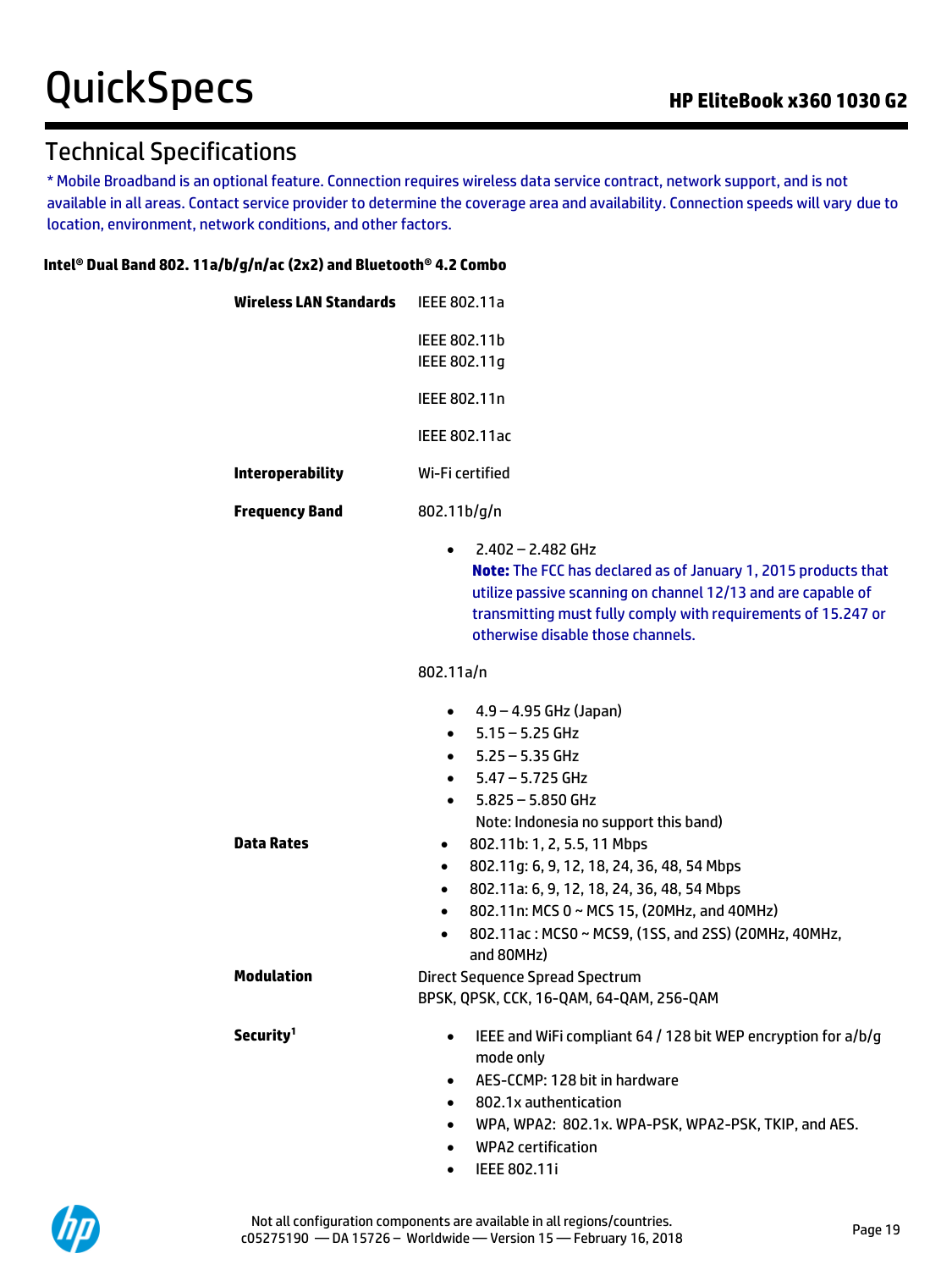# Technical Specifications

\* Mobile Broadband is an optional feature. Connection requires wireless data service contract, network support, and is not available in all areas. Contact service provider to determine the coverage area and availability. Connection speeds will vary due to location, environment, network conditions, and other factors.

### **Intel® Dual Band 802. 11a/b/g/n/ac (2x2) and Bluetooth® 4.2 Combo**

| Wireless LAN Standards                 | IEEE 802.11a                                                                                                                                                                                                                                                                                                                                                                                                                                                                                                                                  |
|----------------------------------------|-----------------------------------------------------------------------------------------------------------------------------------------------------------------------------------------------------------------------------------------------------------------------------------------------------------------------------------------------------------------------------------------------------------------------------------------------------------------------------------------------------------------------------------------------|
|                                        | IEEE 802.11b<br>IEEE 802.11g                                                                                                                                                                                                                                                                                                                                                                                                                                                                                                                  |
|                                        | IEEE 802.11n                                                                                                                                                                                                                                                                                                                                                                                                                                                                                                                                  |
|                                        | <b>IEEE 802.11ac</b>                                                                                                                                                                                                                                                                                                                                                                                                                                                                                                                          |
| <b>Interoperability</b>                | Wi-Fi certified                                                                                                                                                                                                                                                                                                                                                                                                                                                                                                                               |
| <b>Frequency Band</b>                  | 802.11b/g/n                                                                                                                                                                                                                                                                                                                                                                                                                                                                                                                                   |
|                                        | $2.402 - 2.482$ GHz<br>$\bullet$<br>Note: The FCC has declared as of January 1, 2015 products that<br>utilize passive scanning on channel 12/13 and are capable of<br>transmitting must fully comply with requirements of 15.247 or<br>otherwise disable those channels.                                                                                                                                                                                                                                                                      |
|                                        | 802.11a/n                                                                                                                                                                                                                                                                                                                                                                                                                                                                                                                                     |
| <b>Data Rates</b><br><b>Modulation</b> | 4.9 – 4.95 GHz (Japan)<br>$\bullet$<br>$-5.15 - 5.25$ GHz<br>$5.25 - 5.35$ GHz<br>$\bullet$<br>$-5.47 - 5.725$ GHz<br>$5.825 - 5.850$ GHz<br>Note: Indonesia no support this band)<br>802.11b: 1, 2, 5.5, 11 Mbps<br>$\bullet$<br>802.11g: 6, 9, 12, 18, 24, 36, 48, 54 Mbps<br>$\bullet$<br>802.11a: 6, 9, 12, 18, 24, 36, 48, 54 Mbps<br>$\bullet$<br>802.11n: MCS 0 ~ MCS 15, (20MHz, and 40MHz)<br>$\bullet$<br>802.11ac: MCS0 ~ MCS9, (1SS, and 2SS) (20MHz, 40MHz,<br>$\bullet$<br>and 80MHz)<br><b>Direct Sequence Spread Spectrum</b> |
|                                        | BPSK, QPSK, CCK, 16-QAM, 64-QAM, 256-QAM                                                                                                                                                                                                                                                                                                                                                                                                                                                                                                      |
| Security <sup>1</sup>                  | IEEE and WiFi compliant 64 / 128 bit WEP encryption for a/b/g<br>٠<br>mode only<br>AES-CCMP: 128 bit in hardware<br>٠<br>802.1x authentication<br>$\bullet$<br>WPA, WPA2: 802.1x. WPA-PSK, WPA2-PSK, TKIP, and AES.<br>$\bullet$<br><b>WPA2</b> certification<br>$\bullet$                                                                                                                                                                                                                                                                    |

• IEEE 802.11i

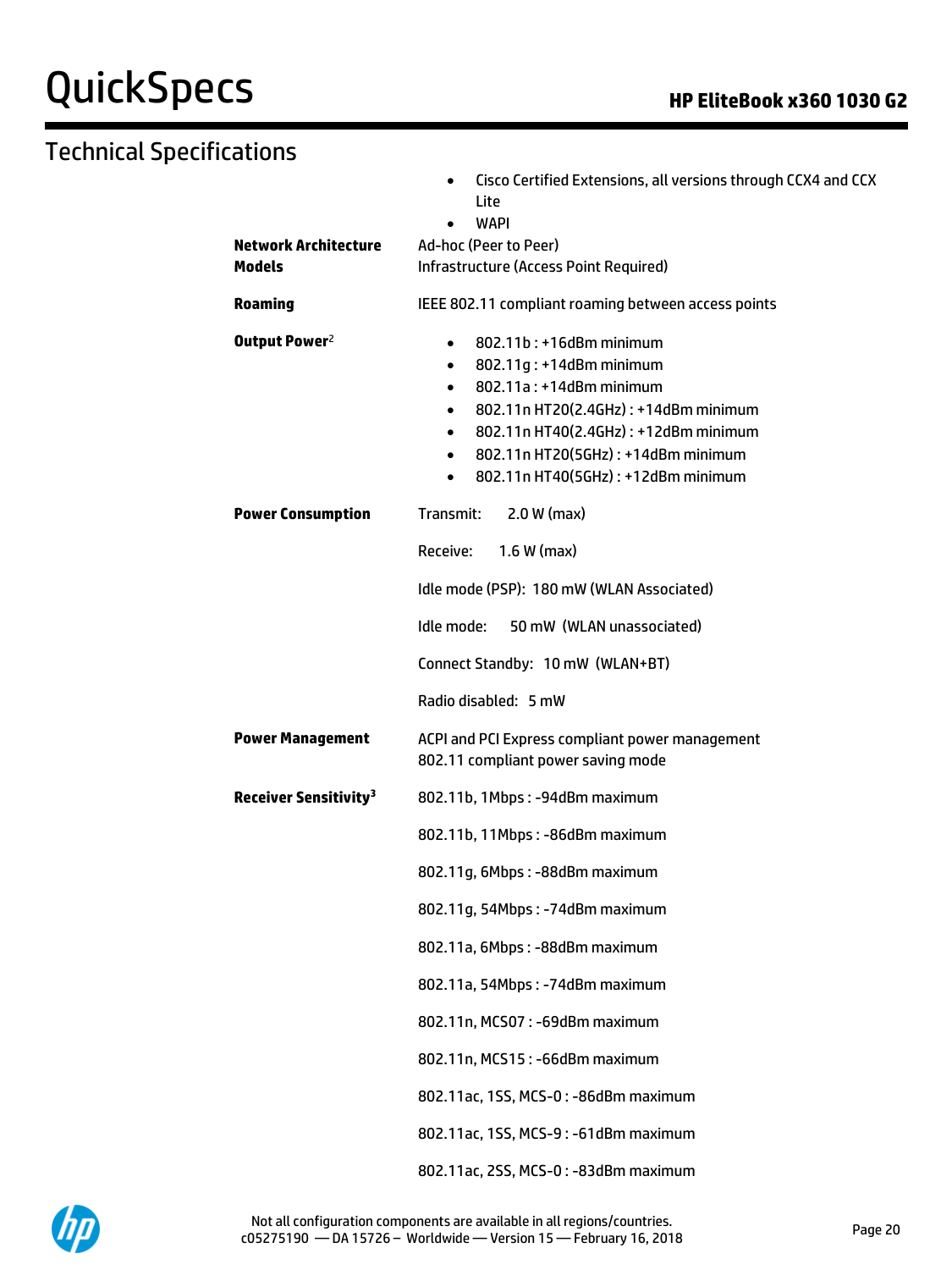# QuickSpecs **Manual Contract Contract Contract Contract Contract Contract Contract Contract Contract Contract Contract Contract Contract Contract Contract Contract Contract Contract Contract Contract Contract Contract Contr**

# Technical Specifications

| <b>Network Architecture</b>             | Cisco Certified Extensions, all versions through CCX4 and CCX<br>٠<br>Lite<br><b>WAPI</b><br>Ad-hoc (Peer to Peer)                                                                                                                                                                                                                   |
|-----------------------------------------|--------------------------------------------------------------------------------------------------------------------------------------------------------------------------------------------------------------------------------------------------------------------------------------------------------------------------------------|
| <b>Models</b>                           | Infrastructure (Access Point Required)                                                                                                                                                                                                                                                                                               |
| Roaming                                 | IEEE 802.11 compliant roaming between access points                                                                                                                                                                                                                                                                                  |
| Output Power <sup>2</sup>               | 802.11b: +16dBm minimum<br>$\bullet$<br>802.11g: +14dBm minimum<br>$\bullet$<br>802.11a: +14dBm minimum<br>$\bullet$<br>802.11n HT20(2.4GHz): +14dBm minimum<br>$\bullet$<br>802.11n HT40(2.4GHz): +12dBm minimum<br>$\bullet$<br>802.11n HT20(5GHz): +14dBm minimum<br>$\bullet$<br>802.11n HT40(5GHz): +12dBm minimum<br>$\bullet$ |
| <b>Power Consumption</b>                | $2.0 W$ (max)<br>Transmit:                                                                                                                                                                                                                                                                                                           |
|                                         | Receive:<br>$1.6 W$ (max)                                                                                                                                                                                                                                                                                                            |
|                                         | Idle mode (PSP): 180 mW (WLAN Associated)                                                                                                                                                                                                                                                                                            |
|                                         | 50 mW (WLAN unassociated)<br>Idle mode:                                                                                                                                                                                                                                                                                              |
|                                         | Connect Standby: 10 mW (WLAN+BT)                                                                                                                                                                                                                                                                                                     |
|                                         | Radio disabled: 5 mW                                                                                                                                                                                                                                                                                                                 |
| <b>Power Management</b>                 | ACPI and PCI Express compliant power management<br>802.11 compliant power saving mode                                                                                                                                                                                                                                                |
| <b>Receiver Sensitivity<sup>3</sup></b> | 802.11b, 1Mbps: -94dBm maximum                                                                                                                                                                                                                                                                                                       |
|                                         | 802.11b, 11Mbps: -86dBm maximum                                                                                                                                                                                                                                                                                                      |
|                                         | 802.11q, 6Mbps: -88dBm maximum                                                                                                                                                                                                                                                                                                       |
|                                         | 802.11g, 54Mbps: -74dBm maximum                                                                                                                                                                                                                                                                                                      |
|                                         | 802.11a, 6Mbps: -88dBm maximum                                                                                                                                                                                                                                                                                                       |
|                                         | 802.11a, 54Mbps: -74dBm maximum                                                                                                                                                                                                                                                                                                      |
|                                         | 802.11n, MCS07: -69dBm maximum                                                                                                                                                                                                                                                                                                       |
|                                         | 802.11n, MCS15: -66dBm maximum                                                                                                                                                                                                                                                                                                       |
|                                         | 802.11ac, 1SS, MCS-0: -86dBm maximum                                                                                                                                                                                                                                                                                                 |
|                                         | 802.11ac, 1SS, MCS-9: -61dBm maximum                                                                                                                                                                                                                                                                                                 |
|                                         | 802.11ac, 2SS, MCS-0: -83dBm maximum                                                                                                                                                                                                                                                                                                 |

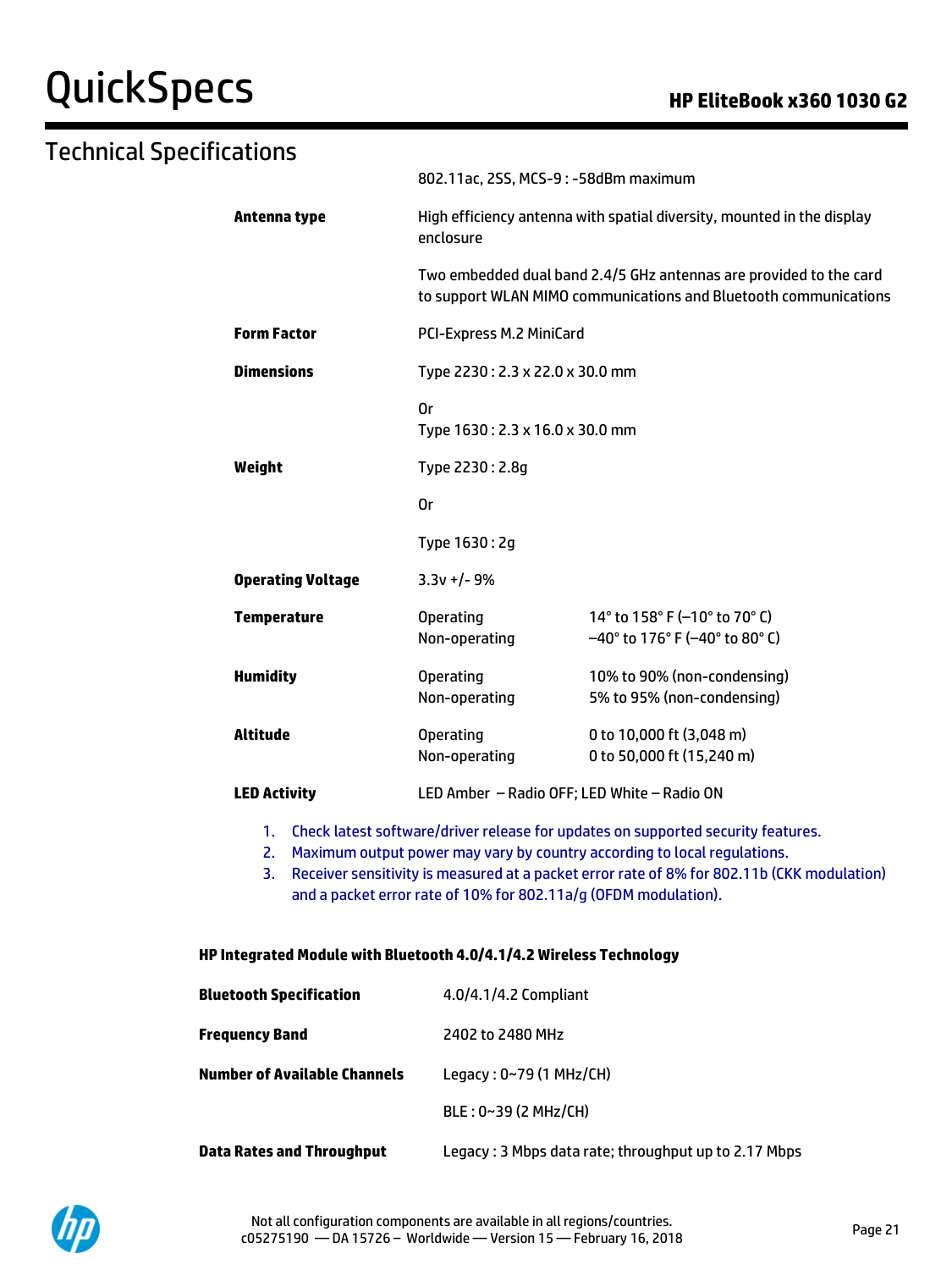# QuickSpecs **Call Accord Contract Contract Contract Contract Contract Contract Contract Contract Contract Contract Contract Contract Contract Contract Contract Contract Contract Contract Contract Contract Contract Contract**

### Technical Specifications 802.11ac, 2SS, MCS-9 : -58dBm maximum **Antenna type** High efficiency antenna with spatial diversity, mounted in the display enclosure Two embedded dual band 2.4/5 GHz antennas are provided to the card to support WLAN MIMO communications and Bluetooth communications **Form Factor** PCI-Express M.2 MiniCard **Dimensions Type 2230 : 2.3 x 22.0 x 30.0 mm** Or Type 1630 : 2.3 x 16.0 x 30.0 mm **Weight** Type 2230 : 2.8g Or Type 1630 : 2g **Operating Voltage** 3.3v +/- 9% **Temperature Operating** Non-operating 14° to 158° F (–10° to 70° C) –40° to 176° F (–40° to 80° C) **Humidity** Operating Non-operating 10% to 90% (non-condensing) 5% to 95% (non-condensing) **Altitude** Operating Non-operating 0 to 10,000 ft (3,048 m) 0 to 50,000 ft (15,240 m) **LED Activity** LED Amber – Radio OFF; LED White – Radio ON

- 1. Check latest software/driver release for updates on supported security features.
- 2. Maximum output power may vary by country according to local regulations.
- 3. Receiver sensitivity is measured at a packet error rate of 8% for 802.11b (CKK modulation) and a packet error rate of 10% for 802.11a/g (OFDM modulation).

#### **HP Integrated Module with Bluetooth 4.0/4.1/4.2 Wireless Technology**

| Bluetooth Specification      | 4.0/4.1/4.2 Compliant                                 |
|------------------------------|-------------------------------------------------------|
| Frequency Band               | 2402 to 2480 MHz                                      |
| Number of Available Channels | Legacy: 0~79 (1 MHz/CH)                               |
|                              | BLE: 0~39 (2 MHz/CH)                                  |
| Data Rates and Throughput    | Legacy : 3 Mbps data rate; throughput up to 2.17 Mbps |

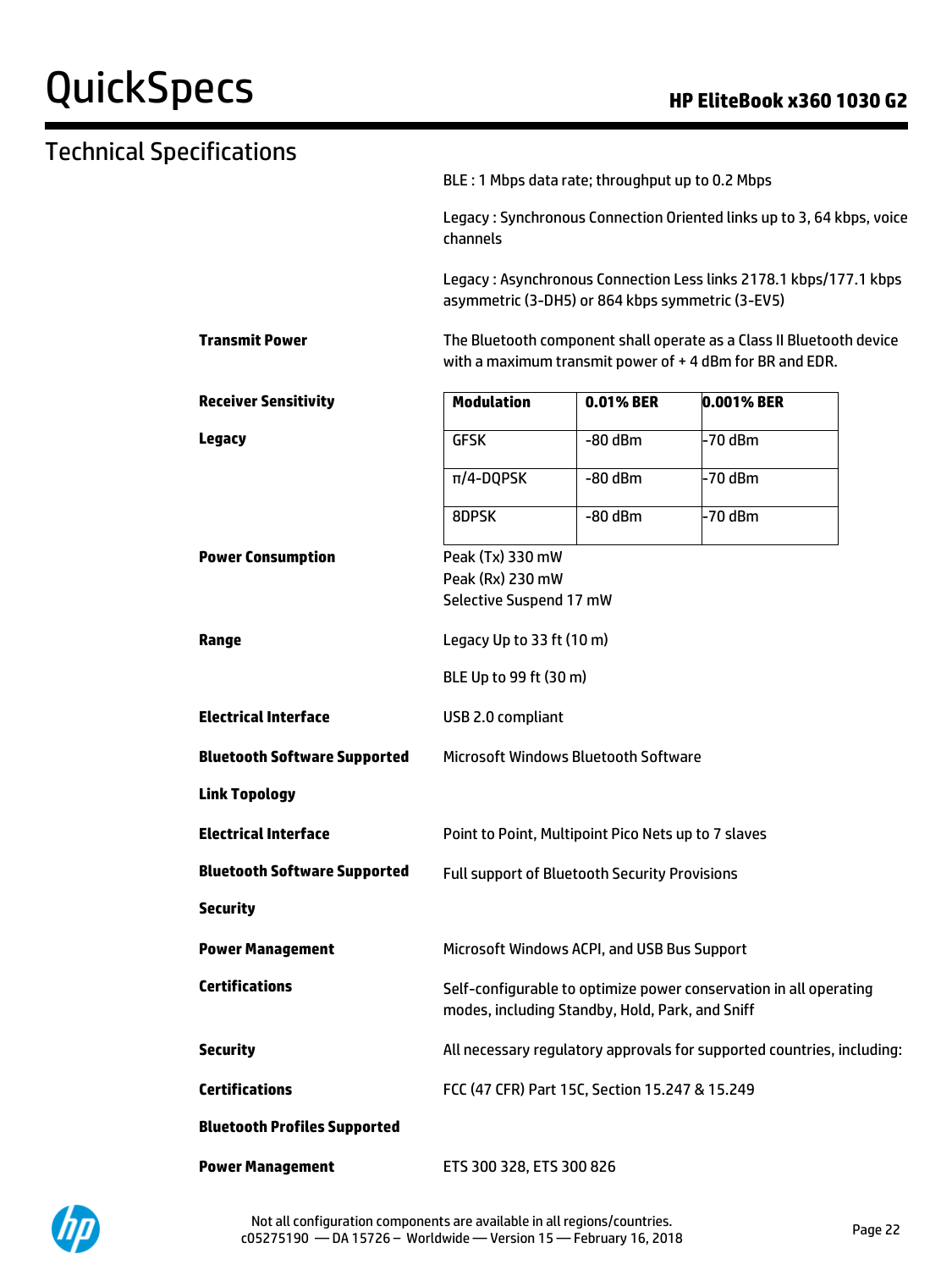# QuickSpecs **Manufacture Contract Contract Contract Contract Contract Contract Contract Contract Contract Contract Contract Contract Contract Contract Contract Contract Contract Contract Contract Contract Contract Contract**

| Technical Specifications |                                     |                                                                                   |           |                                                                                                                                 |  |
|--------------------------|-------------------------------------|-----------------------------------------------------------------------------------|-----------|---------------------------------------------------------------------------------------------------------------------------------|--|
|                          |                                     | BLE : 1 Mbps data rate; throughput up to 0.2 Mbps                                 |           |                                                                                                                                 |  |
|                          |                                     | Legacy: Synchronous Connection Oriented links up to 3, 64 kbps, voice<br>channels |           |                                                                                                                                 |  |
|                          |                                     | asymmetric (3-DH5) or 864 kbps symmetric (3-EV5)                                  |           | Legacy: Asynchronous Connection Less links 2178.1 kbps/177.1 kbps                                                               |  |
|                          | <b>Transmit Power</b>               |                                                                                   |           | The Bluetooth component shall operate as a Class II Bluetooth device<br>with a maximum transmit power of +4 dBm for BR and EDR. |  |
|                          | <b>Receiver Sensitivity</b>         | <b>Modulation</b>                                                                 | 0.01% BER | 0.001% BER                                                                                                                      |  |
|                          | <b>Legacy</b>                       | <b>GFSK</b>                                                                       | $-80$ dBm | -70 dBm                                                                                                                         |  |
|                          |                                     | $\pi$ /4-DQPSK                                                                    | $-80$ dBm | -70 dBm                                                                                                                         |  |
|                          |                                     | 8DPSK                                                                             | $-80$ dBm | -70 dBm                                                                                                                         |  |
|                          | <b>Power Consumption</b>            | Peak (Tx) 330 mW<br>Peak (Rx) 230 mW<br>Selective Suspend 17 mW                   |           |                                                                                                                                 |  |
|                          | Range                               | Legacy Up to 33 ft (10 m)                                                         |           |                                                                                                                                 |  |
|                          |                                     | BLE Up to 99 ft (30 m)                                                            |           |                                                                                                                                 |  |
|                          | <b>Electrical Interface</b>         | USB 2.0 compliant                                                                 |           |                                                                                                                                 |  |
|                          | <b>Bluetooth Software Supported</b> | <b>Microsoft Windows Bluetooth Software</b>                                       |           |                                                                                                                                 |  |
|                          | <b>Link Topology</b>                |                                                                                   |           |                                                                                                                                 |  |
|                          | <b>Electrical Interface</b>         | Point to Point, Multipoint Pico Nets up to 7 slaves                               |           |                                                                                                                                 |  |
|                          | <b>Bluetooth Software Supported</b> | <b>Full support of Bluetooth Security Provisions</b>                              |           |                                                                                                                                 |  |
|                          | <b>Security</b>                     |                                                                                   |           |                                                                                                                                 |  |
|                          | <b>Power Management</b>             | Microsoft Windows ACPI, and USB Bus Support                                       |           |                                                                                                                                 |  |
|                          | <b>Certifications</b>               | modes, including Standby, Hold, Park, and Sniff                                   |           | Self-configurable to optimize power conservation in all operating                                                               |  |
|                          | <b>Security</b>                     |                                                                                   |           | All necessary regulatory approvals for supported countries, including:                                                          |  |
|                          | <b>Certifications</b>               | FCC (47 CFR) Part 15C, Section 15.247 & 15.249                                    |           |                                                                                                                                 |  |
|                          | <b>Bluetooth Profiles Supported</b> |                                                                                   |           |                                                                                                                                 |  |
|                          | <b>Power Management</b>             | ETS 300 328, ETS 300 826                                                          |           |                                                                                                                                 |  |

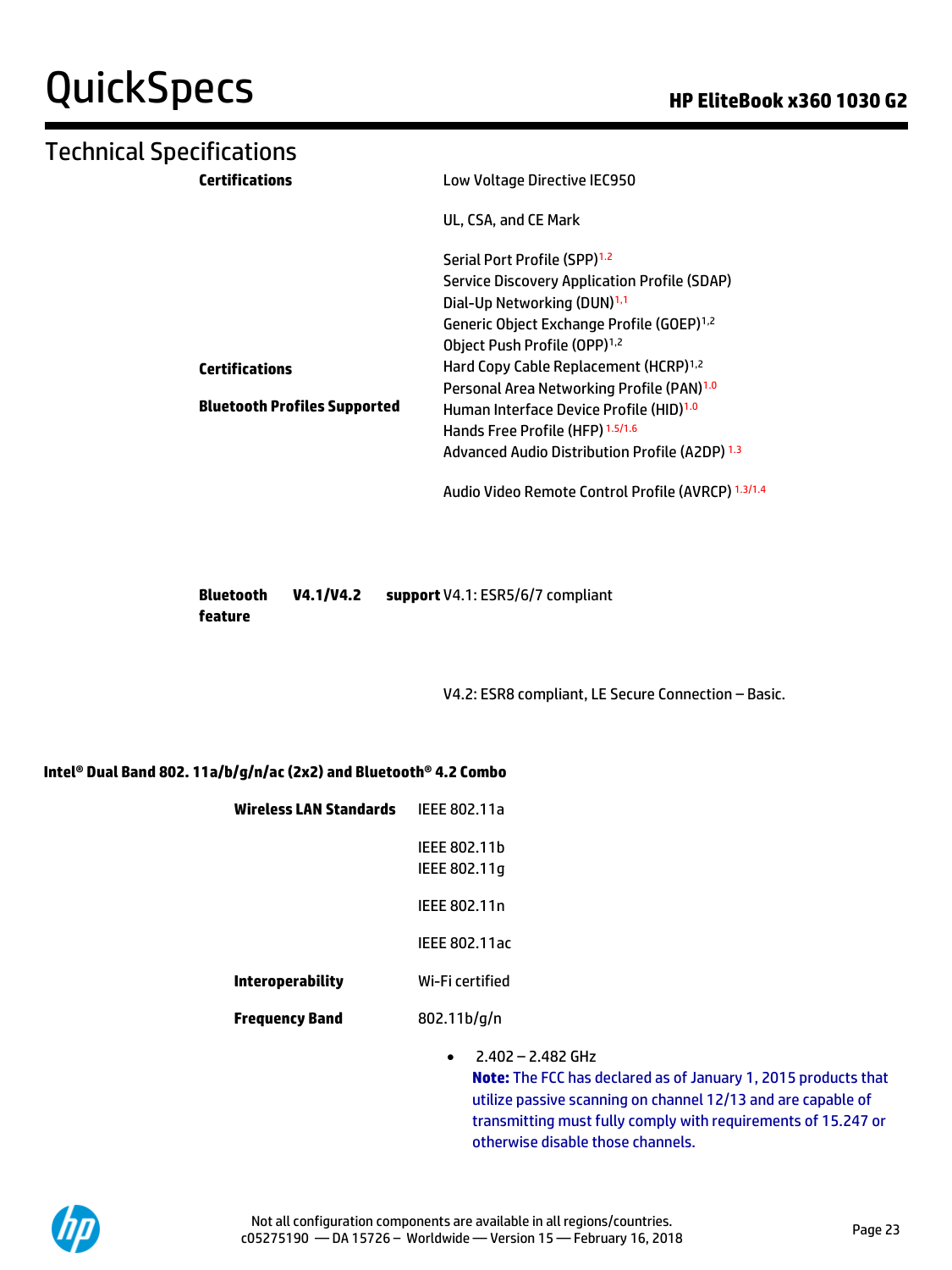# Technical Specifications

| <b>Certifications</b>               | Low Voltage Directive IEC950                          |
|-------------------------------------|-------------------------------------------------------|
|                                     | UL, CSA, and CE Mark                                  |
|                                     | Serial Port Profile (SPP) <sup>1.2</sup>              |
|                                     | Service Discovery Application Profile (SDAP)          |
|                                     | Dial-Up Networking (DUN) <sup>1,1</sup>               |
|                                     | Generic Object Exchange Profile (GOEP) <sup>1,2</sup> |
|                                     | Object Push Profile (OPP) <sup>1,2</sup>              |
| <b>Certifications</b>               | Hard Copy Cable Replacement (HCRP) <sup>1,2</sup>     |
|                                     | Personal Area Networking Profile (PAN) <sup>1.0</sup> |
| <b>Bluetooth Profiles Supported</b> | Human Interface Device Profile (HID) <sup>1.0</sup>   |
|                                     | Hands Free Profile (HFP) 1.5/1.6                      |
|                                     | Advanced Audio Distribution Profile (A2DP) 1.3        |
|                                     | Audio Video Remote Control Profile (AVRCP) 1.3/1.4    |

| <b>Bluetooth</b> | V4.1/V4.2 | support V4.1: ESR5/6/7 compliant |
|------------------|-----------|----------------------------------|
| feature          |           |                                  |

V4.2: ESR8 compliant, LE Secure Connection – Basic.

#### **Intel® Dual Band 802. 11a/b/g/n/ac (2x2) and Bluetooth® 4.2 Combo**

| Wireless LAN Standards  | IEEE 802.11a                 |         |
|-------------------------|------------------------------|---------|
|                         | IEEE 802.11h<br>IEEE 802.11q |         |
|                         | IEEE 802.11n                 |         |
|                         | <b>IEEE 802.11ac</b>         |         |
| <b>Interoperability</b> | Wi-Fi certified              |         |
| <b>Frequency Band</b>   | $802.11b$ /q/n               |         |
|                         | - יי                         | 3.403 C |

• 2.402 – 2.482 GHz **Note:** The FCC has declared as of January 1, 2015 products that utilize passive scanning on channel 12/13 and are capable of transmitting must fully comply with requirements of 15.247 or otherwise disable those channels.

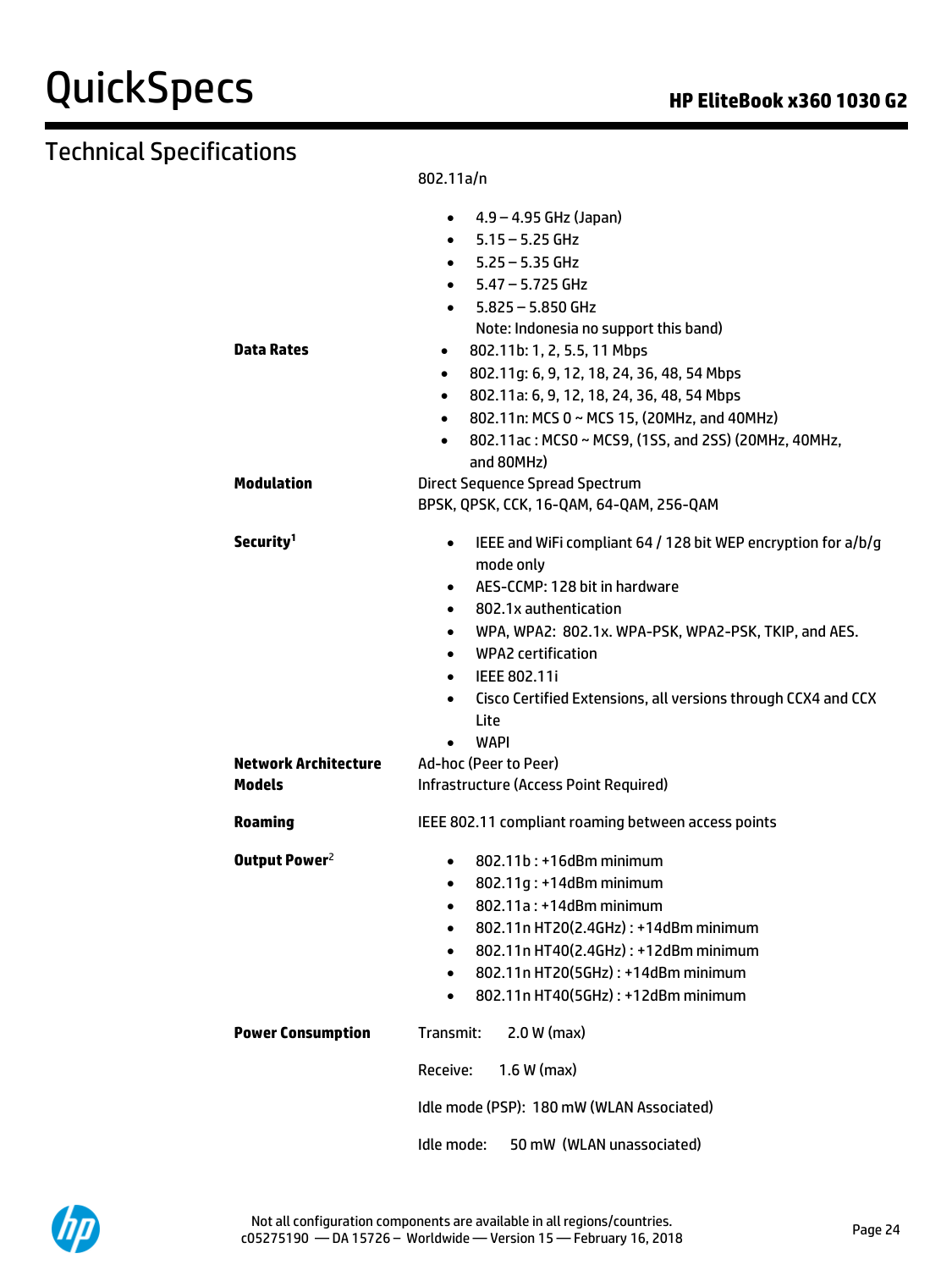# Technical Specifications

802.11a/n

|                           | 4.9 – 4.95 GHz (Japan)<br>$\bullet$                                        |
|---------------------------|----------------------------------------------------------------------------|
|                           | $-5.15 - 5.25$ GHz                                                         |
|                           | 5.25 – 5.35 GHz                                                            |
|                           | 5.47 – 5.725 GHz                                                           |
|                           | $-5.825 - 5.850$ GHz                                                       |
|                           | Note: Indonesia no support this band)                                      |
| Data Rates                | 802.11b: 1, 2, 5.5, 11 Mbps<br>$\bullet$                                   |
|                           | 802.11g: 6, 9, 12, 18, 24, 36, 48, 54 Mbps<br>$\bullet$                    |
|                           | 802.11a: 6, 9, 12, 18, 24, 36, 48, 54 Mbps<br>$\bullet$                    |
|                           | 802.11n: MCS 0 ~ MCS 15, (20MHz, and 40MHz)<br>$\bullet$                   |
|                           | 802.11ac: MCS0 ~ MCS9, (1SS, and 2SS) (20MHz, 40MHz,<br>$\bullet$          |
|                           | and 80MHz)                                                                 |
| Modulation                | <b>Direct Sequence Spread Spectrum</b>                                     |
|                           | BPSK, QPSK, CCK, 16-QAM, 64-QAM, 256-QAM                                   |
| Security <sup>1</sup>     | IEEE and WiFi compliant 64 / 128 bit WEP encryption for a/b/g<br>$\bullet$ |
|                           | mode only                                                                  |
|                           | AES-CCMP: 128 bit in hardware<br>$\bullet$                                 |
|                           | 802.1x authentication<br>$\bullet$                                         |
|                           | WPA, WPA2: 802.1x. WPA-PSK, WPA2-PSK, TKIP, and AES.<br>$\bullet$          |
|                           | <b>WPA2</b> certification<br>$\bullet$                                     |
|                           | IEEE 802.11i<br>$\bullet$                                                  |
|                           | Cisco Certified Extensions, all versions through CCX4 and CCX<br>$\bullet$ |
|                           | Lite                                                                       |
|                           | WAPI                                                                       |
| Network Architecture      | Ad-hoc (Peer to Peer)                                                      |
| Models                    | Infrastructure (Access Point Required)                                     |
| Roaming                   | IEEE 802.11 compliant roaming between access points                        |
| Output Power <sup>2</sup> | 802.11b: +16dBm minimum<br>$\bullet$                                       |
|                           | 802.11g: +14dBm minimum<br>$\bullet$                                       |
|                           | 802.11a: +14dBm minimum<br>$\bullet$                                       |
|                           | 802.11n HT20(2.4GHz): +14dBm minimum<br>$\bullet$                          |
|                           | 802.11n HT40(2.4GHz): +12dBm minimum                                       |
|                           | 802.11n HT20(5GHz): +14dBm minimum<br>$\bullet$                            |
|                           | 802.11n HT40(5GHz): +12dBm minimum                                         |
| <b>Power Consumption</b>  | $2.0 W$ (max)<br>Transmit:                                                 |
|                           | $1.6 W$ (max)<br>Receive:                                                  |
|                           | Idle mode (PSP): 180 mW (WLAN Associated)                                  |
|                           | 50 mW (WLAN unassociated)<br>Idle mode:                                    |

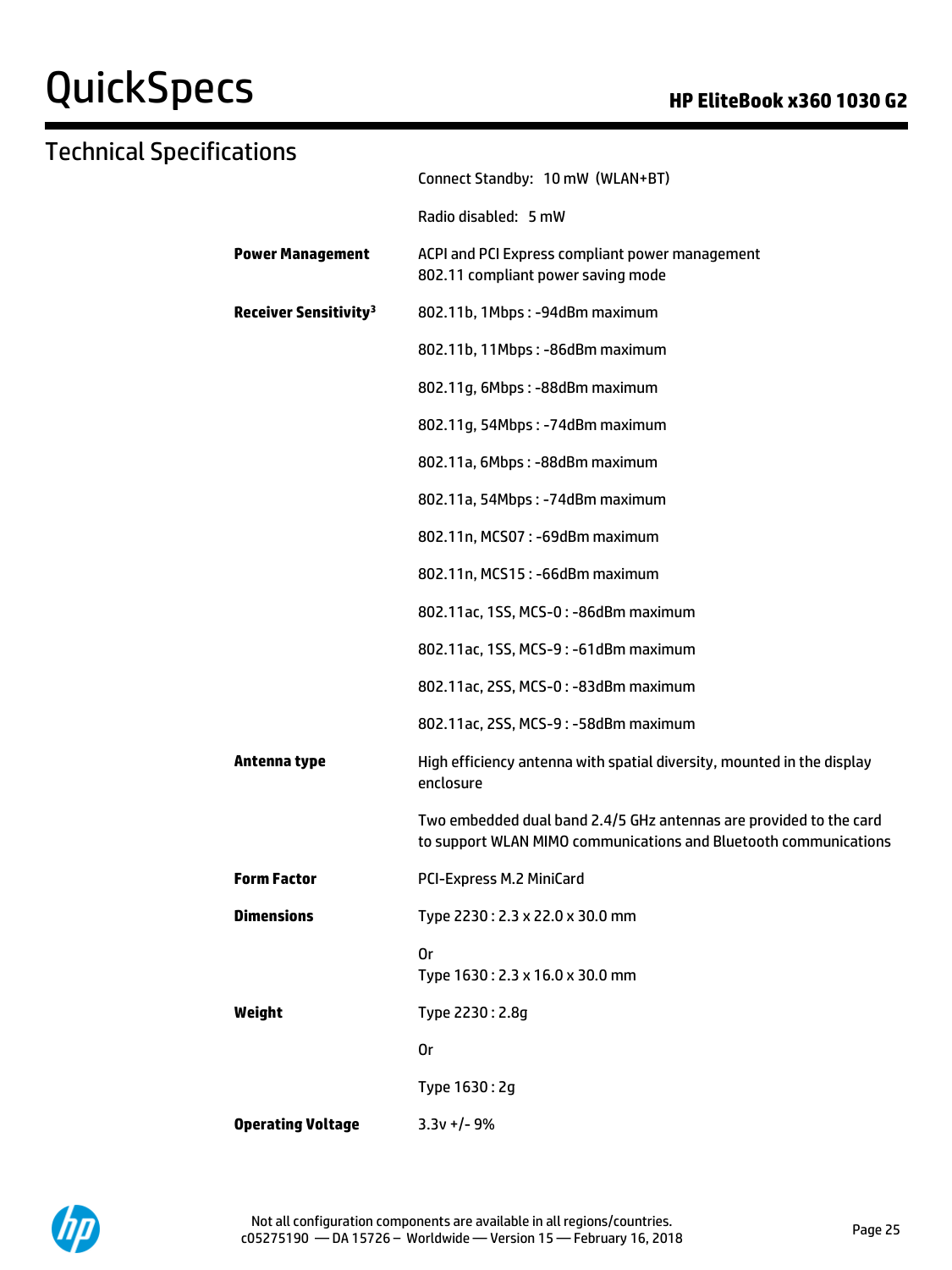# QuickSpecs **Manufact Specs COMPOS HP EliteBook x360 1030 G2**

| Technical Specifications                |                                                                                                                                        |
|-----------------------------------------|----------------------------------------------------------------------------------------------------------------------------------------|
|                                         | Connect Standby: 10 mW (WLAN+BT)                                                                                                       |
|                                         | Radio disabled: 5 mW                                                                                                                   |
| <b>Power Management</b>                 | ACPI and PCI Express compliant power management<br>802.11 compliant power saving mode                                                  |
| <b>Receiver Sensitivity<sup>3</sup></b> | 802.11b, 1Mbps: -94dBm maximum                                                                                                         |
|                                         | 802.11b, 11Mbps: -86dBm maximum                                                                                                        |
|                                         | 802.11g, 6Mbps: -88dBm maximum                                                                                                         |
|                                         | 802.11g, 54Mbps: -74dBm maximum                                                                                                        |
|                                         | 802.11a, 6Mbps: - 88dBm maximum                                                                                                        |
|                                         | 802.11a, 54Mbps: -74dBm maximum                                                                                                        |
|                                         | 802.11n, MCS07: -69dBm maximum                                                                                                         |
|                                         | 802.11n, MCS15: -66dBm maximum                                                                                                         |
|                                         | 802.11ac, 1SS, MCS-0: -86dBm maximum                                                                                                   |
|                                         | 802.11ac, 1SS, MCS-9: -61dBm maximum                                                                                                   |
|                                         | 802.11ac, 2SS, MCS-0: -83dBm maximum                                                                                                   |
|                                         | 802.11ac, 2SS, MCS-9: -58dBm maximum                                                                                                   |
| Antenna type                            | High efficiency antenna with spatial diversity, mounted in the display<br>enclosure                                                    |
|                                         | Two embedded dual band 2.4/5 GHz antennas are provided to the card<br>to support WLAN MIMO communications and Bluetooth communications |
| <b>Form Factor</b>                      | PCI-Express M.2 MiniCard                                                                                                               |
| <b>Dimensions</b>                       | Type 2230: 2.3 x 22.0 x 30.0 mm                                                                                                        |
|                                         | 0r<br>Type 1630: 2.3 x 16.0 x 30.0 mm                                                                                                  |
| Weight                                  | Type 2230: 2.8g                                                                                                                        |
|                                         | 0r                                                                                                                                     |
|                                         | Type 1630: 2g                                                                                                                          |
| <b>Operating Voltage</b>                | $3.3v +/- 9%$                                                                                                                          |

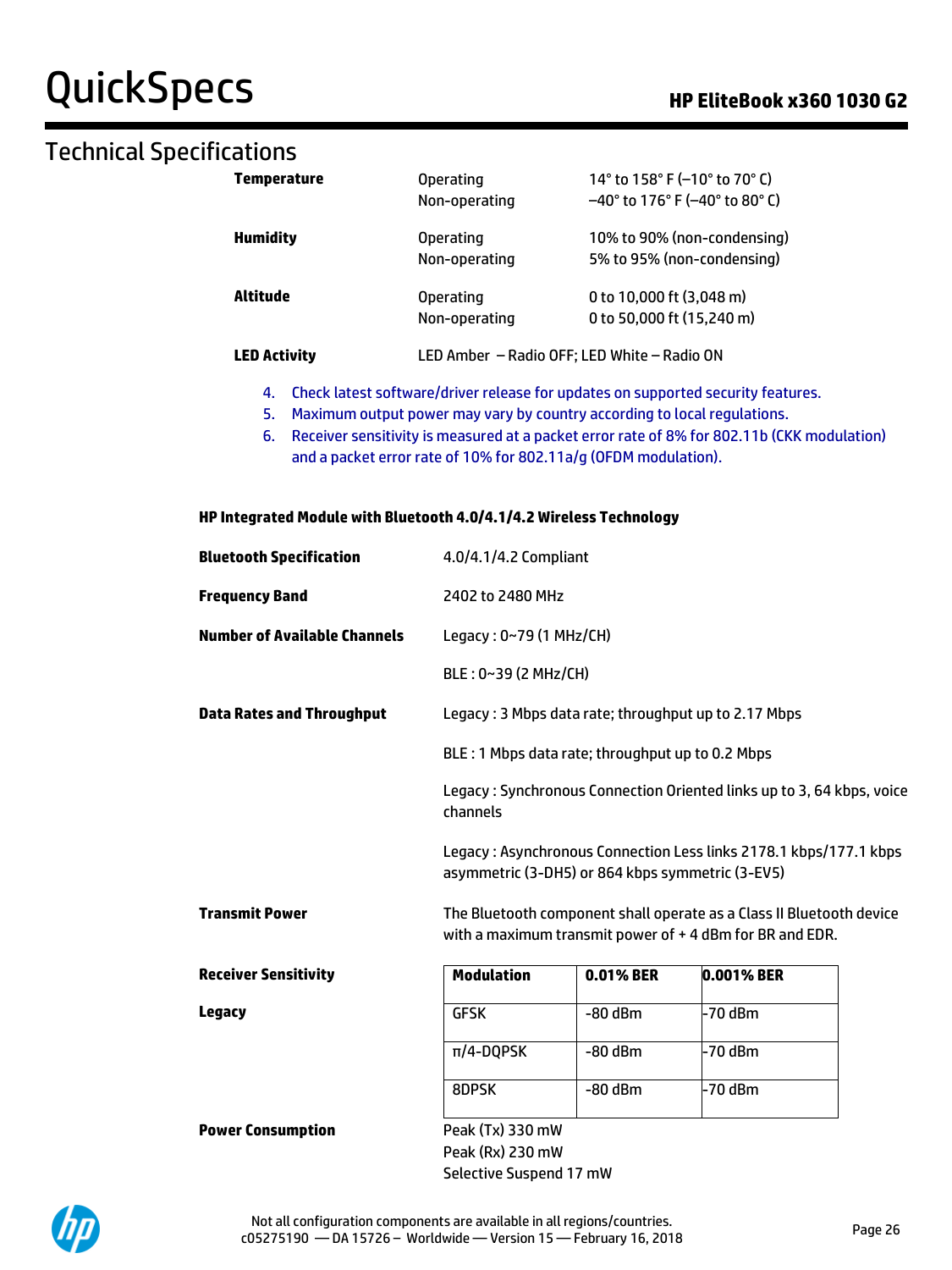# QuickSpecs **Manufacture Contract Contract Contract Contract Contract Contract Contract Contract Contract Contract Contract Contract Contract Contract Contract Contract Contract Contract Contract Contract Contract Contract**

## Technical Specifications

| Temperature                                                                            | <b>Operating</b><br>Non-operating           | 14° to 158° F (-10° to 70° C)<br>$-40^{\circ}$ to 176° F (-40° to 80° C) |  |  |
|----------------------------------------------------------------------------------------|---------------------------------------------|--------------------------------------------------------------------------|--|--|
| <b>Humidity</b>                                                                        | <b>Operating</b><br>Non-operating           | 10% to 90% (non-condensing)<br>5% to 95% (non-condensing)                |  |  |
| Altitude                                                                               | <b>Operating</b><br>Non-operating           | 0 to 10,000 ft $(3,048 \text{ m})$<br>0 to 50,000 ft (15,240 m)          |  |  |
| <b>LED Activity</b>                                                                    | LED Amber - Radio OFF; LED White - Radio ON |                                                                          |  |  |
| Check latest software/driver release for updates on supported security features.<br>4. |                                             |                                                                          |  |  |

- 5. Maximum output power may vary by country according to local regulations.
- 6. Receiver sensitivity is measured at a packet error rate of 8% for 802.11b (CKK modulation) and a packet error rate of 10% for 802.11a/g (OFDM modulation).

| <b>Bluetooth Specification</b>      | 4.0/4.1/4.2 Compliant                                                                                                           |           |         |  |
|-------------------------------------|---------------------------------------------------------------------------------------------------------------------------------|-----------|---------|--|
| <b>Frequency Band</b>               | 2402 to 2480 MHz                                                                                                                |           |         |  |
| <b>Number of Available Channels</b> | Legacy: 0~79 (1 MHz/CH)                                                                                                         |           |         |  |
|                                     | $BLE: 0~39$ (2 MHz/CH)                                                                                                          |           |         |  |
| <b>Data Rates and Throughput</b>    | Legacy: 3 Mbps data rate; throughput up to 2.17 Mbps                                                                            |           |         |  |
|                                     | BLE: 1 Mbps data rate; throughput up to 0.2 Mbps                                                                                |           |         |  |
|                                     | Legacy: Synchronous Connection Oriented links up to 3, 64 kbps, voice<br>channels                                               |           |         |  |
|                                     | Legacy: Asynchronous Connection Less links 2178.1 kbps/177.1 kbps<br>asymmetric (3-DH5) or 864 kbps symmetric (3-EV5)           |           |         |  |
| <b>Transmit Power</b>               | The Bluetooth component shall operate as a Class II Bluetooth device<br>with a maximum transmit power of +4 dBm for BR and EDR. |           |         |  |
| <b>Receiver Sensitivity</b>         | <b>Modulation</b><br>0.01% BER<br>0.001% BER                                                                                    |           |         |  |
| <b>Legacy</b>                       | <b>GFSK</b>                                                                                                                     | $-80$ dBm | -70 dBm |  |
|                                     | $\pi$ /4-DQPSK                                                                                                                  | $-80$ dBm | -70 dBm |  |
|                                     | 8DPSK                                                                                                                           | $-80$ dBm | -70 dBm |  |
| <b>Power Consumption</b>            | Peak (Tx) 330 mW<br>Peak (Rx) 230 mW<br>Selective Suspend 17 mW                                                                 |           |         |  |

#### **HP Integrated Module with Bluetooth 4.0/4.1/4.2 Wireless Technology**

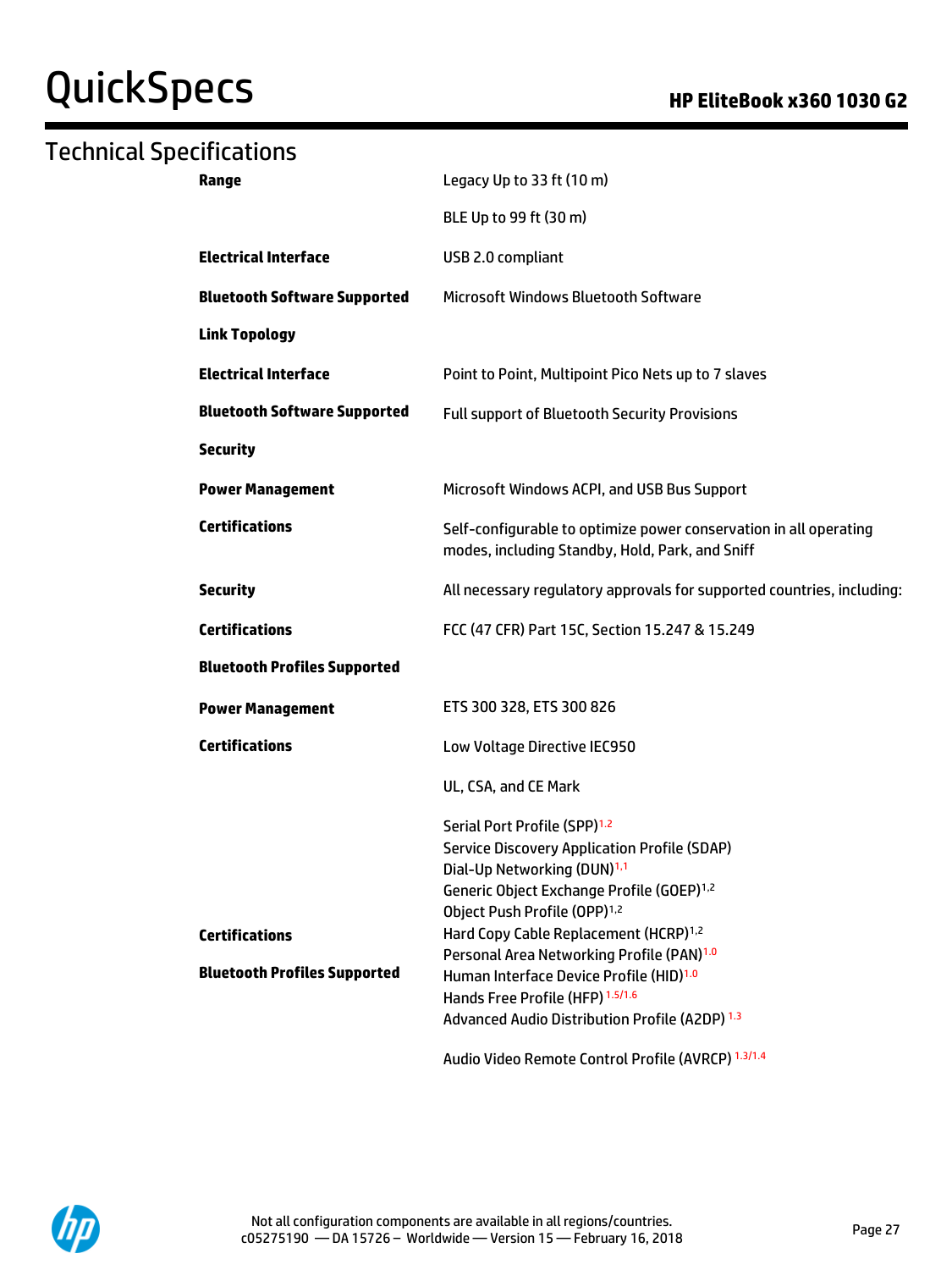# QuickSpecs **Manual Contract Contract Contract Contract Contract Contract Contract Contract Contract Contract Contract Contract Contract Contract Contract Contract Contract Contract Contract Contract Contract Contract Contr**

# Technical Specifications

| Legacy Up to 33 ft (10 m)                                                                                                                                                                                                                                                                                                                                                                                                                                                                                                                                        |
|------------------------------------------------------------------------------------------------------------------------------------------------------------------------------------------------------------------------------------------------------------------------------------------------------------------------------------------------------------------------------------------------------------------------------------------------------------------------------------------------------------------------------------------------------------------|
| BLE Up to 99 ft (30 m)                                                                                                                                                                                                                                                                                                                                                                                                                                                                                                                                           |
| USB 2.0 compliant                                                                                                                                                                                                                                                                                                                                                                                                                                                                                                                                                |
| <b>Microsoft Windows Bluetooth Software</b>                                                                                                                                                                                                                                                                                                                                                                                                                                                                                                                      |
|                                                                                                                                                                                                                                                                                                                                                                                                                                                                                                                                                                  |
| Point to Point, Multipoint Pico Nets up to 7 slaves                                                                                                                                                                                                                                                                                                                                                                                                                                                                                                              |
| <b>Full support of Bluetooth Security Provisions</b>                                                                                                                                                                                                                                                                                                                                                                                                                                                                                                             |
|                                                                                                                                                                                                                                                                                                                                                                                                                                                                                                                                                                  |
| Microsoft Windows ACPI, and USB Bus Support                                                                                                                                                                                                                                                                                                                                                                                                                                                                                                                      |
| Self-configurable to optimize power conservation in all operating<br>modes, including Standby, Hold, Park, and Sniff                                                                                                                                                                                                                                                                                                                                                                                                                                             |
| All necessary regulatory approvals for supported countries, including:                                                                                                                                                                                                                                                                                                                                                                                                                                                                                           |
| FCC (47 CFR) Part 15C, Section 15.247 & 15.249                                                                                                                                                                                                                                                                                                                                                                                                                                                                                                                   |
|                                                                                                                                                                                                                                                                                                                                                                                                                                                                                                                                                                  |
| ETS 300 328, ETS 300 826                                                                                                                                                                                                                                                                                                                                                                                                                                                                                                                                         |
| Low Voltage Directive IEC950                                                                                                                                                                                                                                                                                                                                                                                                                                                                                                                                     |
| UL, CSA, and CE Mark                                                                                                                                                                                                                                                                                                                                                                                                                                                                                                                                             |
| Serial Port Profile (SPP) <sup>1.2</sup><br><b>Service Discovery Application Profile (SDAP)</b><br>Dial-Up Networking (DUN) <sup>1,1</sup><br>Generic Object Exchange Profile (GOEP) <sup>1,2</sup><br>Object Push Profile (OPP) <sup>1,2</sup><br>Hard Copy Cable Replacement (HCRP) <sup>1,2</sup><br>Personal Area Networking Profile (PAN) <sup>1.0</sup><br>Human Interface Device Profile (HID) <sup>1.0</sup><br>Hands Free Profile (HFP) 1.5/1.6<br>Advanced Audio Distribution Profile (A2DP) 1.3<br>Audio Video Remote Control Profile (AVRCP) 1.3/1.4 |
|                                                                                                                                                                                                                                                                                                                                                                                                                                                                                                                                                                  |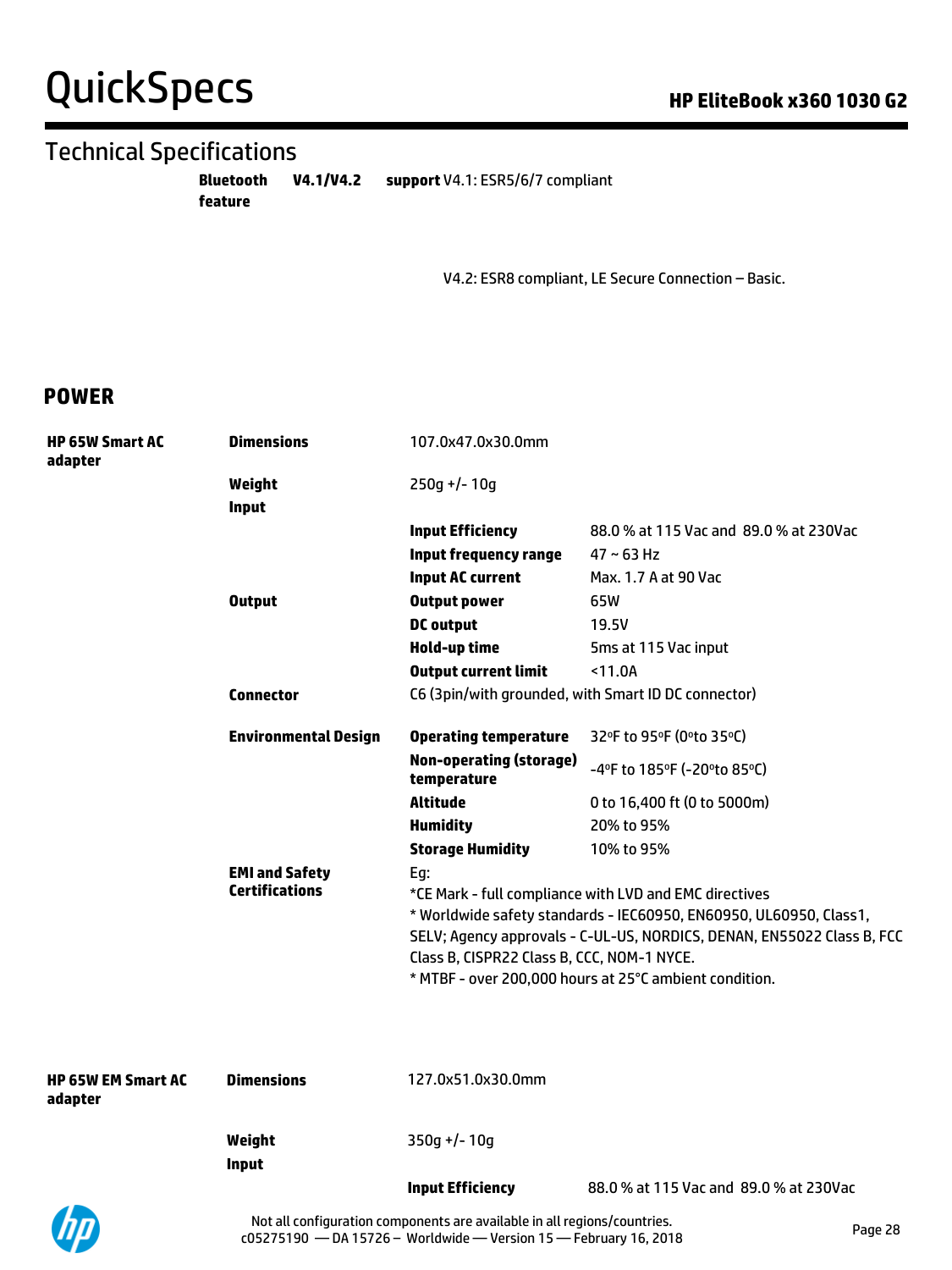# QuickSpecs **HP EliteBook x360 1030 G2**

# Technical Specifications

**Bluetooth V4.1/V4.2 feature** support V4.1: ESR5/6/7 compliant

V4.2: ESR8 compliant, LE Secure Connection – Basic.

### **POWER**

| <b>HP 65W Smart AC</b><br>adapter | <b>Dimensions</b>           | 107.0x47.0x30.0mm                                                               |                                                                        |  |  |  |
|-----------------------------------|-----------------------------|---------------------------------------------------------------------------------|------------------------------------------------------------------------|--|--|--|
|                                   | Weight                      | $250q$ +/- 10q                                                                  |                                                                        |  |  |  |
|                                   | <b>Input</b>                |                                                                                 |                                                                        |  |  |  |
|                                   |                             | <b>Input Efficiency</b>                                                         | 88.0 % at 115 Vac and 89.0 % at 230Vac                                 |  |  |  |
|                                   |                             | <b>Input frequency range</b>                                                    | $47 - 63$ Hz                                                           |  |  |  |
|                                   |                             | <b>Input AC current</b>                                                         | Max. 1.7 A at 90 Vac                                                   |  |  |  |
|                                   | <b>Output</b>               | <b>Output power</b>                                                             | 65W                                                                    |  |  |  |
|                                   |                             | <b>DC</b> output                                                                | 19.5V                                                                  |  |  |  |
|                                   |                             | Hold-up time                                                                    | 5ms at 115 Vac input                                                   |  |  |  |
|                                   |                             | <b>Output current limit</b>                                                     | < 11.0A                                                                |  |  |  |
|                                   | <b>Connector</b>            | C6 (3pin/with grounded, with Smart ID DC connector)                             |                                                                        |  |  |  |
|                                   | <b>Environmental Design</b> | <b>Operating temperature</b>                                                    | 32°F to 95°F (0°to 35°C)                                               |  |  |  |
|                                   |                             | <b>Non-operating (storage)</b><br>temperature                                   | -4°F to 185°F (-20°to 85°C)                                            |  |  |  |
|                                   |                             | Altitude                                                                        | 0 to 16,400 ft (0 to 5000m)                                            |  |  |  |
|                                   |                             | <b>Humidity</b>                                                                 | 20% to 95%                                                             |  |  |  |
|                                   |                             | <b>Storage Humidity</b>                                                         | 10% to 95%                                                             |  |  |  |
|                                   | <b>EMI and Safety</b>       | Eg:                                                                             |                                                                        |  |  |  |
|                                   |                             | <b>Certifications</b><br>*CE Mark - full compliance with LVD and EMC directives |                                                                        |  |  |  |
|                                   |                             |                                                                                 | * Worldwide safety standards - IEC60950, EN60950, UL60950, Class1,     |  |  |  |
|                                   |                             |                                                                                 | SELV; Agency approvals - C-UL-US, NORDICS, DENAN, EN55022 Class B, FCC |  |  |  |
|                                   |                             | Class B, CISPR22 Class B, CCC, NOM-1 NYCE.                                      |                                                                        |  |  |  |
|                                   |                             |                                                                                 | * MTBF - over 200,000 hours at 25°C ambient condition.                 |  |  |  |
|                                   |                             |                                                                                 |                                                                        |  |  |  |
|                                   |                             |                                                                                 |                                                                        |  |  |  |

| <b>HP 65W EM Smart AC</b><br>adapter | <b>Dimensions</b>      | 127.0x51.0x30.0mm       |                                        |
|--------------------------------------|------------------------|-------------------------|----------------------------------------|
|                                      | Weight<br><b>Input</b> | $350q +/- 10q$          |                                        |
|                                      |                        | <b>Input Efficiency</b> | 88.0 % at 115 Vac and 89.0 % at 230Vac |

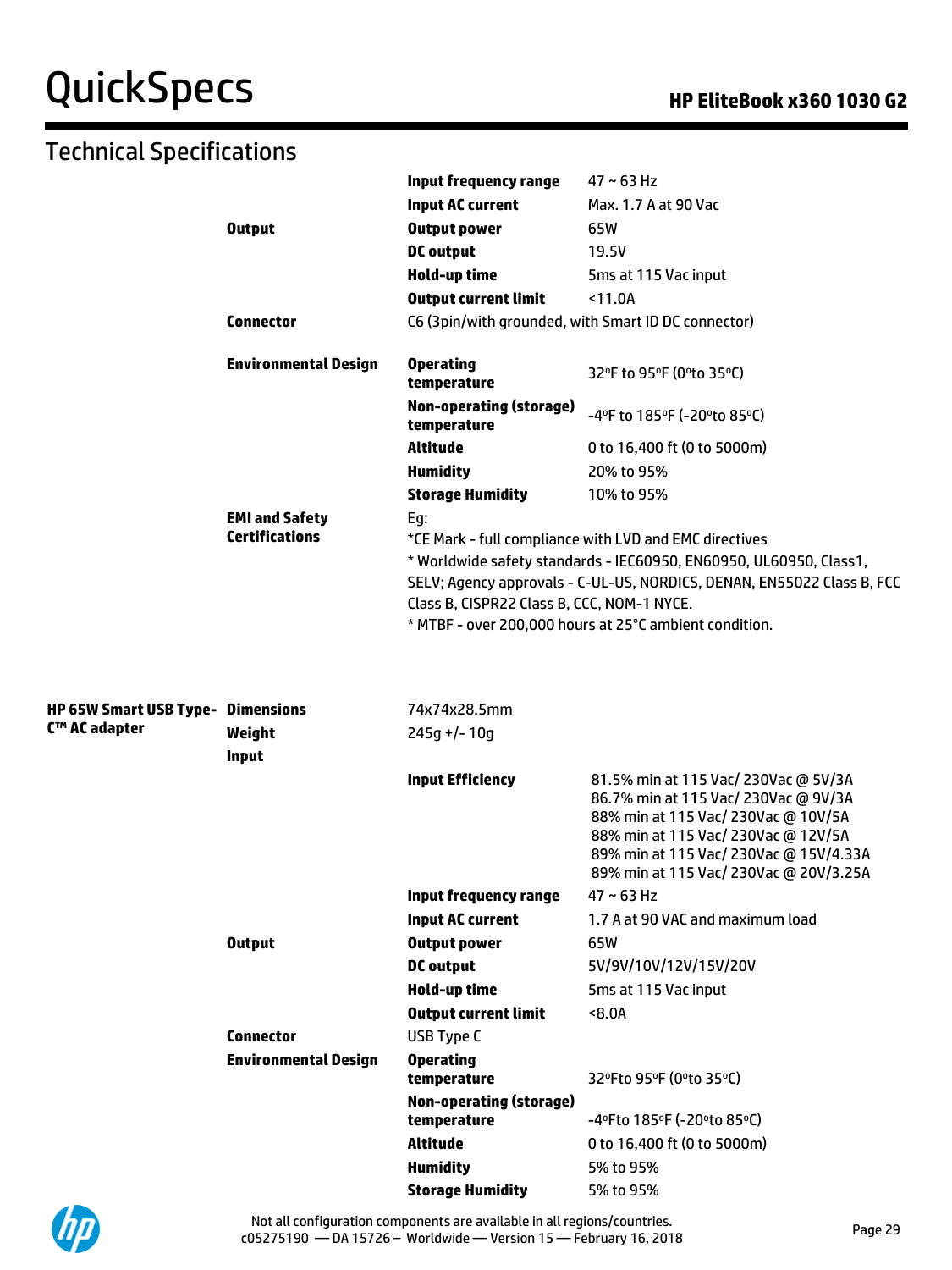# QuickSpecs **Manufacture Contract Contract Contract Contract Contract Contract Contract Contract Contract Contract Contract Contract Contract Contract Contract Contract Contract Contract Contract Contract Contract Contract**

| Technical Specifications                 |                             |                                               |                                                                                                                                                                                                                                                                  |
|------------------------------------------|-----------------------------|-----------------------------------------------|------------------------------------------------------------------------------------------------------------------------------------------------------------------------------------------------------------------------------------------------------------------|
|                                          |                             | Input frequency range                         | $47 - 63$ Hz                                                                                                                                                                                                                                                     |
|                                          |                             | <b>Input AC current</b>                       | Max. 1.7 A at 90 Vac                                                                                                                                                                                                                                             |
|                                          | <b>Output</b>               | <b>Output power</b>                           | 65W                                                                                                                                                                                                                                                              |
|                                          |                             | <b>DC</b> output                              | 19.5V                                                                                                                                                                                                                                                            |
|                                          |                             | Hold-up time                                  | 5ms at 115 Vac input                                                                                                                                                                                                                                             |
|                                          |                             | <b>Output current limit</b>                   | < 11.0A                                                                                                                                                                                                                                                          |
|                                          | <b>Connector</b>            |                                               | C6 (3pin/with grounded, with Smart ID DC connector)                                                                                                                                                                                                              |
|                                          | <b>Environmental Design</b> | <b>Operating</b><br>temperature               | 32°F to 95°F (0°to 35°C)                                                                                                                                                                                                                                         |
|                                          |                             | <b>Non-operating (storage)</b><br>temperature | -4°F to 185°F (-20°to 85°C)                                                                                                                                                                                                                                      |
|                                          |                             | <b>Altitude</b>                               | 0 to 16,400 ft (0 to 5000m)                                                                                                                                                                                                                                      |
|                                          |                             | <b>Humidity</b>                               | 20% to 95%                                                                                                                                                                                                                                                       |
|                                          |                             | <b>Storage Humidity</b>                       | 10% to 95%                                                                                                                                                                                                                                                       |
|                                          | <b>EMI and Safety</b>       | Eg:                                           |                                                                                                                                                                                                                                                                  |
|                                          | <b>Certifications</b>       | Class B, CISPR22 Class B, CCC, NOM-1 NYCE.    | *CE Mark - full compliance with LVD and EMC directives<br>* Worldwide safety standards - IEC60950, EN60950, UL60950, Class1,<br>SELV; Agency approvals - C-UL-US, NORDICS, DENAN, EN55022 Class B, FCC<br>* MTBF - over 200,000 hours at 25°C ambient condition. |
| <b>HP 65W Smart USB Type- Dimensions</b> |                             | 74x74x28.5mm                                  |                                                                                                                                                                                                                                                                  |
| C™ AC adapter                            | Weight                      | $245g +/- 10g$                                |                                                                                                                                                                                                                                                                  |
|                                          | <b>Input</b>                |                                               |                                                                                                                                                                                                                                                                  |
|                                          |                             | <b>Input Efficiency</b>                       | 81.5% min at 115 Vac/ 230Vac @ 5V/3A<br>86.7% min at 115 Vac/ 230Vac @ 9V/3A<br>88% min at 115 Vac/ 230Vac @ 10V/5A<br>88% min at 115 Vac/ 230Vac @ 12V/5A<br>89% min at 115 Vac/ 230Vac @ 15V/4.33A<br>89% min at 115 Vac/ 230Vac @ 20V/3.25A                   |
|                                          |                             | Input frequency range                         | $47 \sim 63$ Hz                                                                                                                                                                                                                                                  |
|                                          |                             | <b>Input AC current</b>                       | 1.7 A at 90 VAC and maximum load                                                                                                                                                                                                                                 |
|                                          | <b>Output</b>               | <b>Output power</b>                           | 65W                                                                                                                                                                                                                                                              |
|                                          |                             | <b>DC</b> output                              | 5V/9V/10V/12V/15V/20V                                                                                                                                                                                                                                            |
|                                          |                             | Hold-up time                                  | 5ms at 115 Vac input                                                                                                                                                                                                                                             |
|                                          |                             | <b>Output current limit</b>                   | 8.0A                                                                                                                                                                                                                                                             |
|                                          | <b>Connector</b>            | USB Type C                                    |                                                                                                                                                                                                                                                                  |
|                                          | <b>Environmental Design</b> | <b>Operating</b><br>temperature               | 32°Fto 95°F (0°to 35°C)                                                                                                                                                                                                                                          |
|                                          |                             | <b>Non-operating (storage)</b>                |                                                                                                                                                                                                                                                                  |
|                                          |                             | temperature                                   | -4°Fto 185°F (-20°to 85°C)                                                                                                                                                                                                                                       |
|                                          |                             | <b>Altitude</b>                               | 0 to 16,400 ft (0 to 5000m)                                                                                                                                                                                                                                      |
|                                          |                             | <b>Humidity</b>                               | 5% to 95%                                                                                                                                                                                                                                                        |
|                                          |                             | <b>Storage Humidity</b>                       | 5% to 95%                                                                                                                                                                                                                                                        |

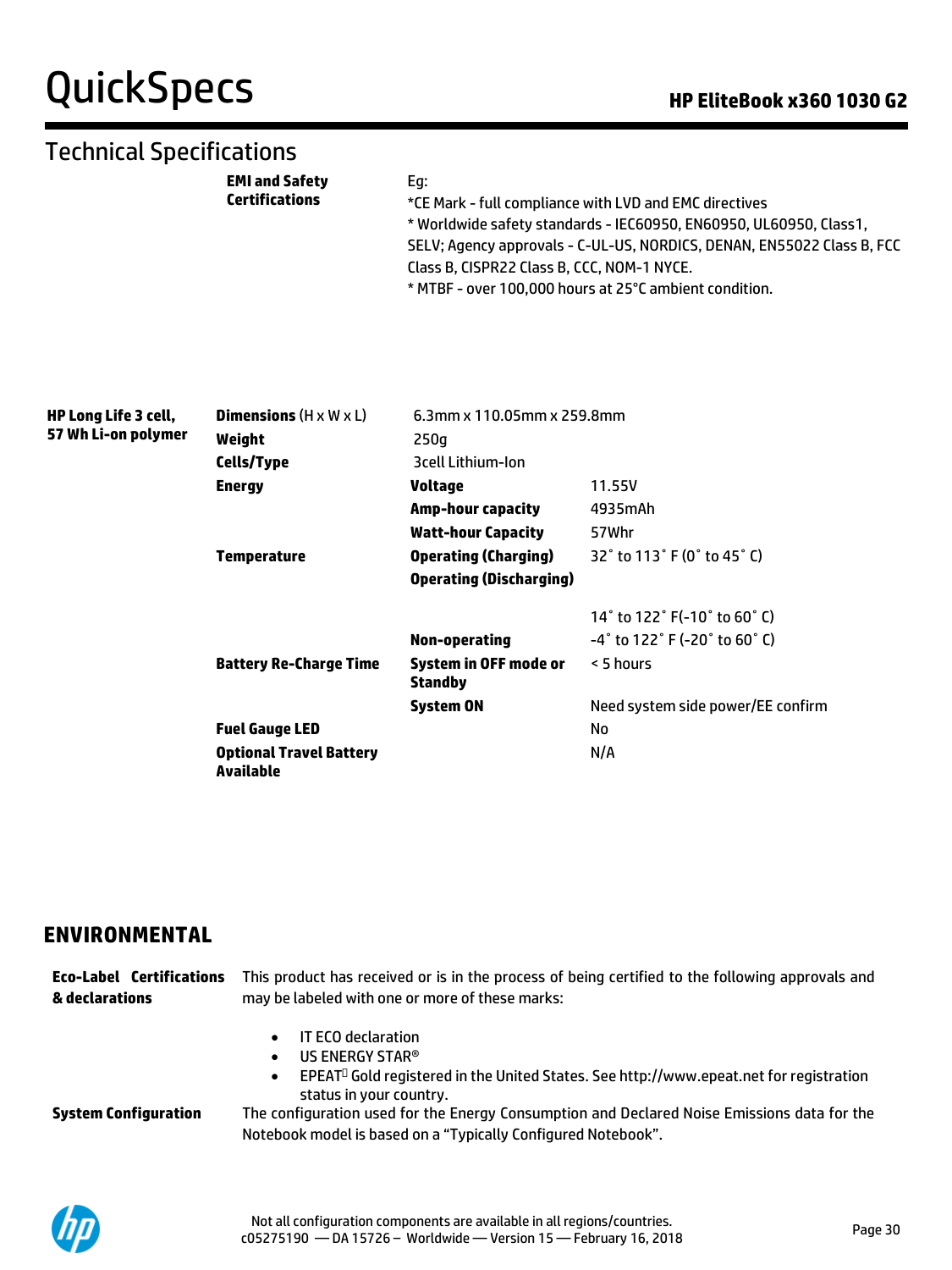# QuickSpecs **Call Accord Contract Contract Contract Contract Contract Contract Contract Contract Contract Contract Contract Contract Contract Contract Contract Contract Contract Contract Contract Contract Contract Contract**

## Technical Specifications

| Ea:                                                                    |
|------------------------------------------------------------------------|
| *CE Mark - full compliance with LVD and EMC directives                 |
| * Worldwide safety standards - IEC60950, EN60950, UL60950, Class1,     |
| SELV; Agency approvals - C-UL-US, NORDICS, DENAN, EN55022 Class B, FCC |
| Class B, CISPR22 Class B, CCC, NOM-1 NYCE.                             |
|                                                                        |

\* MTBF - over 100,000 hours at 25°C ambient condition.

| HP Long Life 3 cell, | <b>Dimensions</b> $(H \times W \times L)$   | 6.3mm x 110.05mm x 259.8mm       |                                                                      |  |  |
|----------------------|---------------------------------------------|----------------------------------|----------------------------------------------------------------------|--|--|
| 57 Wh Li-on polymer  | Weight                                      | 250g                             |                                                                      |  |  |
|                      | <b>Cells/Type</b>                           | <b>Brell Lithium-Ion</b>         |                                                                      |  |  |
|                      | <b>Energy</b>                               | Voltage                          | 11.55V                                                               |  |  |
|                      |                                             | Amp-hour capacity                | 4935mAh                                                              |  |  |
|                      |                                             | <b>Watt-hour Capacity</b>        | 57Whr                                                                |  |  |
|                      | <b>Temperature</b>                          | <b>Operating (Charging)</b>      | 32° to 113° F (0° to 45° C)                                          |  |  |
|                      |                                             | <b>Operating (Discharging)</b>   |                                                                      |  |  |
|                      |                                             |                                  | 14 $\degree$ to 122 $\degree$ F(-10 $\degree$ to 60 $\degree$ C)     |  |  |
|                      |                                             | Non-operating                    | $-4^{\circ}$ to 122 $^{\circ}$ F (-20 $^{\circ}$ to 60 $^{\circ}$ C) |  |  |
|                      | <b>Battery Re-Charge Time</b>               | System in OFF mode or<br>Standby | < 5 hours                                                            |  |  |
|                      |                                             | System ON                        | Need system side power/EE confirm                                    |  |  |
|                      | <b>Fuel Gauge LED</b>                       |                                  | No                                                                   |  |  |
|                      | <b>Optional Travel Battery</b><br>Available |                                  | N/A                                                                  |  |  |

### **ENVIRONMENTAL**

**Eco-Label Certifications & declarations** This product has received or is in the process of being certified to the following approvals and may be labeled with one or more of these marks: • IT ECO declaration • US ENERGY STAR®

• EPEAT<sup>O</sup> Gold registered in the United States. See http://www.epeat.net for registration status in your country.

**System Configuration** The configuration used for the Energy Consumption and Declared Noise Emissions data for the Notebook model is based on a "Typically Configured Notebook".

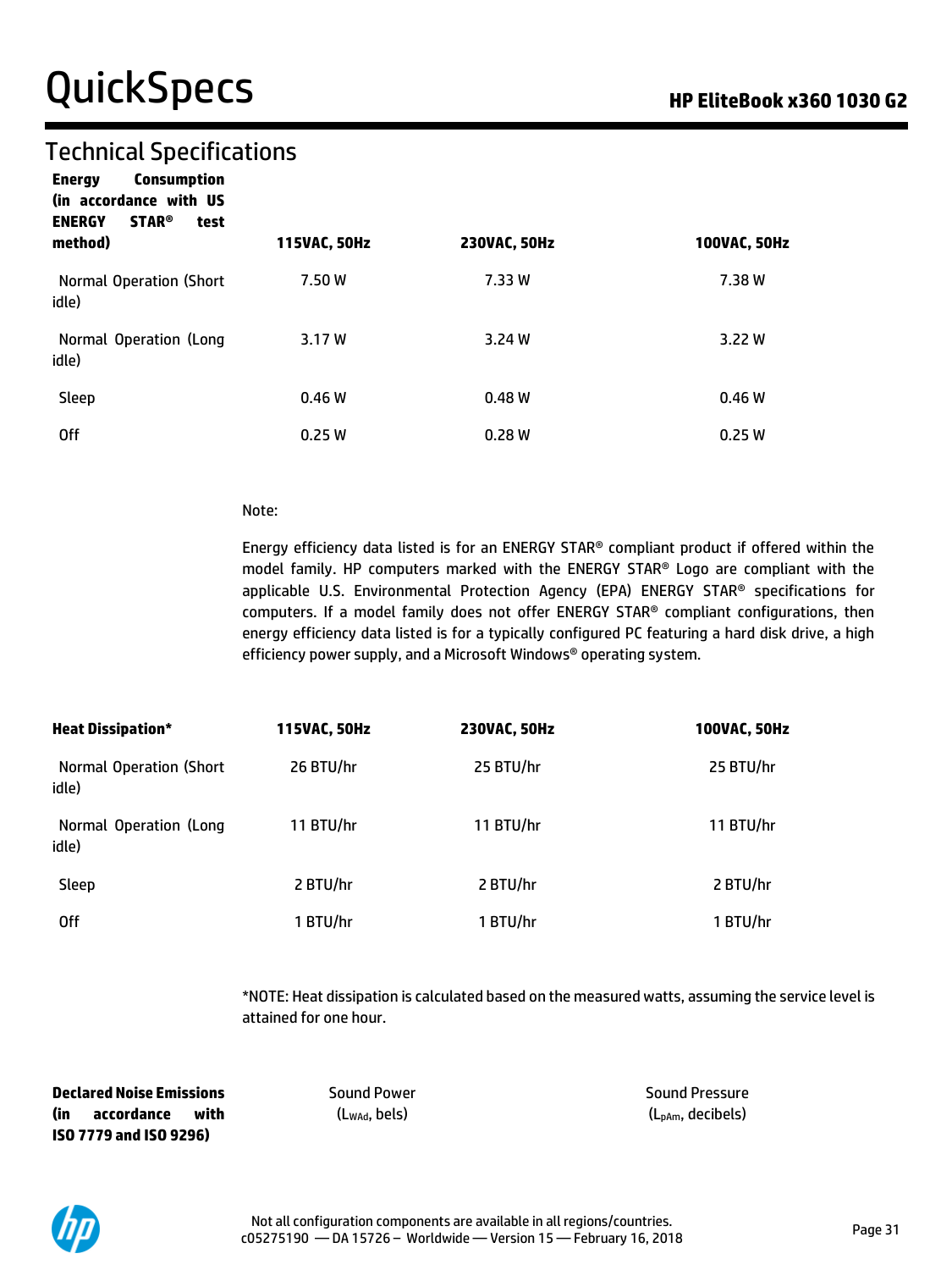## Technical Specifications

| Energy              | <b>Consumption</b>     |  |
|---------------------|------------------------|--|
|                     | in accordance with US) |  |
| <b>ENERGY STAR®</b> | test                   |  |

| method)                          | 115VAC, 50Hz | <b>230VAC, 50Hz</b> | 100VAC, 50Hz |
|----------------------------------|--------------|---------------------|--------------|
| Normal Operation (Short<br>idle) | 7.50 W       | 7.33 W              | 7.38 W       |
| Normal Operation (Long<br>idle)  | 3.17 W       | 3.24W               | 3.22 W       |
| Sleep                            | 0.46W        | 0.48W               | 0.46W        |
| 0ff                              | 0.25W        | 0.28W               | 0.25W        |

#### Note:

Energy efficiency data listed is for an ENERGY STAR® compliant product if offered within the model family. HP computers marked with the ENERGY STAR® Logo are compliant with the applicable U.S. Environmental Protection Agency (EPA) ENERGY STAR® specifications for computers. If a model family does not offer ENERGY STAR® compliant configurations, then energy efficiency data listed is for a typically configured PC featuring a hard disk drive, a high efficiency power supply, and a Microsoft Windows® operating system.

| <b>Heat Dissipation*</b>          | 115VAC, 50Hz | <b>230VAC, 50Hz</b> | 100VAC, 50Hz |
|-----------------------------------|--------------|---------------------|--------------|
| Normal Operation (Short)<br>idle) | 26 BTU/hr    | 25 BTU/hr           | 25 BTU/hr    |
| Normal Operation (Long<br>idle)   | 11 BTU/hr    | 11 BTU/hr           | 11 BTU/hr    |
| Sleep                             | 2 BTU/hr     | 2 BTU/hr            | 2 BTU/hr     |
| 0ff                               | 1 BTU/hr     | 1 BTU/hr            | 1 BTU/hr     |

\*NOTE: Heat dissipation is calculated based on the measured watts, assuming the service level is attained for one hour.

**Declared Noise Emissions (in accordance with ISO 7779 and ISO 9296)**

Sound Power (LWAd, bels)

Sound Pressure (LpAm, decibels)

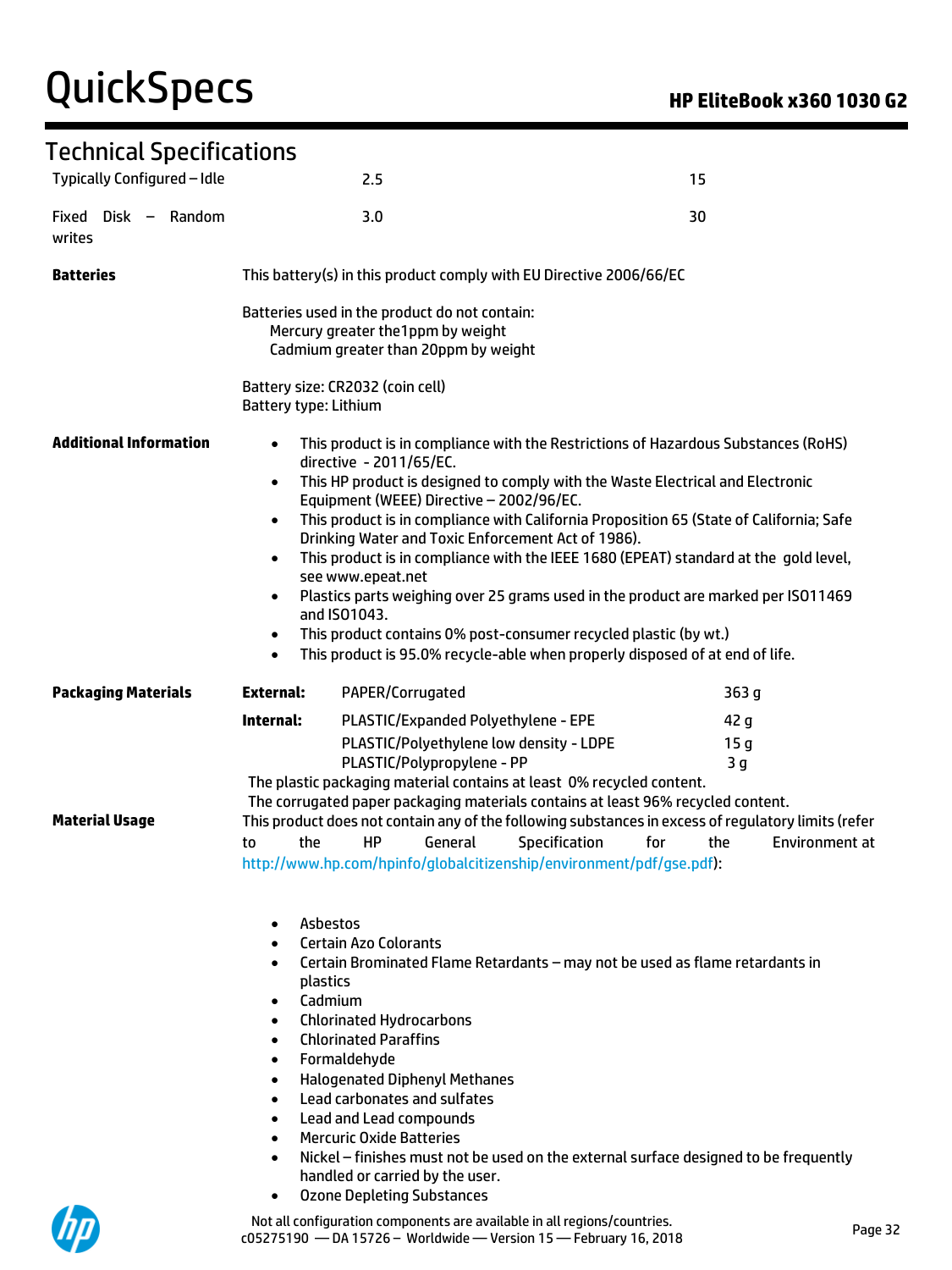# QuickSpecs **Manual Contract Contract Contract Contract Contract Contract Contract Contract Contract Contract Contract Contract Contract Contract Contract Contract Contract Contract Contract Contract Contract Contract Contr**

UД

### Technical Specifications

| i cennucat apecuncations<br>Typically Configured - Idle |                                                                                                                                                                   | 2.5                                                                                                                                                                                                                                                                                                                                                                                                                                                                                                                                                                                                                                                                                                                                                                |               | 15                                                      |                |  |
|---------------------------------------------------------|-------------------------------------------------------------------------------------------------------------------------------------------------------------------|--------------------------------------------------------------------------------------------------------------------------------------------------------------------------------------------------------------------------------------------------------------------------------------------------------------------------------------------------------------------------------------------------------------------------------------------------------------------------------------------------------------------------------------------------------------------------------------------------------------------------------------------------------------------------------------------------------------------------------------------------------------------|---------------|---------------------------------------------------------|----------------|--|
| Fixed Disk - Random<br>writes                           |                                                                                                                                                                   | 3.0                                                                                                                                                                                                                                                                                                                                                                                                                                                                                                                                                                                                                                                                                                                                                                |               | 30                                                      |                |  |
| <b>Batteries</b>                                        | This battery(s) in this product comply with EU Directive 2006/66/EC                                                                                               |                                                                                                                                                                                                                                                                                                                                                                                                                                                                                                                                                                                                                                                                                                                                                                    |               |                                                         |                |  |
|                                                         | Batteries used in the product do not contain:<br>Mercury greater the 1ppm by weight<br>Cadmium greater than 20ppm by weight                                       |                                                                                                                                                                                                                                                                                                                                                                                                                                                                                                                                                                                                                                                                                                                                                                    |               |                                                         |                |  |
|                                                         | Battery size: CR2032 (coin cell)<br>Battery type: Lithium                                                                                                         |                                                                                                                                                                                                                                                                                                                                                                                                                                                                                                                                                                                                                                                                                                                                                                    |               |                                                         |                |  |
| <b>Additional Information</b>                           | $\bullet$<br>$\bullet$<br>$\bullet$<br>$\bullet$<br>$\bullet$<br>$\bullet$<br>$\bullet$                                                                           | This product is in compliance with the Restrictions of Hazardous Substances (RoHS)<br>directive - 2011/65/EC.<br>This HP product is designed to comply with the Waste Electrical and Electronic<br>Equipment (WEEE) Directive - 2002/96/EC.<br>This product is in compliance with California Proposition 65 (State of California; Safe<br>Drinking Water and Toxic Enforcement Act of 1986).<br>This product is in compliance with the IEEE 1680 (EPEAT) standard at the gold level,<br>see www.epeat.net<br>Plastics parts weighing over 25 grams used in the product are marked per ISO11469<br>and ISO1043.<br>This product contains 0% post-consumer recycled plastic (by wt.)<br>This product is 95.0% recycle-able when properly disposed of at end of life. |               |                                                         |                |  |
| <b>Packaging Materials</b>                              | <b>External:</b>                                                                                                                                                  | PAPER/Corrugated                                                                                                                                                                                                                                                                                                                                                                                                                                                                                                                                                                                                                                                                                                                                                   |               | 363 <sub>g</sub>                                        |                |  |
| <b>Material Usage</b>                                   | Internal:<br>the<br>to                                                                                                                                            | PLASTIC/Expanded Polyethylene - EPE<br>PLASTIC/Polyethylene low density - LDPE<br>PLASTIC/Polypropylene - PP<br>The plastic packaging material contains at least 0% recycled content.<br>The corrugated paper packaging materials contains at least 96% recycled content.<br>This product does not contain any of the following substances in excess of regulatory limits (refer<br>General<br>HP<br>http://www.hp.com/hpinfo/globalcitizenship/environment/pdf/gse.pdf):                                                                                                                                                                                                                                                                                          | Specification | 42 g<br>15 <sub>g</sub><br>3 <sub>g</sub><br>for<br>the | Environment at |  |
|                                                         | Asbestos<br>$\bullet$<br>$\bullet$<br>plastics<br>Cadmium<br>$\bullet$<br>$\bullet$<br>$\bullet$<br>$\bullet$<br>$\bullet$<br>$\bullet$<br>$\bullet$<br>$\bullet$ | <b>Certain Azo Colorants</b><br>Certain Brominated Flame Retardants - may not be used as flame retardants in<br><b>Chlorinated Hydrocarbons</b><br><b>Chlorinated Paraffins</b><br>Formaldehyde<br><b>Halogenated Diphenyl Methanes</b><br>Lead carbonates and sulfates<br>Lead and Lead compounds<br><b>Mercuric Oxide Batteries</b><br>Nickel - finishes must not be used on the external surface designed to be frequently<br>handled or carried by the user.<br><b>Ozone Depleting Substances</b>                                                                                                                                                                                                                                                              |               |                                                         |                |  |

Not all configuration components are available in all regions/countries.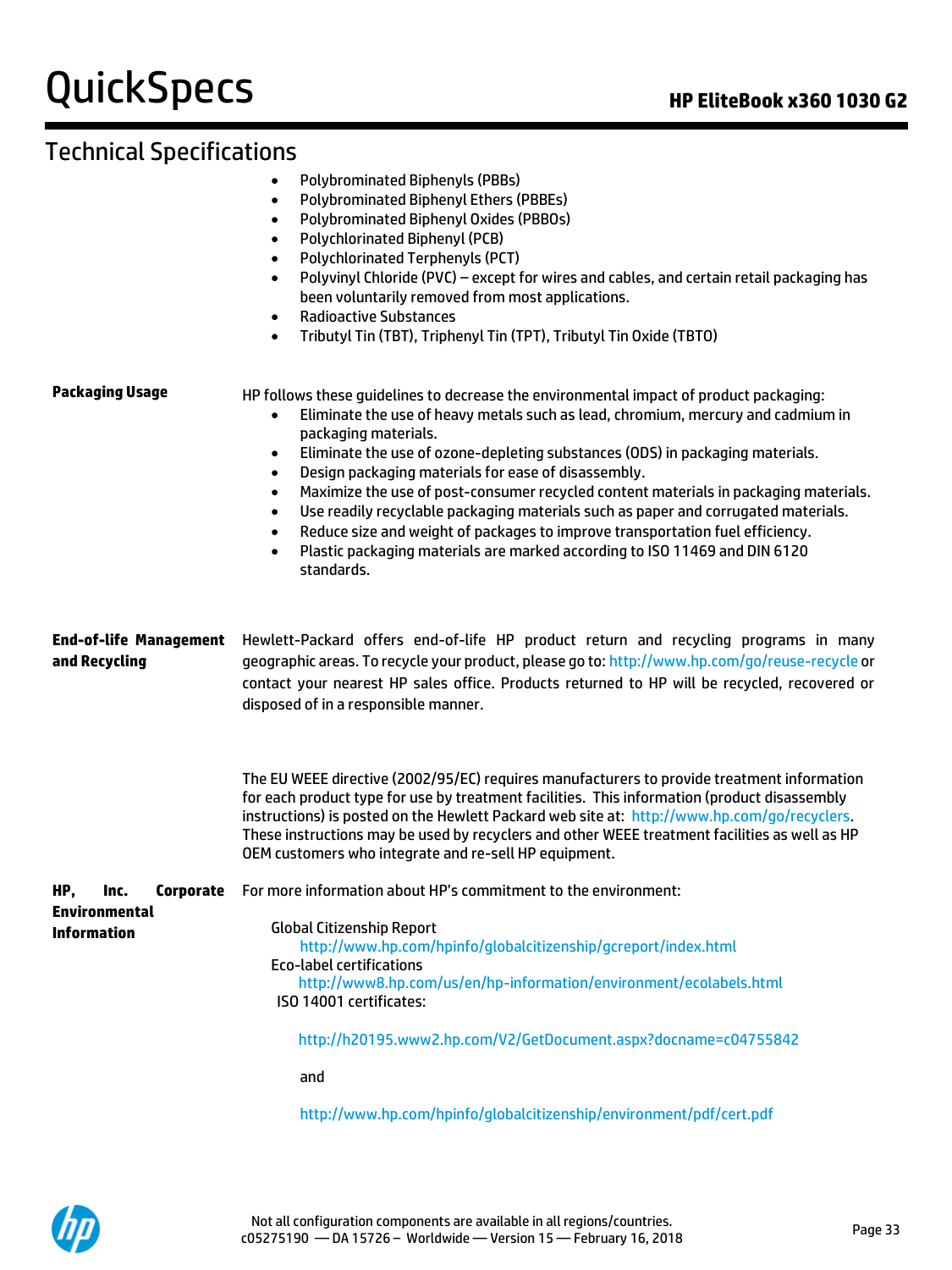## Technical Specifications

|                                                | Polybrominated Biphenyl Oxides (PBBOs)<br>$\bullet$<br>Polychlorinated Biphenyl (PCB)<br>٠<br><b>Polychlorinated Terphenyls (PCT)</b><br>$\bullet$<br>Polyvinyl Chloride (PVC) - except for wires and cables, and certain retail packaging has<br>$\bullet$<br>been voluntarily removed from most applications.<br><b>Radioactive Substances</b><br>$\bullet$<br>Tributyl Tin (TBT), Triphenyl Tin (TPT), Tributyl Tin Oxide (TBTO)<br>$\bullet$                                                                                                                                                                                                                                                                                                                                                 |
|------------------------------------------------|--------------------------------------------------------------------------------------------------------------------------------------------------------------------------------------------------------------------------------------------------------------------------------------------------------------------------------------------------------------------------------------------------------------------------------------------------------------------------------------------------------------------------------------------------------------------------------------------------------------------------------------------------------------------------------------------------------------------------------------------------------------------------------------------------|
| <b>Packaging Usage</b>                         | HP follows these guidelines to decrease the environmental impact of product packaging:<br>Eliminate the use of heavy metals such as lead, chromium, mercury and cadmium in<br>$\bullet$<br>packaging materials.<br>Eliminate the use of ozone-depleting substances (ODS) in packaging materials.<br>$\bullet$<br>Design packaging materials for ease of disassembly.<br>$\bullet$<br>Maximize the use of post-consumer recycled content materials in packaging materials.<br>$\bullet$<br>Use readily recyclable packaging materials such as paper and corrugated materials.<br>$\bullet$<br>Reduce size and weight of packages to improve transportation fuel efficiency.<br>$\bullet$<br>Plastic packaging materials are marked according to ISO 11469 and DIN 6120<br>$\bullet$<br>standards. |
| <b>End-of-life Management</b><br>and Recycling | Hewlett-Packard offers end-of-life HP product return and recycling programs in many<br>geographic areas. To recycle your product, please go to: http://www.hp.com/go/reuse-recycle or<br>contact your nearest HP sales office. Products returned to HP will be recycled, recovered or<br>disposed of in a responsible manner.                                                                                                                                                                                                                                                                                                                                                                                                                                                                    |
|                                                | The EU WEEE directive (2002/95/EC) requires manufacturers to provide treatment information<br>for each product type for use by treatment facilities. This information (product disassembly<br>instructions) is posted on the Hewlett Packard web site at: http://www.hp.com/go/recyclers.<br>These instructions may be used by recyclers and other WEEE treatment facilities as well as HP<br>OEM customers who integrate and re-sell HP equipment.                                                                                                                                                                                                                                                                                                                                              |
| HP,<br>Corporate<br>Inc.                       | For more information about HP's commitment to the environment:                                                                                                                                                                                                                                                                                                                                                                                                                                                                                                                                                                                                                                                                                                                                   |
| <b>Environmental</b><br><b>Information</b>     | <b>Global Citizenship Report</b><br>http://www.hp.com/hpinfo/globalcitizenship/gcreport/index.html<br><b>Eco-label certifications</b><br>http://www8.hp.com/us/en/hp-information/environment/ecolabels.html<br>ISO 14001 certificates:                                                                                                                                                                                                                                                                                                                                                                                                                                                                                                                                                           |
|                                                | http://h20195.www2.hp.com/V2/GetDocument.aspx?docname=c04755842                                                                                                                                                                                                                                                                                                                                                                                                                                                                                                                                                                                                                                                                                                                                  |
|                                                | and                                                                                                                                                                                                                                                                                                                                                                                                                                                                                                                                                                                                                                                                                                                                                                                              |
|                                                | http://www.hp.com/hpinfo/globalcitizenship/environment/pdf/cert.pdf                                                                                                                                                                                                                                                                                                                                                                                                                                                                                                                                                                                                                                                                                                                              |

• Polybrominated Biphenyls (PBBs)

• Polybrominated Biphenyl Ethers (PBBEs)

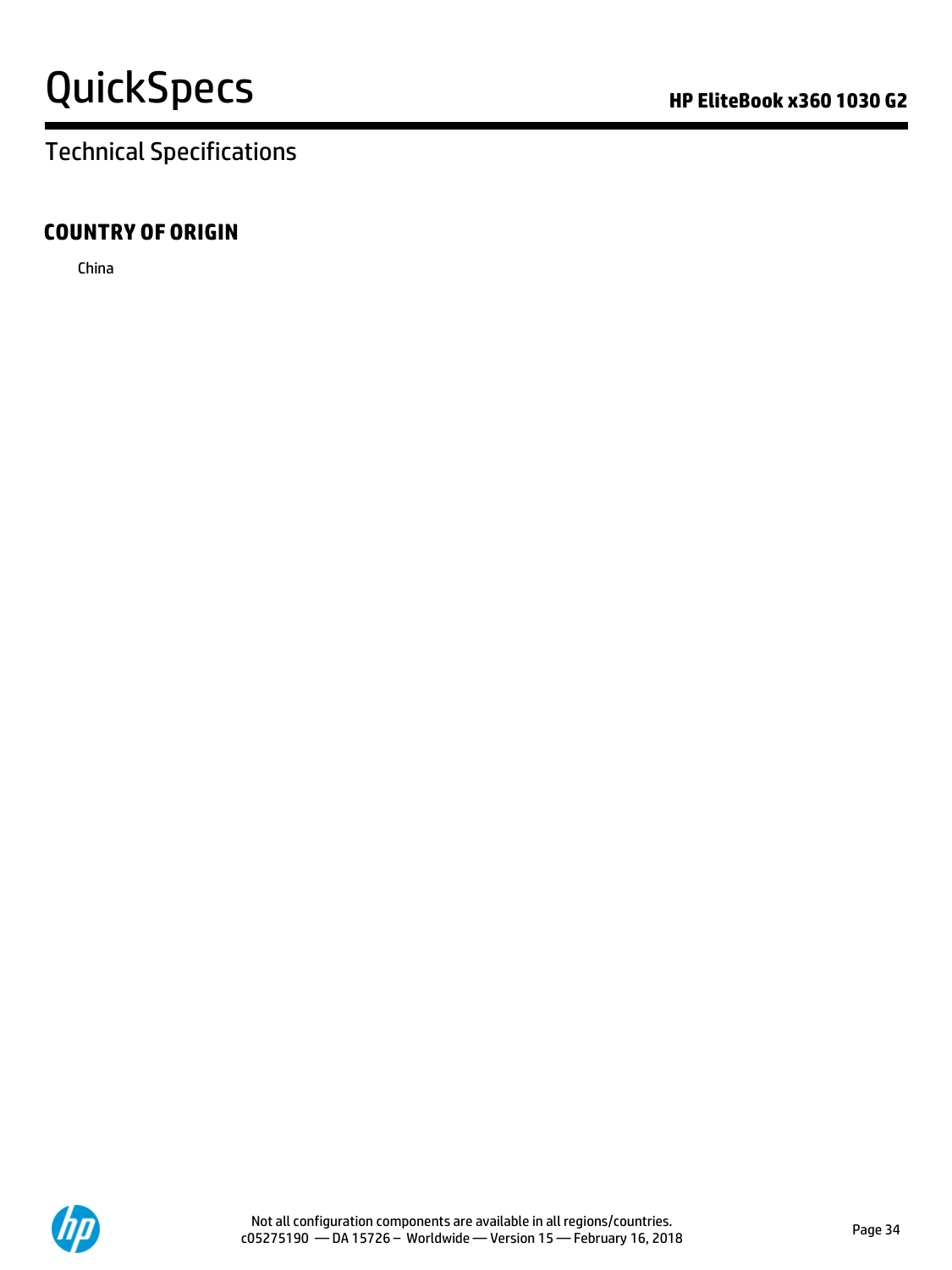# QuickSpecs **Manual Contract Contract Contract Contract Contract Contract Contract Contract Contract Contract Contract Contract Contract Contract Contract Contract Contract Contract Contract Contract Contract Contract Contr**

# Technical Specifications

### **COUNTRY OF ORIGIN**

China

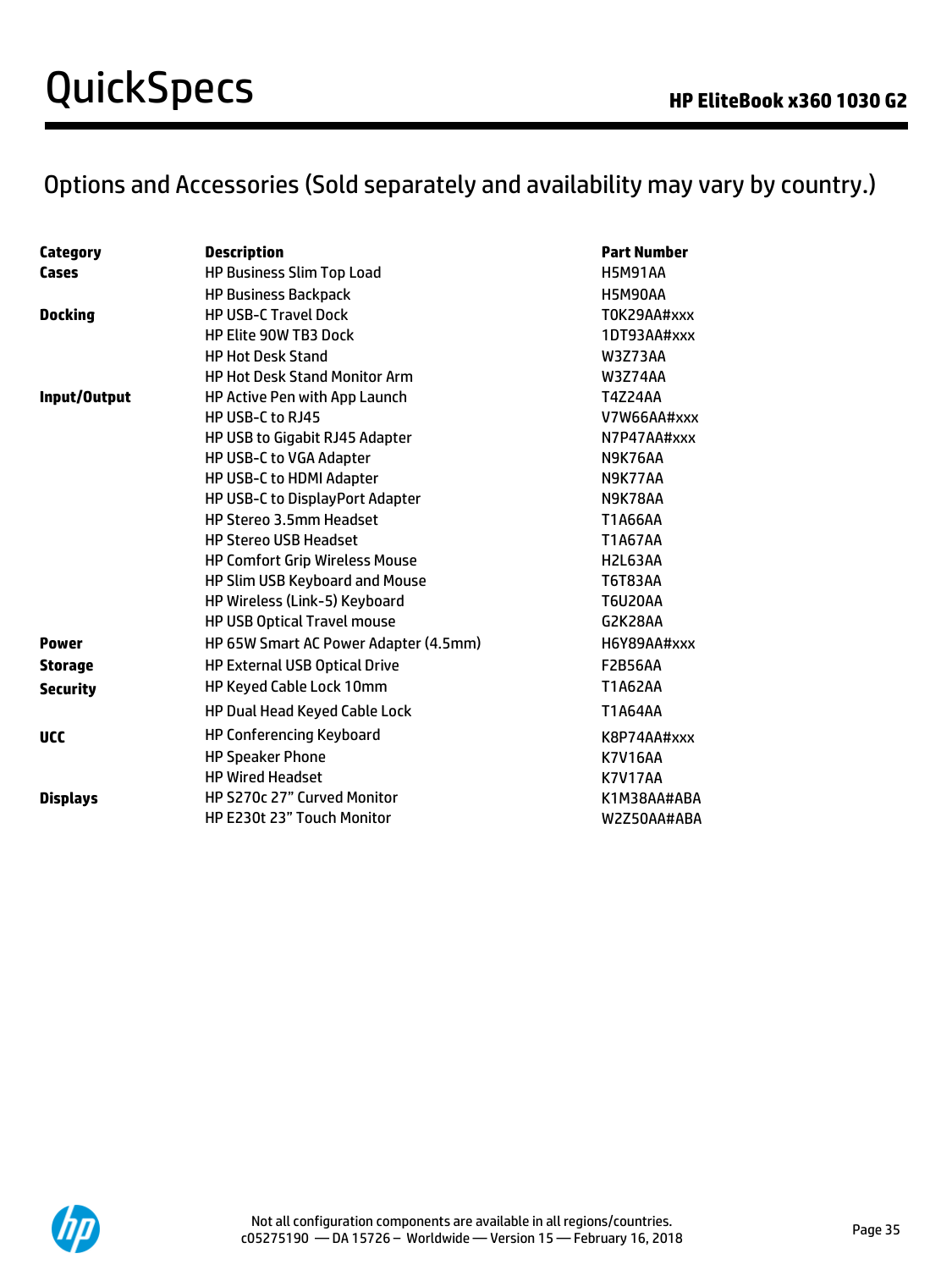# Options and Accessories (Sold separately and availability may vary by country.)

| Category        | <b>Description</b>                    | <b>Part Number</b> |
|-----------------|---------------------------------------|--------------------|
| Cases           | <b>HP Business Slim Top Load</b>      | <b>H5M91AA</b>     |
|                 | <b>HP Business Backpack</b>           | <b>H5M90AA</b>     |
| <b>Docking</b>  | <b>HP USB-C Travel Dock</b>           | T0K29AA#xxx        |
|                 | <b>HP Elite 90W TB3 Dock</b>          | 1DT93AA#xxx        |
|                 | <b>HP Hot Desk Stand</b>              | W3Z73AA            |
|                 | <b>HP Hot Desk Stand Monitor Arm</b>  | <b>W3Z74AA</b>     |
| Input/Output    | <b>HP Active Pen with App Launch</b>  | <b>T4Z24AA</b>     |
|                 | HP USB-C to RJ45                      | V7W66AA#xxx        |
|                 | HP USB to Gigabit RJ45 Adapter        | N7P47AA#xxx        |
|                 | HP USB-C to VGA Adapter               | N9K76AA            |
|                 | HP USB-C to HDMI Adapter              | N9K77AA            |
|                 | HP USB-C to DisplayPort Adapter       | N9K78AA            |
|                 | HP Stereo 3.5mm Headset               | T1A66AA            |
|                 | <b>HP Stereo USB Headset</b>          | <b>T1A67AA</b>     |
|                 | <b>HP Comfort Grip Wireless Mouse</b> | H2L63AA            |
|                 | HP Slim USB Keyboard and Mouse        | T6T83AA            |
|                 | HP Wireless (Link-5) Keyboard         | <b>T6U20AA</b>     |
|                 | HP USB Optical Travel mouse           | G2K28AA            |
| <b>Power</b>    | HP 65W Smart AC Power Adapter (4.5mm) | H6Y89AA#xxx        |
| <b>Storage</b>  | <b>HP External USB Optical Drive</b>  | <b>F2B56AA</b>     |
| <b>Security</b> | HP Keyed Cable Lock 10mm              | T1A62AA            |
|                 | HP Dual Head Keyed Cable Lock         | T1A64AA            |
| <b>UCC</b>      | <b>HP Conferencing Keyboard</b>       | K8P74AA#xxx        |
|                 | <b>HP Speaker Phone</b>               | <b>K7V16AA</b>     |
|                 | <b>HP Wired Headset</b>               | <b>K7V17AA</b>     |
| <b>Displays</b> | HP S270c 27" Curved Monitor           | K1M38AA#ABA        |
|                 | HP E230t 23" Touch Monitor            | W2Z50AA#ABA        |
|                 |                                       |                    |